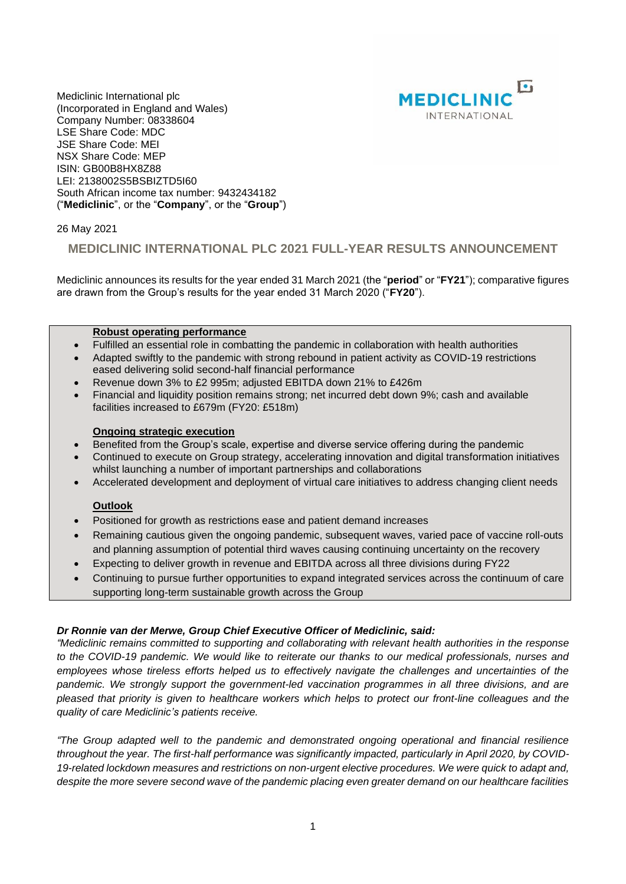

Mediclinic International plc (Incorporated in England and Wales) Company Number: 08338604 LSE Share Code: MDC JSE Share Code: MEI NSX Share Code: MEP ISIN: GB00B8HX8Z88 LEI: 2138002S5BSBIZTD5I60 South African income tax number: 9432434182 ("**Mediclinic**", or the "**Company**", or the "**Group**")

26 May 2021

## **MEDICLINIC INTERNATIONAL PLC 2021 FULL-YEAR RESULTS ANNOUNCEMENT**

Mediclinic announces its results for the year ended 31 March 2021 (the "**period**" or "**FY21**"); comparative figures are drawn from the Group's results for the year ended 31 March 2020 ("**FY20**").

### **Robust operating performance**

- Fulfilled an essential role in combatting the pandemic in collaboration with health authorities
- Adapted swiftly to the pandemic with strong rebound in patient activity as COVID-19 restrictions eased delivering solid second-half financial performance
- Revenue down 3% to £2 995m; adjusted EBITDA down 21% to £426m
- Financial and liquidity position remains strong; net incurred debt down 9%; cash and available facilities increased to £679m (FY20: £518m)

### **Ongoing strategic execution**

- Benefited from the Group's scale, expertise and diverse service offering during the pandemic
- Continued to execute on Group strategy, accelerating innovation and digital transformation initiatives whilst launching a number of important partnerships and collaborations
- Accelerated development and deployment of virtual care initiatives to address changing client needs

### **Outlook**

- Positioned for growth as restrictions ease and patient demand increases
- Remaining cautious given the ongoing pandemic, subsequent waves, varied pace of vaccine roll-outs and planning assumption of potential third waves causing continuing uncertainty on the recovery
- Expecting to deliver growth in revenue and EBITDA across all three divisions during FY22
- Continuing to pursue further opportunities to expand integrated services across the continuum of care supporting long-term sustainable growth across the Group

### *Dr Ronnie van der Merwe, Group Chief Executive Officer of Mediclinic, said:*

*"Mediclinic remains committed to supporting and collaborating with relevant health authorities in the response to the COVID-19 pandemic. We would like to reiterate our thanks to our medical professionals, nurses and employees whose tireless efforts helped us to effectively navigate the challenges and uncertainties of the pandemic. We strongly support the government-led vaccination programmes in all three divisions, and are pleased that priority is given to healthcare workers which helps to protect our front-line colleagues and the quality of care Mediclinic's patients receive.*

*"The Group adapted well to the pandemic and demonstrated ongoing operational and financial resilience throughout the year. The first-half performance was significantly impacted, particularly in April 2020, by COVID-19-related lockdown measures and restrictions on non-urgent elective procedures. We were quick to adapt and, despite the more severe second wave of the pandemic placing even greater demand on our healthcare facilities*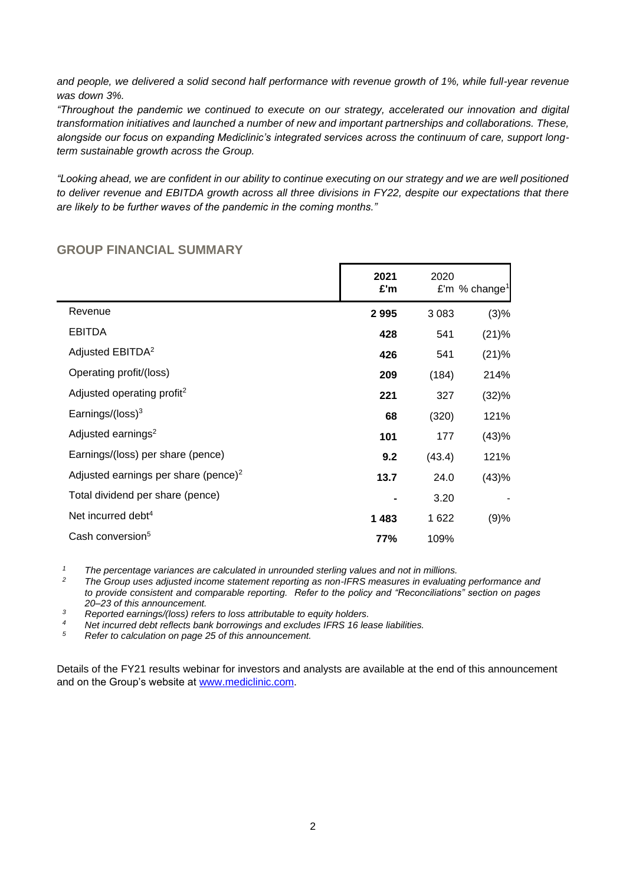*and people, we delivered a solid second half performance with revenue growth of 1%, while full-year revenue was down 3%.*

*"Throughout the pandemic we continued to execute on our strategy, accelerated our innovation and digital transformation initiatives and launched a number of new and important partnerships and collaborations. These, alongside our focus on expanding Mediclinic's integrated services across the continuum of care, support longterm sustainable growth across the Group.*

*"Looking ahead, we are confident in our ability to continue executing on our strategy and we are well positioned to deliver revenue and EBITDA growth across all three divisions in FY22, despite our expectations that there are likely to be further waves of the pandemic in the coming months."*

|                                                  | 2021<br>£'m | 2020    | £'m % change <sup>1</sup> |
|--------------------------------------------------|-------------|---------|---------------------------|
| Revenue                                          | 2995        | 3 0 8 3 | (3)%                      |
| <b>EBITDA</b>                                    | 428         | 541     | (21)%                     |
| Adjusted EBITDA <sup>2</sup>                     | 426         | 541     | (21)%                     |
| Operating profit/(loss)                          | 209         | (184)   | 214%                      |
| Adjusted operating profit <sup>2</sup>           | 221         | 327     | (32)%                     |
| Earnings/(loss) $3$                              | 68          | (320)   | 121%                      |
| Adjusted earnings <sup>2</sup>                   | 101         | 177     | (43)%                     |
| Earnings/(loss) per share (pence)                | 9.2         | (43.4)  | 121%                      |
| Adjusted earnings per share (pence) <sup>2</sup> | 13.7        | 24.0    | (43)%                     |
| Total dividend per share (pence)                 |             | 3.20    |                           |
| Net incurred debt <sup>4</sup>                   | 1 4 8 3     | 1 622   | (9)%                      |
| Cash conversion <sup>5</sup>                     | 77%         | 109%    |                           |

# **GROUP FINANCIAL SUMMARY**

*<sup>1</sup> The percentage variances are calculated in unrounded sterling values and not in millions.*

*<sup>2</sup> The Group uses adjusted income statement reporting as non-IFRS measures in evaluating performance and to provide consistent and comparable reporting. Refer to the policy and "Reconciliations" section on pages 20*–*23 of this announcement.*

*<sup>3</sup> Reported earnings/(loss) refers to loss attributable to equity holders.*

*<sup>4</sup> Net incurred debt reflects bank borrowings and excludes IFRS 16 lease liabilities.* 

*<sup>5</sup> Refer to calculation on page 25 of this announcement.*

Details of the FY21 results webinar for investors and analysts are available at the end of this announcement and on the Group's website at [www.mediclinic.com.](http://www.mediclinic.com/)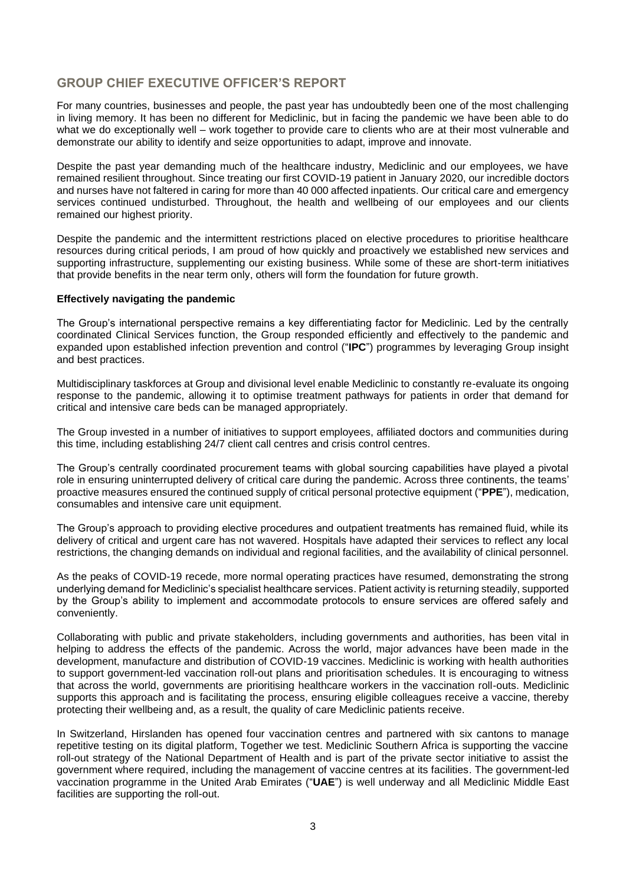# **GROUP CHIEF EXECUTIVE OFFICER'S REPORT**

For many countries, businesses and people, the past year has undoubtedly been one of the most challenging in living memory. It has been no different for Mediclinic, but in facing the pandemic we have been able to do what we do exceptionally well – work together to provide care to clients who are at their most vulnerable and demonstrate our ability to identify and seize opportunities to adapt, improve and innovate.

Despite the past year demanding much of the healthcare industry, Mediclinic and our employees, we have remained resilient throughout. Since treating our first COVID-19 patient in January 2020, our incredible doctors and nurses have not faltered in caring for more than 40 000 affected inpatients. Our critical care and emergency services continued undisturbed. Throughout, the health and wellbeing of our employees and our clients remained our highest priority.

Despite the pandemic and the intermittent restrictions placed on elective procedures to prioritise healthcare resources during critical periods, I am proud of how quickly and proactively we established new services and supporting infrastructure, supplementing our existing business. While some of these are short-term initiatives that provide benefits in the near term only, others will form the foundation for future growth.

### **Effectively navigating the pandemic**

The Group's international perspective remains a key differentiating factor for Mediclinic. Led by the centrally coordinated Clinical Services function, the Group responded efficiently and effectively to the pandemic and expanded upon established infection prevention and control ("**IPC**") programmes by leveraging Group insight and best practices.

Multidisciplinary taskforces at Group and divisional level enable Mediclinic to constantly re-evaluate its ongoing response to the pandemic, allowing it to optimise treatment pathways for patients in order that demand for critical and intensive care beds can be managed appropriately.

The Group invested in a number of initiatives to support employees, affiliated doctors and communities during this time, including establishing 24/7 client call centres and crisis control centres.

The Group's centrally coordinated procurement teams with global sourcing capabilities have played a pivotal role in ensuring uninterrupted delivery of critical care during the pandemic. Across three continents, the teams' proactive measures ensured the continued supply of critical personal protective equipment ("**PPE**"), medication, consumables and intensive care unit equipment.

The Group's approach to providing elective procedures and outpatient treatments has remained fluid, while its delivery of critical and urgent care has not wavered. Hospitals have adapted their services to reflect any local restrictions, the changing demands on individual and regional facilities, and the availability of clinical personnel.

As the peaks of COVID-19 recede, more normal operating practices have resumed, demonstrating the strong underlying demand for Mediclinic's specialist healthcare services. Patient activity is returning steadily, supported by the Group's ability to implement and accommodate protocols to ensure services are offered safely and conveniently.

Collaborating with public and private stakeholders, including governments and authorities, has been vital in helping to address the effects of the pandemic. Across the world, major advances have been made in the development, manufacture and distribution of COVID-19 vaccines. Mediclinic is working with health authorities to support government-led vaccination roll-out plans and prioritisation schedules. It is encouraging to witness that across the world, governments are prioritising healthcare workers in the vaccination roll-outs. Mediclinic supports this approach and is facilitating the process, ensuring eligible colleagues receive a vaccine, thereby protecting their wellbeing and, as a result, the quality of care Mediclinic patients receive.

In Switzerland, Hirslanden has opened four vaccination centres and partnered with six cantons to manage repetitive testing on its digital platform, Together we test. Mediclinic Southern Africa is supporting the vaccine roll-out strategy of the National Department of Health and is part of the private sector initiative to assist the government where required, including the management of vaccine centres at its facilities. The government-led vaccination programme in the United Arab Emirates ("**UAE**") is well underway and all Mediclinic Middle East facilities are supporting the roll-out.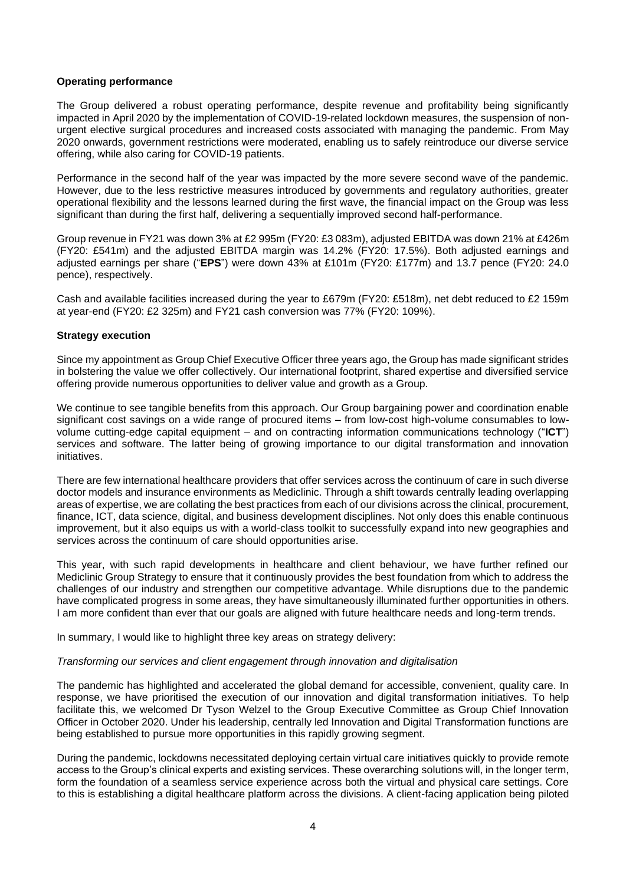### **Operating performance**

The Group delivered a robust operating performance, despite revenue and profitability being significantly impacted in April 2020 by the implementation of COVID-19-related lockdown measures, the suspension of nonurgent elective surgical procedures and increased costs associated with managing the pandemic. From May 2020 onwards, government restrictions were moderated, enabling us to safely reintroduce our diverse service offering, while also caring for COVID-19 patients.

Performance in the second half of the year was impacted by the more severe second wave of the pandemic. However, due to the less restrictive measures introduced by governments and regulatory authorities, greater operational flexibility and the lessons learned during the first wave, the financial impact on the Group was less significant than during the first half, delivering a sequentially improved second half-performance.

Group revenue in FY21 was down 3% at £2 995m (FY20: £3 083m), adjusted EBITDA was down 21% at £426m (FY20: £541m) and the adjusted EBITDA margin was 14.2% (FY20: 17.5%). Both adjusted earnings and adjusted earnings per share ("**EPS**") were down 43% at £101m (FY20: £177m) and 13.7 pence (FY20: 24.0 pence), respectively.

Cash and available facilities increased during the year to £679m (FY20: £518m), net debt reduced to £2 159m at year-end (FY20: £2 325m) and FY21 cash conversion was 77% (FY20: 109%).

### **Strategy execution**

Since my appointment as Group Chief Executive Officer three years ago, the Group has made significant strides in bolstering the value we offer collectively. Our international footprint, shared expertise and diversified service offering provide numerous opportunities to deliver value and growth as a Group.

We continue to see tangible benefits from this approach. Our Group bargaining power and coordination enable significant cost savings on a wide range of procured items – from low-cost high-volume consumables to lowvolume cutting-edge capital equipment – and on contracting information communications technology ("**ICT**") services and software. The latter being of growing importance to our digital transformation and innovation initiatives.

There are few international healthcare providers that offer services across the continuum of care in such diverse doctor models and insurance environments as Mediclinic. Through a shift towards centrally leading overlapping areas of expertise, we are collating the best practices from each of our divisions across the clinical, procurement, finance, ICT, data science, digital, and business development disciplines. Not only does this enable continuous improvement, but it also equips us with a world-class toolkit to successfully expand into new geographies and services across the continuum of care should opportunities arise.

This year, with such rapid developments in healthcare and client behaviour, we have further refined our Mediclinic Group Strategy to ensure that it continuously provides the best foundation from which to address the challenges of our industry and strengthen our competitive advantage. While disruptions due to the pandemic have complicated progress in some areas, they have simultaneously illuminated further opportunities in others. I am more confident than ever that our goals are aligned with future healthcare needs and long-term trends.

In summary, I would like to highlight three key areas on strategy delivery:

### *Transforming our services and client engagement through innovation and digitalisation*

The pandemic has highlighted and accelerated the global demand for accessible, convenient, quality care. In response, we have prioritised the execution of our innovation and digital transformation initiatives. To help facilitate this, we welcomed Dr Tyson Welzel to the Group Executive Committee as Group Chief Innovation Officer in October 2020. Under his leadership, centrally led Innovation and Digital Transformation functions are being established to pursue more opportunities in this rapidly growing segment.

During the pandemic, lockdowns necessitated deploying certain virtual care initiatives quickly to provide remote access to the Group's clinical experts and existing services. These overarching solutions will, in the longer term, form the foundation of a seamless service experience across both the virtual and physical care settings. Core to this is establishing a digital healthcare platform across the divisions. A client-facing application being piloted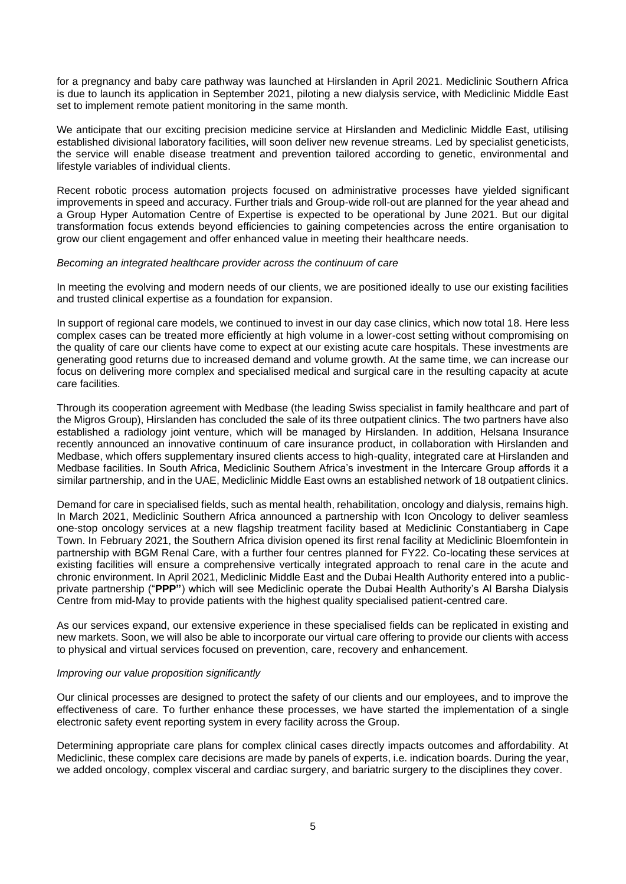for a pregnancy and baby care pathway was launched at Hirslanden in April 2021. Mediclinic Southern Africa is due to launch its application in September 2021, piloting a new dialysis service, with Mediclinic Middle East set to implement remote patient monitoring in the same month.

We anticipate that our exciting precision medicine service at Hirslanden and Mediclinic Middle East, utilising established divisional laboratory facilities, will soon deliver new revenue streams. Led by specialist geneticists, the service will enable disease treatment and prevention tailored according to genetic, environmental and lifestyle variables of individual clients.

Recent robotic process automation projects focused on administrative processes have yielded significant improvements in speed and accuracy. Further trials and Group-wide roll-out are planned for the year ahead and a Group Hyper Automation Centre of Expertise is expected to be operational by June 2021. But our digital transformation focus extends beyond efficiencies to gaining competencies across the entire organisation to grow our client engagement and offer enhanced value in meeting their healthcare needs.

### *Becoming an integrated healthcare provider across the continuum of care*

In meeting the evolving and modern needs of our clients, we are positioned ideally to use our existing facilities and trusted clinical expertise as a foundation for expansion.

In support of regional care models, we continued to invest in our day case clinics, which now total 18. Here less complex cases can be treated more efficiently at high volume in a lower-cost setting without compromising on the quality of care our clients have come to expect at our existing acute care hospitals. These investments are generating good returns due to increased demand and volume growth. At the same time, we can increase our focus on delivering more complex and specialised medical and surgical care in the resulting capacity at acute care facilities.

Through its cooperation agreement with Medbase (the leading Swiss specialist in family healthcare and part of the Migros Group), Hirslanden has concluded the sale of its three outpatient clinics. The two partners have also established a radiology joint venture, which will be managed by Hirslanden. In addition, Helsana Insurance recently announced an innovative continuum of care insurance product, in collaboration with Hirslanden and Medbase, which offers supplementary insured clients access to high-quality, integrated care at Hirslanden and Medbase facilities. In South Africa, Mediclinic Southern Africa's investment in the Intercare Group affords it a similar partnership, and in the UAE, Mediclinic Middle East owns an established network of 18 outpatient clinics.

Demand for care in specialised fields, such as mental health, rehabilitation, oncology and dialysis, remains high. In March 2021, Mediclinic Southern Africa announced a partnership with Icon Oncology to deliver seamless one-stop oncology services at a new flagship treatment facility based at Mediclinic Constantiaberg in Cape Town. In February 2021, the Southern Africa division opened its first renal facility at Mediclinic Bloemfontein in partnership with BGM Renal Care, with a further four centres planned for FY22. Co-locating these services at existing facilities will ensure a comprehensive vertically integrated approach to renal care in the acute and chronic environment. In April 2021, Mediclinic Middle East and the Dubai Health Authority entered into a publicprivate partnership ("**PPP"**) which will see Mediclinic operate the Dubai Health Authority's Al Barsha Dialysis Centre from mid-May to provide patients with the highest quality specialised patient-centred care.

As our services expand, our extensive experience in these specialised fields can be replicated in existing and new markets. Soon, we will also be able to incorporate our virtual care offering to provide our clients with access to physical and virtual services focused on prevention, care, recovery and enhancement.

### *Improving our value proposition significantly*

Our clinical processes are designed to protect the safety of our clients and our employees, and to improve the effectiveness of care. To further enhance these processes, we have started the implementation of a single electronic safety event reporting system in every facility across the Group.

Determining appropriate care plans for complex clinical cases directly impacts outcomes and affordability. At Mediclinic, these complex care decisions are made by panels of experts, i.e. indication boards. During the year, we added oncology, complex visceral and cardiac surgery, and bariatric surgery to the disciplines they cover.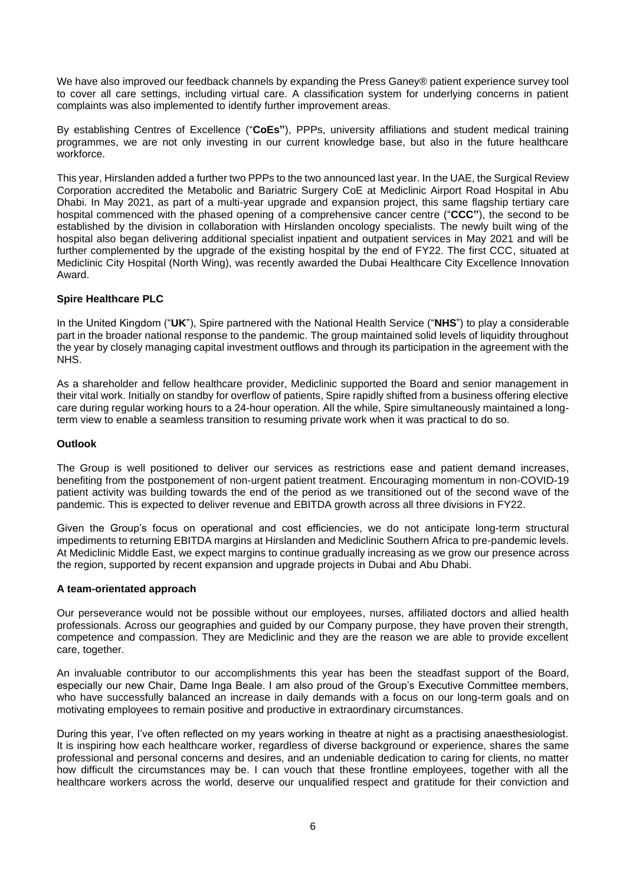We have also improved our feedback channels by expanding the Press Ganey® patient experience survey tool to cover all care settings, including virtual care. A classification system for underlying concerns in patient complaints was also implemented to identify further improvement areas.

By establishing Centres of Excellence ("**CoEs"**), PPPs, university affiliations and student medical training programmes, we are not only investing in our current knowledge base, but also in the future healthcare workforce.

This year, Hirslanden added a further two PPPs to the two announced last year. In the UAE, the Surgical Review Corporation accredited the Metabolic and Bariatric Surgery CoE at Mediclinic Airport Road Hospital in Abu Dhabi. In May 2021, as part of a multi-year upgrade and expansion project, this same flagship tertiary care hospital commenced with the phased opening of a comprehensive cancer centre ("**CCC"**), the second to be established by the division in collaboration with Hirslanden oncology specialists. The newly built wing of the hospital also began delivering additional specialist inpatient and outpatient services in May 2021 and will be further complemented by the upgrade of the existing hospital by the end of FY22. The first CCC, situated at Mediclinic City Hospital (North Wing), was recently awarded the Dubai Healthcare City Excellence Innovation Award.

### **Spire Healthcare PLC**

In the United Kingdom ("**UK**"), Spire partnered with the National Health Service ("**NHS**") to play a considerable part in the broader national response to the pandemic. The group maintained solid levels of liquidity throughout the year by closely managing capital investment outflows and through its participation in the agreement with the NHS.

As a shareholder and fellow healthcare provider, Mediclinic supported the Board and senior management in their vital work. Initially on standby for overflow of patients, Spire rapidly shifted from a business offering elective care during regular working hours to a 24-hour operation. All the while, Spire simultaneously maintained a longterm view to enable a seamless transition to resuming private work when it was practical to do so.

### **Outlook**

The Group is well positioned to deliver our services as restrictions ease and patient demand increases, benefiting from the postponement of non-urgent patient treatment. Encouraging momentum in non-COVID-19 patient activity was building towards the end of the period as we transitioned out of the second wave of the pandemic. This is expected to deliver revenue and EBITDA growth across all three divisions in FY22.

Given the Group's focus on operational and cost efficiencies, we do not anticipate long-term structural impediments to returning EBITDA margins at Hirslanden and Mediclinic Southern Africa to pre-pandemic levels. At Mediclinic Middle East, we expect margins to continue gradually increasing as we grow our presence across the region, supported by recent expansion and upgrade projects in Dubai and Abu Dhabi.

### **A team-orientated approach**

Our perseverance would not be possible without our employees, nurses, affiliated doctors and allied health professionals. Across our geographies and guided by our Company purpose, they have proven their strength, competence and compassion. They are Mediclinic and they are the reason we are able to provide excellent care, together.

An invaluable contributor to our accomplishments this year has been the steadfast support of the Board, especially our new Chair, Dame Inga Beale. I am also proud of the Group's Executive Committee members, who have successfully balanced an increase in daily demands with a focus on our long-term goals and on motivating employees to remain positive and productive in extraordinary circumstances.

During this year, I've often reflected on my years working in theatre at night as a practising anaesthesiologist. It is inspiring how each healthcare worker, regardless of diverse background or experience, shares the same professional and personal concerns and desires, and an undeniable dedication to caring for clients, no matter how difficult the circumstances may be. I can vouch that these frontline employees, together with all the healthcare workers across the world, deserve our unqualified respect and gratitude for their conviction and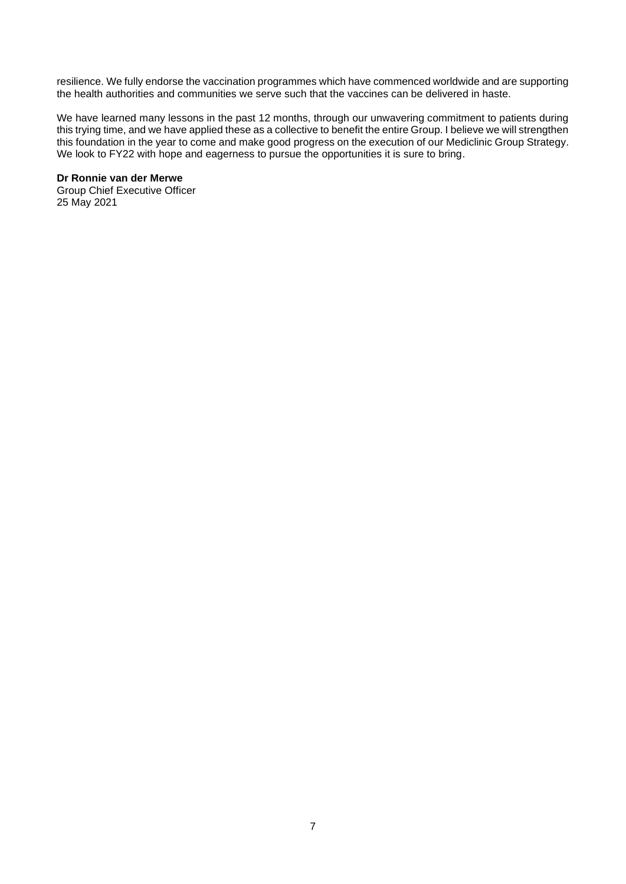resilience. We fully endorse the vaccination programmes which have commenced worldwide and are supporting the health authorities and communities we serve such that the vaccines can be delivered in haste.

We have learned many lessons in the past 12 months, through our unwavering commitment to patients during this trying time, and we have applied these as a collective to benefit the entire Group. I believe we will strengthen this foundation in the year to come and make good progress on the execution of our Mediclinic Group Strategy. We look to FY22 with hope and eagerness to pursue the opportunities it is sure to bring.

### **Dr Ronnie van der Merwe**

Group Chief Executive Officer 25 May 2021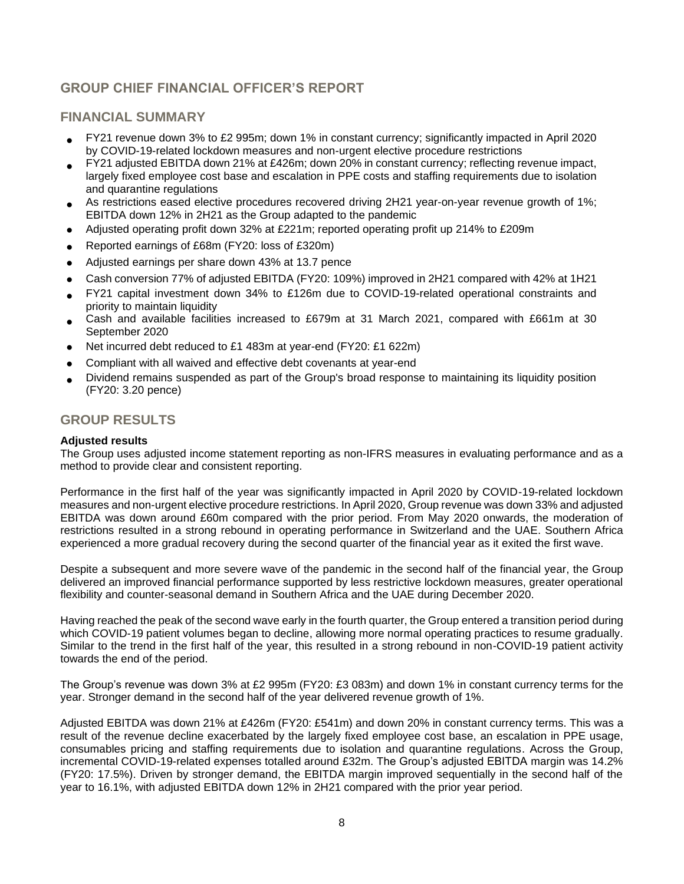# **GROUP CHIEF FINANCIAL OFFICER'S REPORT**

### **FINANCIAL SUMMARY**

- FY21 revenue down 3% to £2 995m; down 1% in constant currency; significantly impacted in April 2020 by COVID-19-related lockdown measures and non-urgent elective procedure restrictions
- FY21 adjusted EBITDA down 21% at £426m; down 20% in constant currency; reflecting revenue impact, largely fixed employee cost base and escalation in PPE costs and staffing requirements due to isolation and quarantine regulations
- As restrictions eased elective procedures recovered driving 2H21 year-on-year revenue growth of 1%; EBITDA down 12% in 2H21 as the Group adapted to the pandemic
- Adjusted operating profit down 32% at £221m; reported operating profit up 214% to £209m
- Reported earnings of £68m (FY20: loss of £320m)
- Adjusted earnings per share down 43% at 13.7 pence
- Cash conversion 77% of adjusted EBITDA (FY20: 109%) improved in 2H21 compared with 42% at 1H21
- FY21 capital investment down 34% to £126m due to COVID-19-related operational constraints and priority to maintain liquidity
- Cash and available facilities increased to £679m at 31 March 2021, compared with £661m at 30 September 2020
- Net incurred debt reduced to £1 483m at year-end (FY20: £1 622m)
- Compliant with all waived and effective debt covenants at year-end
- Dividend remains suspended as part of the Group's broad response to maintaining its liquidity position (FY20: 3.20 pence)

### **GROUP RESULTS**

### **Adjusted results**

The Group uses adjusted income statement reporting as non-IFRS measures in evaluating performance and as a method to provide clear and consistent reporting.

Performance in the first half of the year was significantly impacted in April 2020 by COVID-19-related lockdown measures and non-urgent elective procedure restrictions. In April 2020, Group revenue was down 33% and adjusted EBITDA was down around £60m compared with the prior period. From May 2020 onwards, the moderation of restrictions resulted in a strong rebound in operating performance in Switzerland and the UAE. Southern Africa experienced a more gradual recovery during the second quarter of the financial year as it exited the first wave.

Despite a subsequent and more severe wave of the pandemic in the second half of the financial year, the Group delivered an improved financial performance supported by less restrictive lockdown measures, greater operational flexibility and counter-seasonal demand in Southern Africa and the UAE during December 2020.

Having reached the peak of the second wave early in the fourth quarter, the Group entered a transition period during which COVID-19 patient volumes began to decline, allowing more normal operating practices to resume gradually. Similar to the trend in the first half of the year, this resulted in a strong rebound in non-COVID-19 patient activity towards the end of the period.

The Group's revenue was down 3% at £2 995m (FY20: £3 083m) and down 1% in constant currency terms for the year. Stronger demand in the second half of the year delivered revenue growth of 1%.

Adjusted EBITDA was down 21% at £426m (FY20: £541m) and down 20% in constant currency terms. This was a result of the revenue decline exacerbated by the largely fixed employee cost base, an escalation in PPE usage, consumables pricing and staffing requirements due to isolation and quarantine regulations. Across the Group, incremental COVID-19-related expenses totalled around £32m. The Group's adjusted EBITDA margin was 14.2% (FY20: 17.5%). Driven by stronger demand, the EBITDA margin improved sequentially in the second half of the year to 16.1%, with adjusted EBITDA down 12% in 2H21 compared with the prior year period.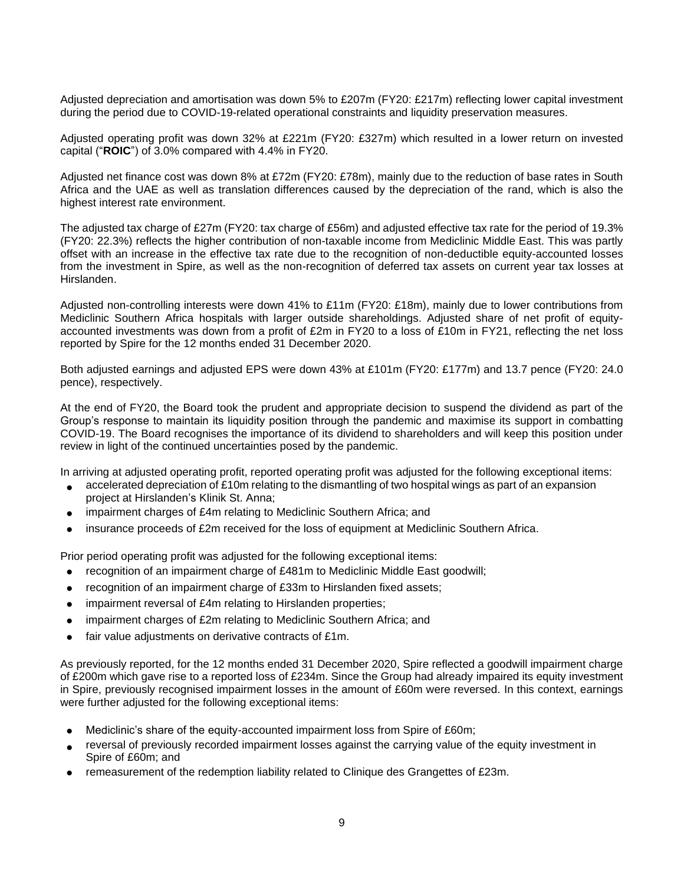Adjusted depreciation and amortisation was down 5% to £207m (FY20: £217m) reflecting lower capital investment during the period due to COVID-19-related operational constraints and liquidity preservation measures.

Adjusted operating profit was down 32% at £221m (FY20: £327m) which resulted in a lower return on invested capital ("**ROIC**") of 3.0% compared with 4.4% in FY20.

Adjusted net finance cost was down 8% at £72m (FY20: £78m), mainly due to the reduction of base rates in South Africa and the UAE as well as translation differences caused by the depreciation of the rand, which is also the highest interest rate environment.

The adjusted tax charge of £27m (FY20: tax charge of £56m) and adjusted effective tax rate for the period of 19.3% (FY20: 22.3%) reflects the higher contribution of non-taxable income from Mediclinic Middle East. This was partly offset with an increase in the effective tax rate due to the recognition of non-deductible equity-accounted losses from the investment in Spire, as well as the non-recognition of deferred tax assets on current year tax losses at Hirslanden.

Adjusted non-controlling interests were down 41% to £11m (FY20: £18m), mainly due to lower contributions from Mediclinic Southern Africa hospitals with larger outside shareholdings. Adjusted share of net profit of equityaccounted investments was down from a profit of £2m in FY20 to a loss of £10m in FY21, reflecting the net loss reported by Spire for the 12 months ended 31 December 2020.

Both adjusted earnings and adjusted EPS were down 43% at £101m (FY20: £177m) and 13.7 pence (FY20: 24.0 pence), respectively.

At the end of FY20, the Board took the prudent and appropriate decision to suspend the dividend as part of the Group's response to maintain its liquidity position through the pandemic and maximise its support in combatting COVID-19. The Board recognises the importance of its dividend to shareholders and will keep this position under review in light of the continued uncertainties posed by the pandemic.

In arriving at adjusted operating profit, reported operating profit was adjusted for the following exceptional items:

- accelerated depreciation of £10m relating to the dismantling of two hospital wings as part of an expansion project at Hirslanden's Klinik St. Anna;
- impairment charges of £4m relating to Mediclinic Southern Africa; and
- insurance proceeds of £2m received for the loss of equipment at Mediclinic Southern Africa.

Prior period operating profit was adjusted for the following exceptional items:

- recognition of an impairment charge of £481m to Mediclinic Middle East goodwill;
- recognition of an impairment charge of £33m to Hirslanden fixed assets;
- impairment reversal of £4m relating to Hirslanden properties;
- impairment charges of £2m relating to Mediclinic Southern Africa; and
- fair value adjustments on derivative contracts of £1m.

As previously reported, for the 12 months ended 31 December 2020, Spire reflected a goodwill impairment charge of £200m which gave rise to a reported loss of £234m. Since the Group had already impaired its equity investment in Spire, previously recognised impairment losses in the amount of £60m were reversed. In this context, earnings were further adjusted for the following exceptional items:

- Mediclinic's share of the equity-accounted impairment loss from Spire of £60m;
- reversal of previously recorded impairment losses against the carrying value of the equity investment in Spire of £60m; and
- remeasurement of the redemption liability related to Clinique des Grangettes of £23m.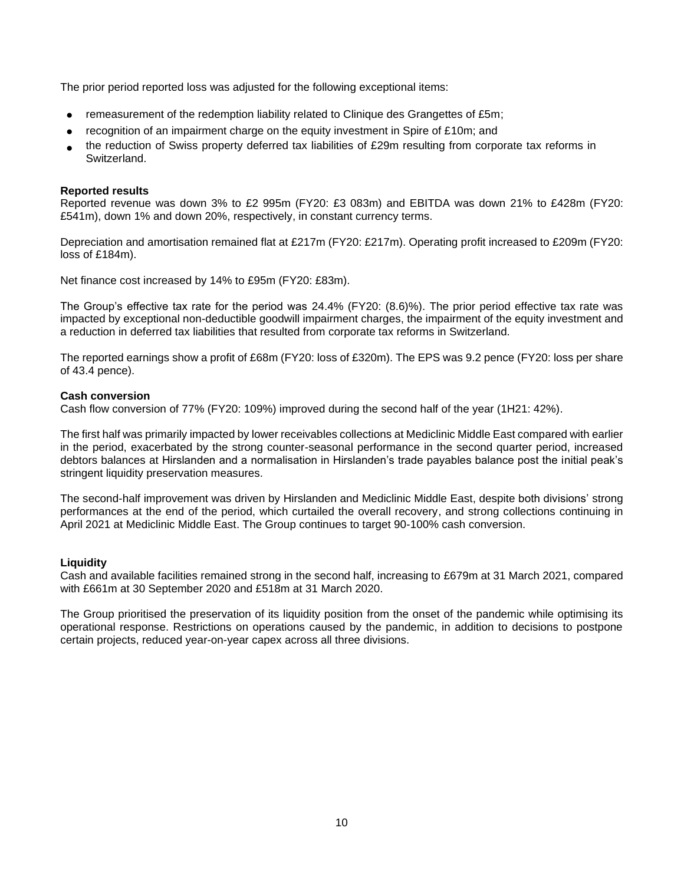The prior period reported loss was adjusted for the following exceptional items:

- remeasurement of the redemption liability related to Clinique des Grangettes of £5m;
- recognition of an impairment charge on the equity investment in Spire of £10m; and
- the reduction of Swiss property deferred tax liabilities of £29m resulting from corporate tax reforms in Switzerland.

### **Reported results**

Reported revenue was down 3% to £2 995m (FY20: £3 083m) and EBITDA was down 21% to £428m (FY20: £541m), down 1% and down 20%, respectively, in constant currency terms.

Depreciation and amortisation remained flat at £217m (FY20: £217m). Operating profit increased to £209m (FY20: loss of £184m).

Net finance cost increased by 14% to £95m (FY20: £83m).

The Group's effective tax rate for the period was 24.4% (FY20: (8.6)%). The prior period effective tax rate was impacted by exceptional non-deductible goodwill impairment charges, the impairment of the equity investment and a reduction in deferred tax liabilities that resulted from corporate tax reforms in Switzerland.

The reported earnings show a profit of £68m (FY20: loss of £320m). The EPS was 9.2 pence (FY20: loss per share of 43.4 pence).

#### **Cash conversion**

Cash flow conversion of 77% (FY20: 109%) improved during the second half of the year (1H21: 42%).

The first half was primarily impacted by lower receivables collections at Mediclinic Middle East compared with earlier in the period, exacerbated by the strong counter-seasonal performance in the second quarter period, increased debtors balances at Hirslanden and a normalisation in Hirslanden's trade payables balance post the initial peak's stringent liquidity preservation measures.

The second-half improvement was driven by Hirslanden and Mediclinic Middle East, despite both divisions' strong performances at the end of the period, which curtailed the overall recovery, and strong collections continuing in April 2021 at Mediclinic Middle East. The Group continues to target 90-100% cash conversion.

### **Liquidity**

Cash and available facilities remained strong in the second half, increasing to £679m at 31 March 2021, compared with £661m at 30 September 2020 and £518m at 31 March 2020.

The Group prioritised the preservation of its liquidity position from the onset of the pandemic while optimising its operational response. Restrictions on operations caused by the pandemic, in addition to decisions to postpone certain projects, reduced year-on-year capex across all three divisions.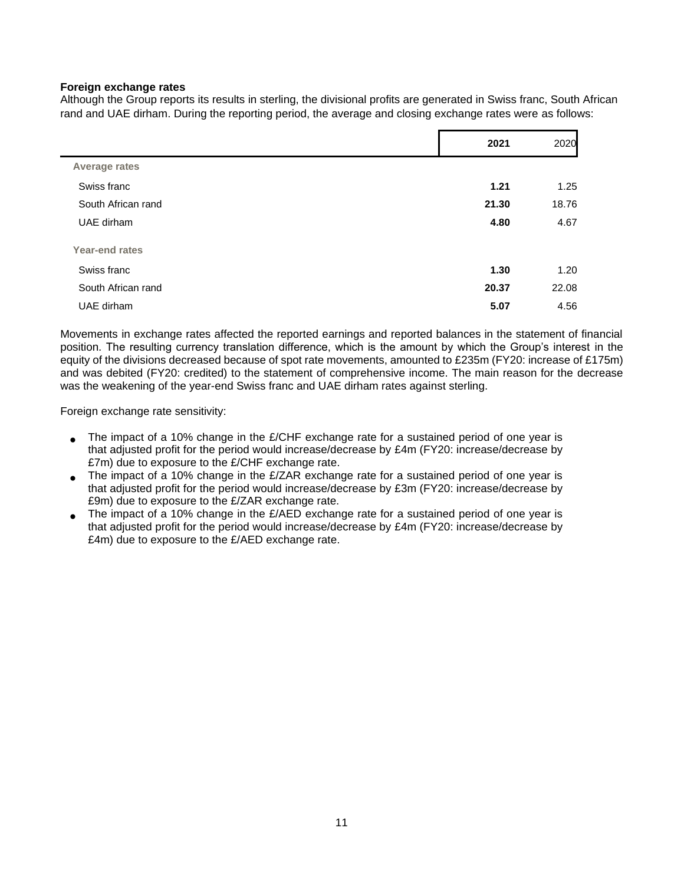### **Foreign exchange rates**

Although the Group reports its results in sterling, the divisional profits are generated in Swiss franc, South African rand and UAE dirham. During the reporting period, the average and closing exchange rates were as follows:

|                    | 2021  | 2020  |
|--------------------|-------|-------|
| Average rates      |       |       |
| Swiss franc        | 1.21  | 1.25  |
| South African rand | 21.30 | 18.76 |
| UAE dirham         | 4.80  | 4.67  |
| Year-end rates     |       |       |
| Swiss franc        | 1.30  | 1.20  |
| South African rand | 20.37 | 22.08 |
| UAE dirham         | 5.07  | 4.56  |

Movements in exchange rates affected the reported earnings and reported balances in the statement of financial position. The resulting currency translation difference, which is the amount by which the Group's interest in the equity of the divisions decreased because of spot rate movements, amounted to £235m (FY20: increase of £175m) and was debited (FY20: credited) to the statement of comprehensive income. The main reason for the decrease was the weakening of the year-end Swiss franc and UAE dirham rates against sterling.

Foreign exchange rate sensitivity:

- The impact of a 10% change in the  $E/CHF$  exchange rate for a sustained period of one year is that adjusted profit for the period would increase/decrease by £4m (FY20: increase/decrease by £7m) due to exposure to the £/CHF exchange rate.
- The impact of a 10% change in the  $E/ZAR$  exchange rate for a sustained period of one year is that adjusted profit for the period would increase/decrease by £3m (FY20: increase/decrease by £9m) due to exposure to the £/ZAR exchange rate.
- The impact of a 10% change in the £/AED exchange rate for a sustained period of one year is that adjusted profit for the period would increase/decrease by £4m (FY20: increase/decrease by £4m) due to exposure to the £/AED exchange rate.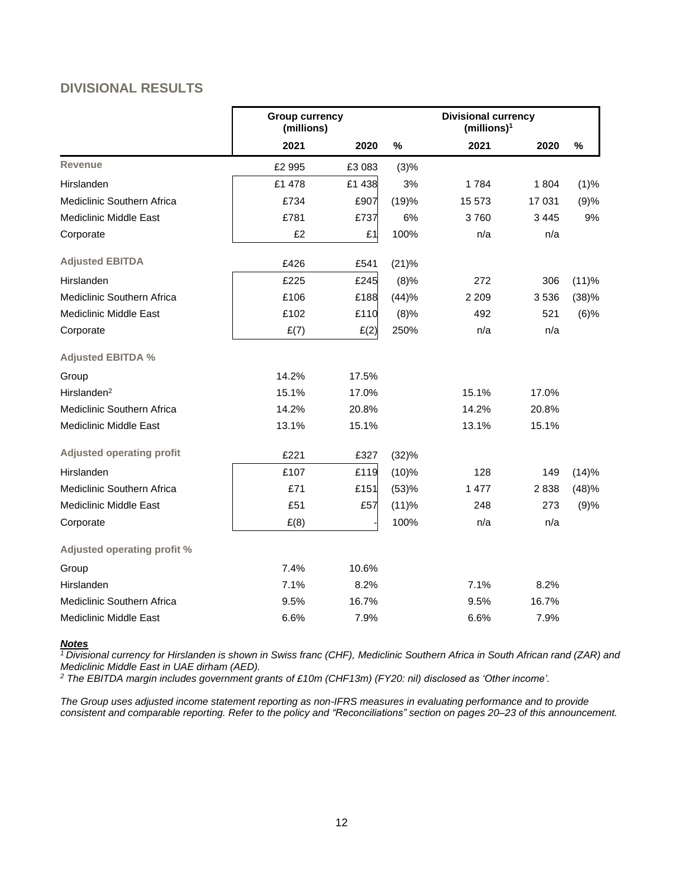# **DIVISIONAL RESULTS**

|                                   | <b>Group currency</b><br>(millions) |        |       | <b>Divisional currency</b><br>(millions) <sup>1</sup> |         |         |
|-----------------------------------|-------------------------------------|--------|-------|-------------------------------------------------------|---------|---------|
|                                   | 2021                                | 2020   | $\%$  | 2021                                                  | 2020    | %       |
| <b>Revenue</b>                    | £2 995                              | £3083  | (3)%  |                                                       |         |         |
| Hirslanden                        | £1 478                              | £1 438 | 3%    | 1784                                                  | 1804    | (1)%    |
| <b>Mediclinic Southern Africa</b> | £734                                | £907   | (19)% | 15 573                                                | 17 031  | (9)%    |
| <b>Mediclinic Middle East</b>     | £781                                | £737   | 6%    | 3760                                                  | 3 4 4 5 | 9%      |
| Corporate                         | £2                                  | £1     | 100%  | n/a                                                   | n/a     |         |
| <b>Adjusted EBITDA</b>            | £426                                | £541   | (21)% |                                                       |         |         |
| Hirslanden                        | £225                                | £245   | (8)%  | 272                                                   | 306     | (11)%   |
| Mediclinic Southern Africa        | £106                                | £188   | (44)% | 2 2 0 9                                               | 3536    | (38)%   |
| <b>Mediclinic Middle East</b>     | £102                                | £110   | (8)%  | 492                                                   | 521     | $(6)$ % |
| Corporate                         | E(7)                                | E(2)   | 250%  | n/a                                                   | n/a     |         |
| <b>Adjusted EBITDA %</b>          |                                     |        |       |                                                       |         |         |
| Group                             | 14.2%                               | 17.5%  |       |                                                       |         |         |
| Hirslanden <sup>2</sup>           | 15.1%                               | 17.0%  |       | 15.1%                                                 | 17.0%   |         |
| Mediclinic Southern Africa        | 14.2%                               | 20.8%  |       | 14.2%                                                 | 20.8%   |         |
| <b>Mediclinic Middle East</b>     | 13.1%                               | 15.1%  |       | 13.1%                                                 | 15.1%   |         |
| <b>Adjusted operating profit</b>  | £221                                | £327   | (32)% |                                                       |         |         |
| Hirslanden                        | £107                                | £119   | (10)% | 128                                                   | 149     | (14)%   |
| Mediclinic Southern Africa        | £71                                 | £151   | (53)% | 1 477                                                 | 2838    | (48)%   |
| <b>Mediclinic Middle East</b>     | £51                                 | £57    | (11)% | 248                                                   | 273     | (9)%    |
| Corporate                         | E(8)                                |        | 100%  | n/a                                                   | n/a     |         |
| Adjusted operating profit %       |                                     |        |       |                                                       |         |         |
| Group                             | 7.4%                                | 10.6%  |       |                                                       |         |         |
| Hirslanden                        | 7.1%                                | 8.2%   |       | 7.1%                                                  | 8.2%    |         |
| Mediclinic Southern Africa        | 9.5%                                | 16.7%  |       | 9.5%                                                  | 16.7%   |         |
| Mediclinic Middle East            | 6.6%                                | 7.9%   |       | 6.6%                                                  | 7.9%    |         |

#### *Notes*

*<sup>1</sup> Divisional currency for Hirslanden is shown in Swiss franc (CHF), Mediclinic Southern Africa in South African rand (ZAR) and Mediclinic Middle East in UAE dirham (AED).*

*<sup>2</sup> The EBITDA margin includes government grants of £10m (CHF13m) (FY20: nil) disclosed as 'Other income'.*

*The Group uses adjusted income statement reporting as non-IFRS measures in evaluating performance and to provide consistent and comparable reporting. Refer to the policy and "Reconciliations" section on pages 20*–*23 of this announcement.*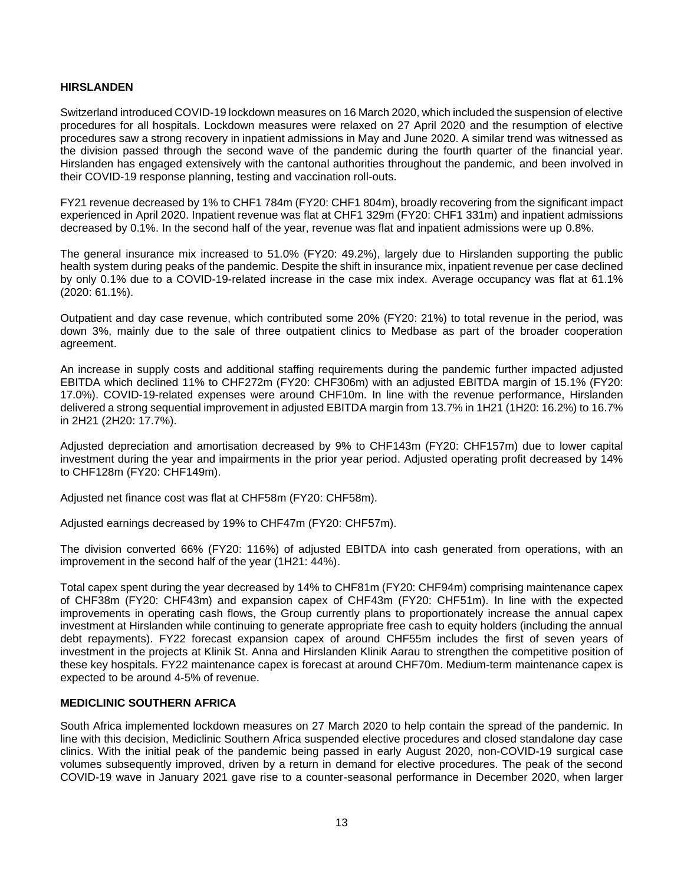### **HIRSLANDEN**

Switzerland introduced COVID-19 lockdown measures on 16 March 2020, which included the suspension of elective procedures for all hospitals. Lockdown measures were relaxed on 27 April 2020 and the resumption of elective procedures saw a strong recovery in inpatient admissions in May and June 2020. A similar trend was witnessed as the division passed through the second wave of the pandemic during the fourth quarter of the financial year. Hirslanden has engaged extensively with the cantonal authorities throughout the pandemic, and been involved in their COVID-19 response planning, testing and vaccination roll-outs.

FY21 revenue decreased by 1% to CHF1 784m (FY20: CHF1 804m), broadly recovering from the significant impact experienced in April 2020. Inpatient revenue was flat at CHF1 329m (FY20: CHF1 331m) and inpatient admissions decreased by 0.1%. In the second half of the year, revenue was flat and inpatient admissions were up 0.8%.

The general insurance mix increased to 51.0% (FY20: 49.2%), largely due to Hirslanden supporting the public health system during peaks of the pandemic. Despite the shift in insurance mix, inpatient revenue per case declined by only 0.1% due to a COVID-19-related increase in the case mix index. Average occupancy was flat at 61.1% (2020: 61.1%).

Outpatient and day case revenue, which contributed some 20% (FY20: 21%) to total revenue in the period, was down 3%, mainly due to the sale of three outpatient clinics to Medbase as part of the broader cooperation agreement.

An increase in supply costs and additional staffing requirements during the pandemic further impacted adjusted EBITDA which declined 11% to CHF272m (FY20: CHF306m) with an adjusted EBITDA margin of 15.1% (FY20: 17.0%). COVID-19-related expenses were around CHF10m. In line with the revenue performance, Hirslanden delivered a strong sequential improvement in adjusted EBITDA margin from 13.7% in 1H21 (1H20: 16.2%) to 16.7% in 2H21 (2H20: 17.7%).

Adjusted depreciation and amortisation decreased by 9% to CHF143m (FY20: CHF157m) due to lower capital investment during the year and impairments in the prior year period. Adjusted operating profit decreased by 14% to CHF128m (FY20: CHF149m).

Adjusted net finance cost was flat at CHF58m (FY20: CHF58m).

Adjusted earnings decreased by 19% to CHF47m (FY20: CHF57m).

The division converted 66% (FY20: 116%) of adjusted EBITDA into cash generated from operations, with an improvement in the second half of the year (1H21: 44%).

Total capex spent during the year decreased by 14% to CHF81m (FY20: CHF94m) comprising maintenance capex of CHF38m (FY20: CHF43m) and expansion capex of CHF43m (FY20: CHF51m). In line with the expected improvements in operating cash flows, the Group currently plans to proportionately increase the annual capex investment at Hirslanden while continuing to generate appropriate free cash to equity holders (including the annual debt repayments). FY22 forecast expansion capex of around CHF55m includes the first of seven years of investment in the projects at Klinik St. Anna and Hirslanden Klinik Aarau to strengthen the competitive position of these key hospitals. FY22 maintenance capex is forecast at around CHF70m. Medium-term maintenance capex is expected to be around 4-5% of revenue.

### **MEDICLINIC SOUTHERN AFRICA**

South Africa implemented lockdown measures on 27 March 2020 to help contain the spread of the pandemic. In line with this decision, Mediclinic Southern Africa suspended elective procedures and closed standalone day case clinics. With the initial peak of the pandemic being passed in early August 2020, non-COVID-19 surgical case volumes subsequently improved, driven by a return in demand for elective procedures. The peak of the second COVID-19 wave in January 2021 gave rise to a counter-seasonal performance in December 2020, when larger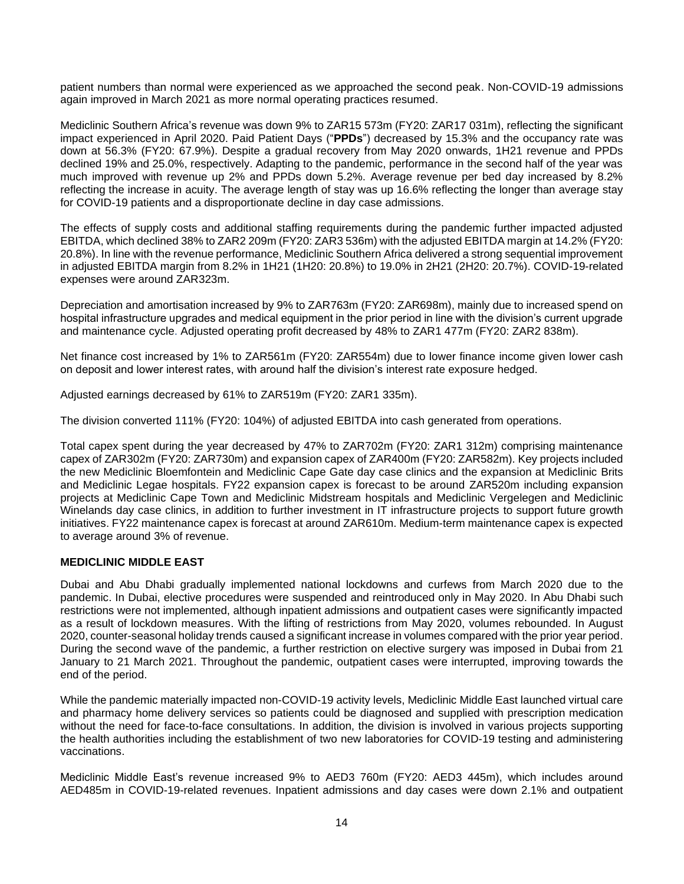patient numbers than normal were experienced as we approached the second peak. Non-COVID-19 admissions again improved in March 2021 as more normal operating practices resumed.

Mediclinic Southern Africa's revenue was down 9% to ZAR15 573m (FY20: ZAR17 031m), reflecting the significant impact experienced in April 2020. Paid Patient Days ("**PPDs**") decreased by 15.3% and the occupancy rate was down at 56.3% (FY20: 67.9%). Despite a gradual recovery from May 2020 onwards, 1H21 revenue and PPDs declined 19% and 25.0%, respectively. Adapting to the pandemic, performance in the second half of the year was much improved with revenue up 2% and PPDs down 5.2%. Average revenue per bed day increased by 8.2% reflecting the increase in acuity. The average length of stay was up 16.6% reflecting the longer than average stay for COVID-19 patients and a disproportionate decline in day case admissions.

The effects of supply costs and additional staffing requirements during the pandemic further impacted adjusted EBITDA, which declined 38% to ZAR2 209m (FY20: ZAR3 536m) with the adjusted EBITDA margin at 14.2% (FY20: 20.8%). In line with the revenue performance, Mediclinic Southern Africa delivered a strong sequential improvement in adjusted EBITDA margin from 8.2% in 1H21 (1H20: 20.8%) to 19.0% in 2H21 (2H20: 20.7%). COVID-19-related expenses were around ZAR323m.

Depreciation and amortisation increased by 9% to ZAR763m (FY20: ZAR698m), mainly due to increased spend on hospital infrastructure upgrades and medical equipment in the prior period in line with the division's current upgrade and maintenance cycle. Adjusted operating profit decreased by 48% to ZAR1 477m (FY20: ZAR2 838m).

Net finance cost increased by 1% to ZAR561m (FY20: ZAR554m) due to lower finance income given lower cash on deposit and lower interest rates, with around half the division's interest rate exposure hedged.

Adjusted earnings decreased by 61% to ZAR519m (FY20: ZAR1 335m).

The division converted 111% (FY20: 104%) of adjusted EBITDA into cash generated from operations.

Total capex spent during the year decreased by 47% to ZAR702m (FY20: ZAR1 312m) comprising maintenance capex of ZAR302m (FY20: ZAR730m) and expansion capex of ZAR400m (FY20: ZAR582m). Key projects included the new Mediclinic Bloemfontein and Mediclinic Cape Gate day case clinics and the expansion at Mediclinic Brits and Mediclinic Legae hospitals. FY22 expansion capex is forecast to be around ZAR520m including expansion projects at Mediclinic Cape Town and Mediclinic Midstream hospitals and Mediclinic Vergelegen and Mediclinic Winelands day case clinics, in addition to further investment in IT infrastructure projects to support future growth initiatives. FY22 maintenance capex is forecast at around ZAR610m. Medium-term maintenance capex is expected to average around 3% of revenue.

### **MEDICLINIC MIDDLE EAST**

Dubai and Abu Dhabi gradually implemented national lockdowns and curfews from March 2020 due to the pandemic. In Dubai, elective procedures were suspended and reintroduced only in May 2020. In Abu Dhabi such restrictions were not implemented, although inpatient admissions and outpatient cases were significantly impacted as a result of lockdown measures. With the lifting of restrictions from May 2020, volumes rebounded. In August 2020, counter-seasonal holiday trends caused a significant increase in volumes compared with the prior year period. During the second wave of the pandemic, a further restriction on elective surgery was imposed in Dubai from 21 January to 21 March 2021. Throughout the pandemic, outpatient cases were interrupted, improving towards the end of the period.

While the pandemic materially impacted non-COVID-19 activity levels, Mediclinic Middle East launched virtual care and pharmacy home delivery services so patients could be diagnosed and supplied with prescription medication without the need for face-to-face consultations. In addition, the division is involved in various projects supporting the health authorities including the establishment of two new laboratories for COVID-19 testing and administering vaccinations.

Mediclinic Middle East's revenue increased 9% to AED3 760m (FY20: AED3 445m), which includes around AED485m in COVID-19-related revenues. Inpatient admissions and day cases were down 2.1% and outpatient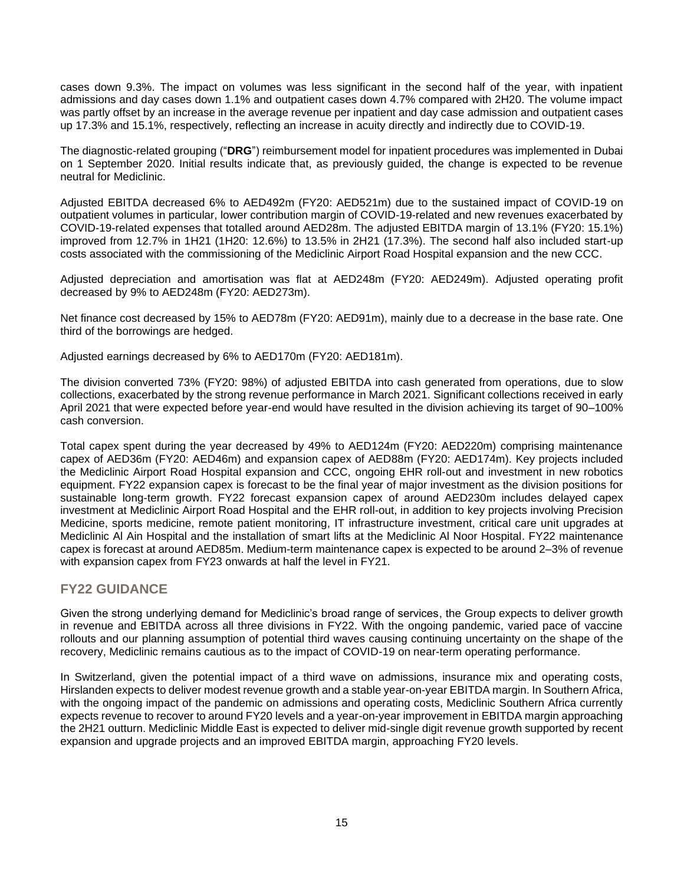cases down 9.3%. The impact on volumes was less significant in the second half of the year, with inpatient admissions and day cases down 1.1% and outpatient cases down 4.7% compared with 2H20. The volume impact was partly offset by an increase in the average revenue per inpatient and day case admission and outpatient cases up 17.3% and 15.1%, respectively, reflecting an increase in acuity directly and indirectly due to COVID-19.

The diagnostic-related grouping ("**DRG**") reimbursement model for inpatient procedures was implemented in Dubai on 1 September 2020. Initial results indicate that, as previously guided, the change is expected to be revenue neutral for Mediclinic.

Adjusted EBITDA decreased 6% to AED492m (FY20: AED521m) due to the sustained impact of COVID-19 on outpatient volumes in particular, lower contribution margin of COVID-19-related and new revenues exacerbated by COVID-19-related expenses that totalled around AED28m. The adjusted EBITDA margin of 13.1% (FY20: 15.1%) improved from 12.7% in 1H21 (1H20: 12.6%) to 13.5% in 2H21 (17.3%). The second half also included start-up costs associated with the commissioning of the Mediclinic Airport Road Hospital expansion and the new CCC.

Adjusted depreciation and amortisation was flat at AED248m (FY20: AED249m). Adjusted operating profit decreased by 9% to AED248m (FY20: AED273m).

Net finance cost decreased by 15% to AED78m (FY20: AED91m), mainly due to a decrease in the base rate. One third of the borrowings are hedged.

Adjusted earnings decreased by 6% to AED170m (FY20: AED181m).

The division converted 73% (FY20: 98%) of adjusted EBITDA into cash generated from operations, due to slow collections, exacerbated by the strong revenue performance in March 2021. Significant collections received in early April 2021 that were expected before year-end would have resulted in the division achieving its target of 90–100% cash conversion.

Total capex spent during the year decreased by 49% to AED124m (FY20: AED220m) comprising maintenance capex of AED36m (FY20: AED46m) and expansion capex of AED88m (FY20: AED174m). Key projects included the Mediclinic Airport Road Hospital expansion and CCC, ongoing EHR roll-out and investment in new robotics equipment. FY22 expansion capex is forecast to be the final year of major investment as the division positions for sustainable long-term growth. FY22 forecast expansion capex of around AED230m includes delayed capex investment at Mediclinic Airport Road Hospital and the EHR roll-out, in addition to key projects involving Precision Medicine, sports medicine, remote patient monitoring, IT infrastructure investment, critical care unit upgrades at Mediclinic Al Ain Hospital and the installation of smart lifts at the Mediclinic Al Noor Hospital. FY22 maintenance capex is forecast at around AED85m. Medium-term maintenance capex is expected to be around 2–3% of revenue with expansion capex from FY23 onwards at half the level in FY21.

### **FY22 GUIDANCE**

Given the strong underlying demand for Mediclinic's broad range of services, the Group expects to deliver growth in revenue and EBITDA across all three divisions in FY22. With the ongoing pandemic, varied pace of vaccine rollouts and our planning assumption of potential third waves causing continuing uncertainty on the shape of the recovery, Mediclinic remains cautious as to the impact of COVID-19 on near-term operating performance.

In Switzerland, given the potential impact of a third wave on admissions, insurance mix and operating costs, Hirslanden expects to deliver modest revenue growth and a stable year-on-year EBITDA margin. In Southern Africa, with the ongoing impact of the pandemic on admissions and operating costs, Mediclinic Southern Africa currently expects revenue to recover to around FY20 levels and a year-on-year improvement in EBITDA margin approaching the 2H21 outturn. Mediclinic Middle East is expected to deliver mid-single digit revenue growth supported by recent expansion and upgrade projects and an improved EBITDA margin, approaching FY20 levels.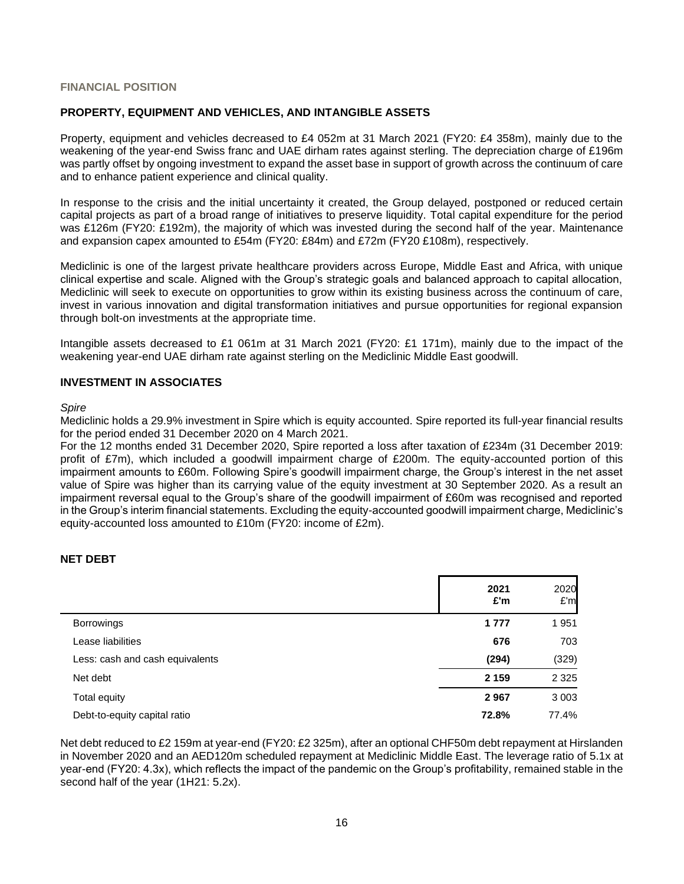### **FINANCIAL POSITION**

### **PROPERTY, EQUIPMENT AND VEHICLES, AND INTANGIBLE ASSETS**

Property, equipment and vehicles decreased to £4 052m at 31 March 2021 (FY20: £4 358m), mainly due to the weakening of the year-end Swiss franc and UAE dirham rates against sterling. The depreciation charge of £196m was partly offset by ongoing investment to expand the asset base in support of growth across the continuum of care and to enhance patient experience and clinical quality.

In response to the crisis and the initial uncertainty it created, the Group delayed, postponed or reduced certain capital projects as part of a broad range of initiatives to preserve liquidity. Total capital expenditure for the period was £126m (FY20: £192m), the majority of which was invested during the second half of the year. Maintenance and expansion capex amounted to £54m (FY20: £84m) and £72m (FY20 £108m), respectively.

Mediclinic is one of the largest private healthcare providers across Europe, Middle East and Africa, with unique clinical expertise and scale. Aligned with the Group's strategic goals and balanced approach to capital allocation, Mediclinic will seek to execute on opportunities to grow within its existing business across the continuum of care, invest in various innovation and digital transformation initiatives and pursue opportunities for regional expansion through bolt-on investments at the appropriate time.

Intangible assets decreased to £1 061m at 31 March 2021 (FY20: £1 171m), mainly due to the impact of the weakening year-end UAE dirham rate against sterling on the Mediclinic Middle East goodwill.

### **INVESTMENT IN ASSOCIATES**

#### *Spire*

Mediclinic holds a 29.9% investment in Spire which is equity accounted. Spire reported its full-year financial results for the period ended 31 December 2020 on 4 March 2021.

For the 12 months ended 31 December 2020, Spire reported a loss after taxation of £234m (31 December 2019: profit of £7m), which included a goodwill impairment charge of £200m. The equity-accounted portion of this impairment amounts to £60m. Following Spire's goodwill impairment charge, the Group's interest in the net asset value of Spire was higher than its carrying value of the equity investment at 30 September 2020. As a result an impairment reversal equal to the Group's share of the goodwill impairment of £60m was recognised and reported in the Group's interim financial statements. Excluding the equity-accounted goodwill impairment charge, Mediclinic's equity-accounted loss amounted to £10m (FY20: income of £2m).

### **NET DEBT**

|                                 | 2021<br>£'m | 2020<br>E'm |
|---------------------------------|-------------|-------------|
| <b>Borrowings</b>               | 1 7 7 7     | 1951        |
| Lease liabilities               | 676         | 703         |
| Less: cash and cash equivalents | (294)       | (329)       |
| Net debt                        | 2 1 5 9     | 2 3 2 5     |
| Total equity                    | 2967        | 3 0 0 3     |
| Debt-to-equity capital ratio    | 72.8%       | 77.4%       |

Net debt reduced to £2 159m at year-end (FY20: £2 325m), after an optional CHF50m debt repayment at Hirslanden in November 2020 and an AED120m scheduled repayment at Mediclinic Middle East. The leverage ratio of 5.1x at year-end (FY20: 4.3x), which reflects the impact of the pandemic on the Group's profitability, remained stable in the second half of the year (1H21: 5.2x).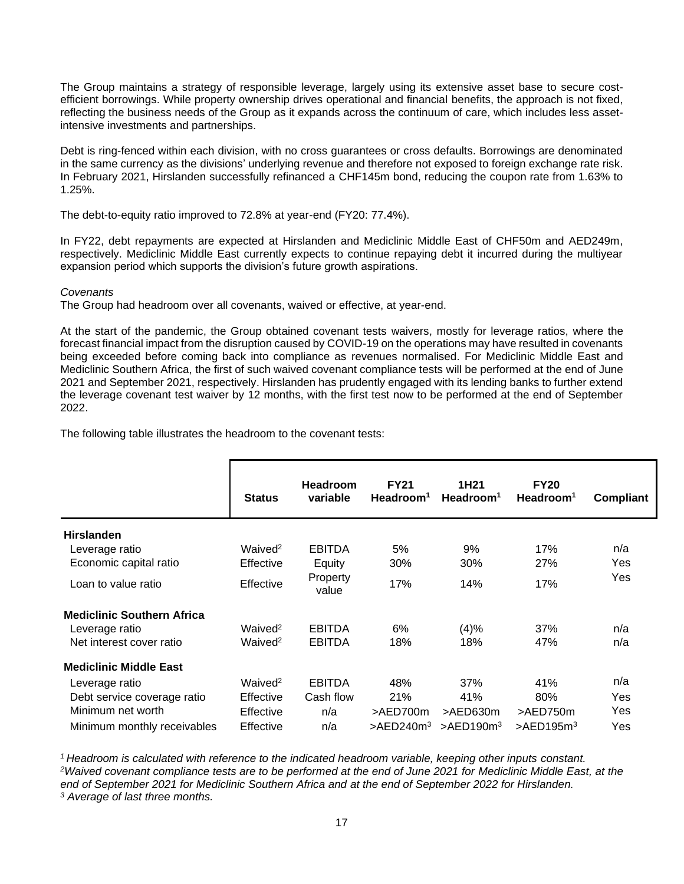The Group maintains a strategy of responsible leverage, largely using its extensive asset base to secure costefficient borrowings. While property ownership drives operational and financial benefits, the approach is not fixed, reflecting the business needs of the Group as it expands across the continuum of care, which includes less assetintensive investments and partnerships.

Debt is ring-fenced within each division, with no cross guarantees or cross defaults. Borrowings are denominated in the same currency as the divisions' underlying revenue and therefore not exposed to foreign exchange rate risk. In February 2021, Hirslanden successfully refinanced a CHF145m bond, reducing the coupon rate from 1.63% to 1.25%.

The debt-to-equity ratio improved to 72.8% at year-end (FY20: 77.4%).

In FY22, debt repayments are expected at Hirslanden and Mediclinic Middle East of CHF50m and AED249m, respectively. Mediclinic Middle East currently expects to continue repaying debt it incurred during the multiyear expansion period which supports the division's future growth aspirations.

### *Covenants*

The Group had headroom over all covenants, waived or effective, at year-end.

At the start of the pandemic, the Group obtained covenant tests waivers, mostly for leverage ratios, where the forecast financial impact from the disruption caused by COVID-19 on the operations may have resulted in covenants being exceeded before coming back into compliance as revenues normalised. For Mediclinic Middle East and Mediclinic Southern Africa, the first of such waived covenant compliance tests will be performed at the end of June 2021 and September 2021, respectively. Hirslanden has prudently engaged with its lending banks to further extend the leverage covenant test waiver by 12 months, with the first test now to be performed at the end of September 2022.

The following table illustrates the headroom to the covenant tests:

|                                   | <b>Status</b>       | <b>Headroom</b><br>variable | <b>FY21</b><br>Headroom <sup>1</sup> | 1H <sub>21</sub><br>Headroom <sup>1</sup> | <b>FY20</b><br>Headroom <sup>1</sup> | Compliant |
|-----------------------------------|---------------------|-----------------------------|--------------------------------------|-------------------------------------------|--------------------------------------|-----------|
| <b>Hirslanden</b>                 |                     |                             |                                      |                                           |                                      |           |
| Leverage ratio                    | Waived <sup>2</sup> | <b>EBITDA</b>               | 5%                                   | 9%                                        | 17%                                  | n/a       |
| Economic capital ratio            | Effective           | Equity                      | 30%                                  | 30%                                       | 27%                                  | Yes       |
| Loan to value ratio               | Effective           | Property<br>value           | 17%                                  | 14%                                       | 17%                                  | Yes       |
| <b>Mediclinic Southern Africa</b> |                     |                             |                                      |                                           |                                      |           |
| Leverage ratio                    | Waived <sup>2</sup> | <b>EBITDA</b>               | 6%                                   | (4)%                                      | 37%                                  | n/a       |
| Net interest cover ratio          | Waived <sup>2</sup> | <b>EBITDA</b>               | 18%                                  | 18%                                       | 47%                                  | n/a       |
| <b>Mediclinic Middle East</b>     |                     |                             |                                      |                                           |                                      |           |
| Leverage ratio                    | Waived <sup>2</sup> | <b>EBITDA</b>               | 48%                                  | 37%                                       | 41%                                  | n/a       |
| Debt service coverage ratio       | Effective           | Cash flow                   | 21%                                  | 41%                                       | 80%                                  | Yes       |
| Minimum net worth                 | Effective           | n/a                         | >AED700m                             | >AED630m                                  | >AED750m                             | Yes       |
| Minimum monthly receivables       | Effective           | n/a                         | $>$ AED240m <sup>3</sup>             | $>$ AED190 $m3$                           | $>$ AED195 $m3$                      | Yes       |

*Headroom is calculated with reference to the indicated headroom variable, keeping other inputs constant. Waived covenant compliance tests are to be performed at the end of June 2021 for Mediclinic Middle East, at the end of September 2021 for Mediclinic Southern Africa and at the end of September 2022 for Hirslanden. Average of last three months.*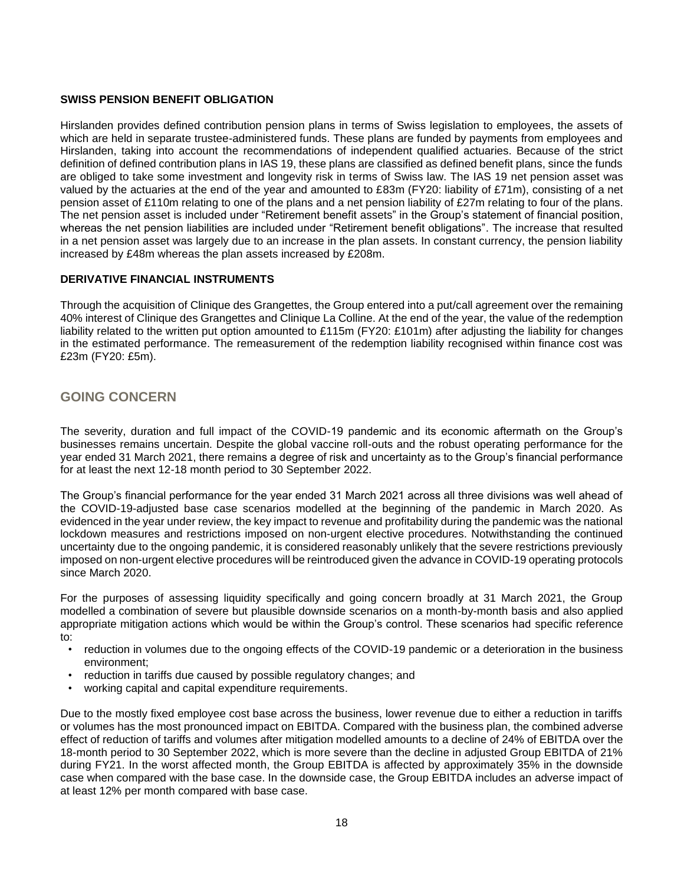### **SWISS PENSION BENEFIT OBLIGATION**

Hirslanden provides defined contribution pension plans in terms of Swiss legislation to employees, the assets of which are held in separate trustee-administered funds. These plans are funded by payments from employees and Hirslanden, taking into account the recommendations of independent qualified actuaries. Because of the strict definition of defined contribution plans in IAS 19, these plans are classified as defined benefit plans, since the funds are obliged to take some investment and longevity risk in terms of Swiss law. The IAS 19 net pension asset was valued by the actuaries at the end of the year and amounted to £83m (FY20: liability of £71m), consisting of a net pension asset of £110m relating to one of the plans and a net pension liability of £27m relating to four of the plans. The net pension asset is included under "Retirement benefit assets" in the Group's statement of financial position, whereas the net pension liabilities are included under "Retirement benefit obligations". The increase that resulted in a net pension asset was largely due to an increase in the plan assets. In constant currency, the pension liability increased by £48m whereas the plan assets increased by £208m.

### **DERIVATIVE FINANCIAL INSTRUMENTS**

Through the acquisition of Clinique des Grangettes, the Group entered into a put/call agreement over the remaining 40% interest of Clinique des Grangettes and Clinique La Colline. At the end of the year, the value of the redemption liability related to the written put option amounted to £115m (FY20: £101m) after adjusting the liability for changes in the estimated performance. The remeasurement of the redemption liability recognised within finance cost was £23m (FY20: £5m).

### **GOING CONCERN**

The severity, duration and full impact of the COVID-19 pandemic and its economic aftermath on the Group's businesses remains uncertain. Despite the global vaccine roll-outs and the robust operating performance for the year ended 31 March 2021, there remains a degree of risk and uncertainty as to the Group's financial performance for at least the next 12-18 month period to 30 September 2022.

The Group's financial performance for the year ended 31 March 2021 across all three divisions was well ahead of the COVID-19-adjusted base case scenarios modelled at the beginning of the pandemic in March 2020. As evidenced in the year under review, the key impact to revenue and profitability during the pandemic was the national lockdown measures and restrictions imposed on non-urgent elective procedures. Notwithstanding the continued uncertainty due to the ongoing pandemic, it is considered reasonably unlikely that the severe restrictions previously imposed on non-urgent elective procedures will be reintroduced given the advance in COVID-19 operating protocols since March 2020.

For the purposes of assessing liquidity specifically and going concern broadly at 31 March 2021, the Group modelled a combination of severe but plausible downside scenarios on a month-by-month basis and also applied appropriate mitigation actions which would be within the Group's control. These scenarios had specific reference to:

- reduction in volumes due to the ongoing effects of the COVID-19 pandemic or a deterioration in the business environment;
- reduction in tariffs due caused by possible regulatory changes; and
- working capital and capital expenditure requirements.

Due to the mostly fixed employee cost base across the business, lower revenue due to either a reduction in tariffs or volumes has the most pronounced impact on EBITDA. Compared with the business plan, the combined adverse effect of reduction of tariffs and volumes after mitigation modelled amounts to a decline of 24% of EBITDA over the 18-month period to 30 September 2022, which is more severe than the decline in adjusted Group EBITDA of 21% during FY21. In the worst affected month, the Group EBITDA is affected by approximately 35% in the downside case when compared with the base case. In the downside case, the Group EBITDA includes an adverse impact of at least 12% per month compared with base case.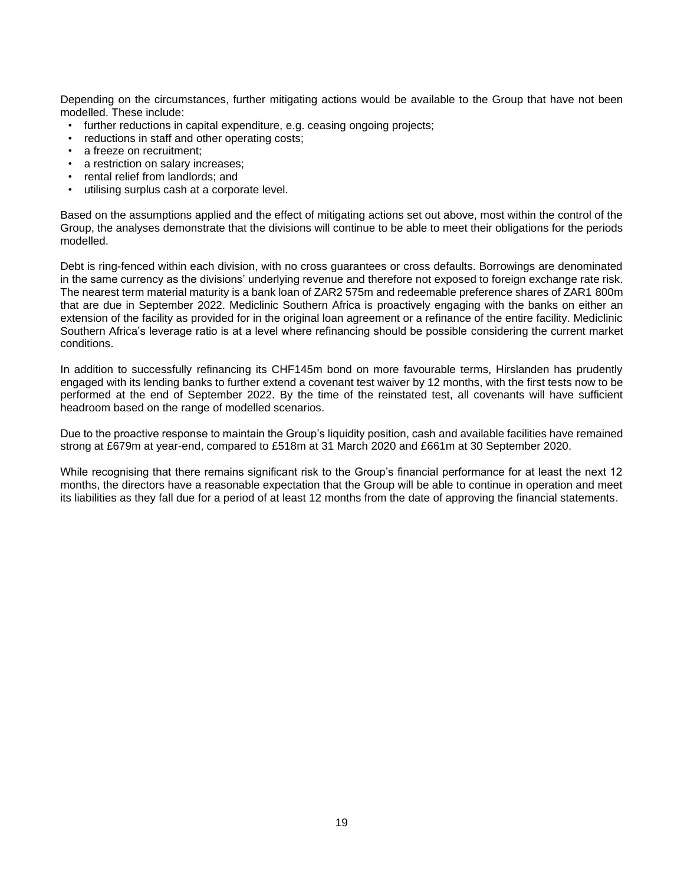Depending on the circumstances, further mitigating actions would be available to the Group that have not been modelled. These include:

- further reductions in capital expenditure, e.g. ceasing ongoing projects;
- reductions in staff and other operating costs;
- a freeze on recruitment:
- a restriction on salary increases;
- rental relief from landlords; and
- utilising surplus cash at a corporate level.

Based on the assumptions applied and the effect of mitigating actions set out above, most within the control of the Group, the analyses demonstrate that the divisions will continue to be able to meet their obligations for the periods modelled.

Debt is ring-fenced within each division, with no cross guarantees or cross defaults. Borrowings are denominated in the same currency as the divisions' underlying revenue and therefore not exposed to foreign exchange rate risk. The nearest term material maturity is a bank loan of ZAR2 575m and redeemable preference shares of ZAR1 800m that are due in September 2022. Mediclinic Southern Africa is proactively engaging with the banks on either an extension of the facility as provided for in the original loan agreement or a refinance of the entire facility. Mediclinic Southern Africa's leverage ratio is at a level where refinancing should be possible considering the current market conditions.

In addition to successfully refinancing its CHF145m bond on more favourable terms, Hirslanden has prudently engaged with its lending banks to further extend a covenant test waiver by 12 months, with the first tests now to be performed at the end of September 2022. By the time of the reinstated test, all covenants will have sufficient headroom based on the range of modelled scenarios.

Due to the proactive response to maintain the Group's liquidity position, cash and available facilities have remained strong at £679m at year-end, compared to £518m at 31 March 2020 and £661m at 30 September 2020.

While recognising that there remains significant risk to the Group's financial performance for at least the next 12 months, the directors have a reasonable expectation that the Group will be able to continue in operation and meet its liabilities as they fall due for a period of at least 12 months from the date of approving the financial statements.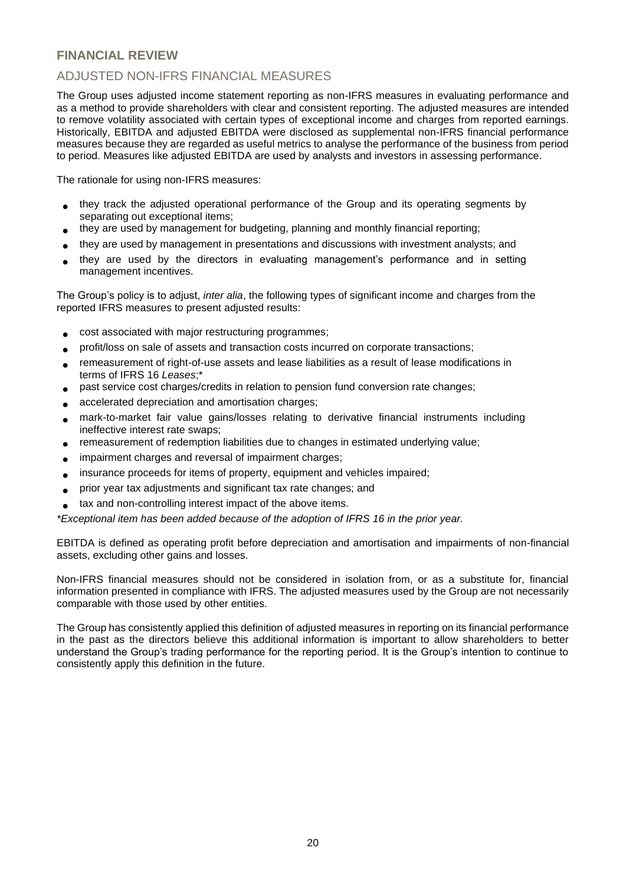# **FINANCIAL REVIEW**

# ADJUSTED NON-IFRS FINANCIAL MEASURES

The Group uses adjusted income statement reporting as non-IFRS measures in evaluating performance and as a method to provide shareholders with clear and consistent reporting. The adjusted measures are intended to remove volatility associated with certain types of exceptional income and charges from reported earnings. Historically, EBITDA and adjusted EBITDA were disclosed as supplemental non-IFRS financial performance measures because they are regarded as useful metrics to analyse the performance of the business from period to period. Measures like adjusted EBITDA are used by analysts and investors in assessing performance.

The rationale for using non-IFRS measures:

- they track the adjusted operational performance of the Group and its operating segments by separating out exceptional items;
- they are used by management for budgeting, planning and monthly financial reporting;
- they are used by management in presentations and discussions with investment analysts; and
- they are used by the directors in evaluating management's performance and in setting management incentives.

The Group's policy is to adjust, *inter alia*, the following types of significant income and charges from the reported IFRS measures to present adjusted results:

- cost associated with major restructuring programmes;
- profit/loss on sale of assets and transaction costs incurred on corporate transactions;
- remeasurement of right-of-use assets and lease liabilities as a result of lease modifications in terms of IFRS 16 *Leases*;\*
- past service cost charges/credits in relation to pension fund conversion rate changes;
- accelerated depreciation and amortisation charges;
- mark-to-market fair value gains/losses relating to derivative financial instruments including ineffective interest rate swaps;
- remeasurement of redemption liabilities due to changes in estimated underlying value;
- impairment charges and reversal of impairment charges;
- insurance proceeds for items of property, equipment and vehicles impaired;
- prior year tax adjustments and significant tax rate changes; and
- tax and non-controlling interest impact of the above items.

*\*Exceptional item has been added because of the adoption of IFRS 16 in the prior year.*

EBITDA is defined as operating profit before depreciation and amortisation and impairments of non-financial assets, excluding other gains and losses.

Non-IFRS financial measures should not be considered in isolation from, or as a substitute for, financial information presented in compliance with IFRS. The adjusted measures used by the Group are not necessarily comparable with those used by other entities.

The Group has consistently applied this definition of adjusted measures in reporting on its financial performance in the past as the directors believe this additional information is important to allow shareholders to better understand the Group's trading performance for the reporting period. It is the Group's intention to continue to consistently apply this definition in the future.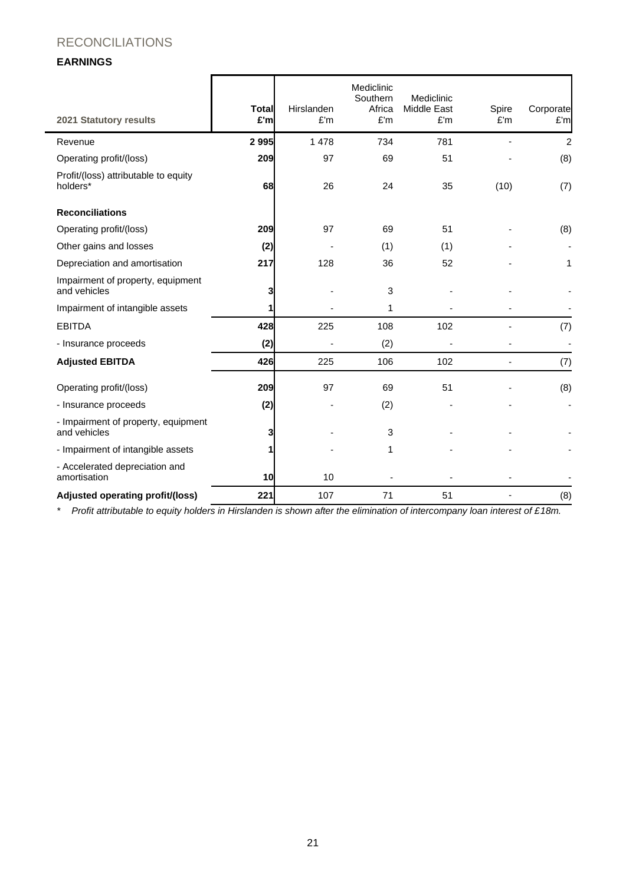# RECONCILIATIONS

### **EARNINGS**

| <b>2021 Statutory results</b>                       | <b>Total</b><br>£'m | Hirslanden<br>E'm | Mediclinic<br>Southern<br>Africa<br>£'m | Mediclinic<br>Middle East<br>£'m | Spire<br>E'm   | Corporate<br>£'m |
|-----------------------------------------------------|---------------------|-------------------|-----------------------------------------|----------------------------------|----------------|------------------|
| Revenue                                             | 2995                | 1 4 7 8           | 734                                     | 781                              |                | 2                |
| Operating profit/(loss)                             | 209                 | 97                | 69                                      | 51                               |                | (8)              |
| Profit/(loss) attributable to equity<br>holders*    | 68                  | 26                | 24                                      | 35                               | (10)           | (7)              |
| <b>Reconciliations</b>                              |                     |                   |                                         |                                  |                |                  |
| Operating profit/(loss)                             | 209                 | 97                | 69                                      | 51                               |                | (8)              |
| Other gains and losses                              | (2)                 |                   | (1)                                     | (1)                              |                |                  |
| Depreciation and amortisation                       | 217                 | 128               | 36                                      | 52                               |                | 1                |
| Impairment of property, equipment<br>and vehicles   | 3                   |                   | 3                                       |                                  |                |                  |
| Impairment of intangible assets                     | 1                   |                   | 1                                       |                                  |                |                  |
| <b>EBITDA</b>                                       | 428                 | 225               | 108                                     | 102                              |                | (7)              |
| - Insurance proceeds                                | (2)                 |                   | (2)                                     |                                  |                |                  |
| <b>Adjusted EBITDA</b>                              | 426                 | 225               | 106                                     | 102                              | $\blacksquare$ | (7)              |
| Operating profit/(loss)                             | 209                 | 97                | 69                                      | 51                               |                | (8)              |
| - Insurance proceeds                                | (2)                 |                   | (2)                                     |                                  |                |                  |
| - Impairment of property, equipment<br>and vehicles | 3                   |                   | 3                                       |                                  |                |                  |
| - Impairment of intangible assets                   | 1                   |                   | 1                                       |                                  |                |                  |
| - Accelerated depreciation and<br>amortisation      | 10                  | 10                |                                         |                                  |                |                  |
| Adjusted operating profit/(loss)                    | 221                 | 107               | 71                                      | 51                               |                | (8)              |

*\* Profit attributable to equity holders in Hirslanden is shown after the elimination of intercompany loan interest of £18m.*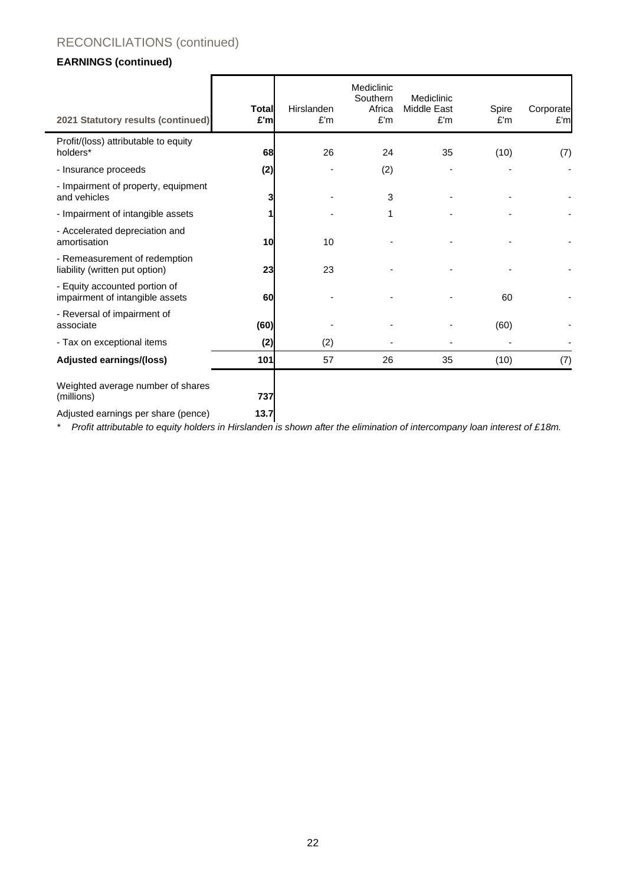# RECONCILIATIONS (continued)

# **EARNINGS (continued)**

| 2021 Statutory results (continued)                               | <b>Total</b><br>£'m | Hirslanden<br>E'm | Mediclinic<br>Southern<br>Africa<br>E'm | Mediclinic<br>Middle East<br>£'m | Spire<br>E'm | Corporate<br>E'm |
|------------------------------------------------------------------|---------------------|-------------------|-----------------------------------------|----------------------------------|--------------|------------------|
| Profit/(loss) attributable to equity<br>holders*                 | 68                  | 26                | 24                                      | 35                               | (10)         | (7)              |
| - Insurance proceeds                                             | (2)                 |                   | (2)                                     |                                  |              |                  |
| - Impairment of property, equipment<br>and vehicles              |                     |                   | 3                                       |                                  |              |                  |
| - Impairment of intangible assets                                |                     |                   | 1                                       |                                  |              |                  |
| - Accelerated depreciation and<br>amortisation                   | 10                  | 10                |                                         |                                  |              |                  |
| - Remeasurement of redemption<br>liability (written put option)  | 23                  | 23                |                                         |                                  |              |                  |
| - Equity accounted portion of<br>impairment of intangible assets | 60                  |                   |                                         |                                  | 60           |                  |
| - Reversal of impairment of<br>associate                         | (60)                |                   |                                         |                                  | (60)         |                  |
| - Tax on exceptional items                                       | (2)                 | (2)               |                                         |                                  |              |                  |
| Adjusted earnings/(loss)                                         | 101                 | 57                | 26                                      | 35                               | (10)         | (7)              |
| Weighted average number of shares<br>(millions)                  | 737                 |                   |                                         |                                  |              |                  |
| Adjusted earnings per share (pence)                              | 13.7                |                   |                                         |                                  |              |                  |

*\* Profit attributable to equity holders in Hirslanden is shown after the elimination of intercompany loan interest of £18m.*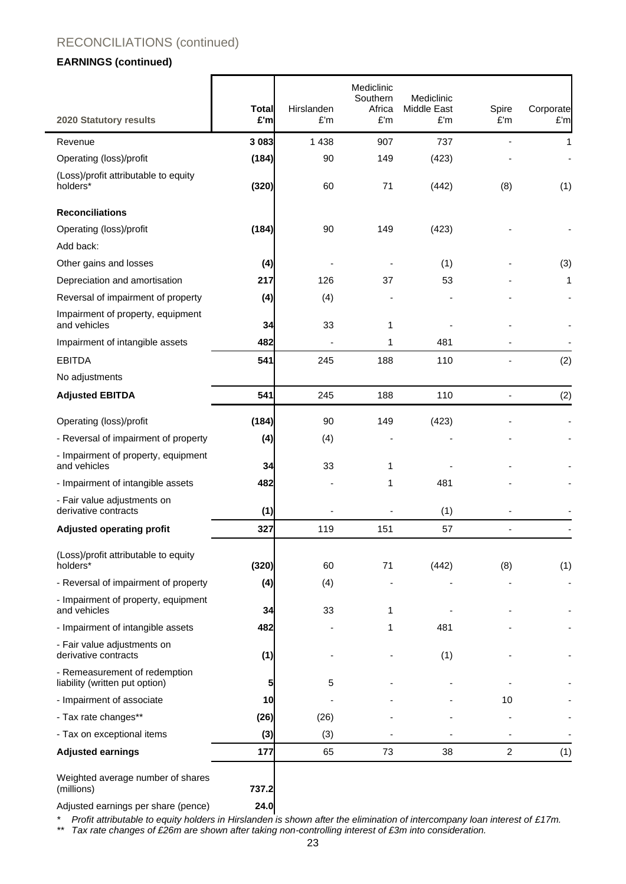# RECONCILIATIONS (continued)

### **EARNINGS (continued)**

÷

|                                                                 | <b>Total</b><br>£'m | Hirslanden<br>£'m | Mediclinic<br>Southern<br>Africa<br>£'m | Mediclinic<br>Middle East<br>£'m | Spire<br>£'m   | Corporate<br>£'m |
|-----------------------------------------------------------------|---------------------|-------------------|-----------------------------------------|----------------------------------|----------------|------------------|
| 2020 Statutory results                                          |                     |                   |                                         |                                  |                |                  |
| Revenue                                                         | 3 0 8 3             | 1 4 3 8           | 907                                     | 737                              |                | 1                |
| Operating (loss)/profit                                         | (184)               | 90                | 149                                     | (423)                            |                |                  |
| (Loss)/profit attributable to equity<br>holders*                | (320)               | 60                | 71                                      | (442)                            | (8)            | (1)              |
| <b>Reconciliations</b>                                          |                     |                   |                                         |                                  |                |                  |
| Operating (loss)/profit                                         | (184)               | 90                | 149                                     | (423)                            |                |                  |
| Add back:                                                       |                     |                   |                                         |                                  |                |                  |
| Other gains and losses                                          | (4)                 |                   |                                         | (1)                              |                | (3)              |
| Depreciation and amortisation                                   | 217                 | 126               | 37                                      | 53                               |                | 1                |
| Reversal of impairment of property                              | (4)                 | (4)               |                                         |                                  |                |                  |
| Impairment of property, equipment<br>and vehicles               | 34                  | 33                | 1                                       |                                  |                |                  |
| Impairment of intangible assets                                 | 482                 |                   | 1                                       | 481                              |                |                  |
| <b>EBITDA</b>                                                   | 541                 | 245               | 188                                     | 110                              |                | (2)              |
| No adjustments                                                  |                     |                   |                                         |                                  |                |                  |
| <b>Adjusted EBITDA</b>                                          | 541                 | 245               | 188                                     | 110                              |                | (2)              |
| Operating (loss)/profit                                         | (184)               | 90                | 149                                     | (423)                            |                |                  |
| - Reversal of impairment of property                            | (4)                 | (4)               |                                         |                                  |                |                  |
| - Impairment of property, equipment<br>and vehicles             | 34                  | 33                | 1                                       |                                  |                |                  |
| - Impairment of intangible assets                               | 482                 |                   | 1                                       | 481                              |                |                  |
| - Fair value adjustments on<br>derivative contracts             | (1)                 |                   |                                         | (1)                              |                |                  |
| <b>Adjusted operating profit</b>                                | 327                 | 119               | 151                                     | 57                               |                |                  |
|                                                                 |                     |                   |                                         |                                  |                |                  |
| (Loss)/profit attributable to equity<br>holders*                | (320)               | 60                | 71                                      | (442)                            | (8)            | (1)              |
| - Reversal of impairment of property                            | (4)                 | (4)               |                                         |                                  |                |                  |
| - Impairment of property, equipment<br>and vehicles             | 34                  | 33                | 1                                       |                                  |                |                  |
| - Impairment of intangible assets                               | 482                 |                   | 1                                       | 481                              |                |                  |
| - Fair value adjustments on<br>derivative contracts             | (1)                 |                   |                                         | (1)                              |                |                  |
| - Remeasurement of redemption<br>liability (written put option) | 5                   | 5                 |                                         |                                  |                |                  |
| - Impairment of associate                                       | 10                  |                   |                                         |                                  | 10             |                  |
| - Tax rate changes**                                            | (26)                | (26)              |                                         |                                  |                |                  |
| - Tax on exceptional items                                      | (3)                 | (3)               |                                         |                                  |                |                  |
| <b>Adjusted earnings</b>                                        | 177                 | 65                | 73                                      | 38                               | $\overline{c}$ | (1)              |
| Weighted average number of shares                               |                     |                   |                                         |                                  |                |                  |
| (millions)                                                      | 737.2               |                   |                                         |                                  |                |                  |
| Adjusted earnings per share (pence)                             | 24.0                |                   |                                         |                                  |                |                  |

*\* Profit attributable to equity holders in Hirslanden is shown after the elimination of intercompany loan interest of £17m.*

*\*\* Tax rate changes of £26m are shown after taking non-controlling interest of £3m into consideration.*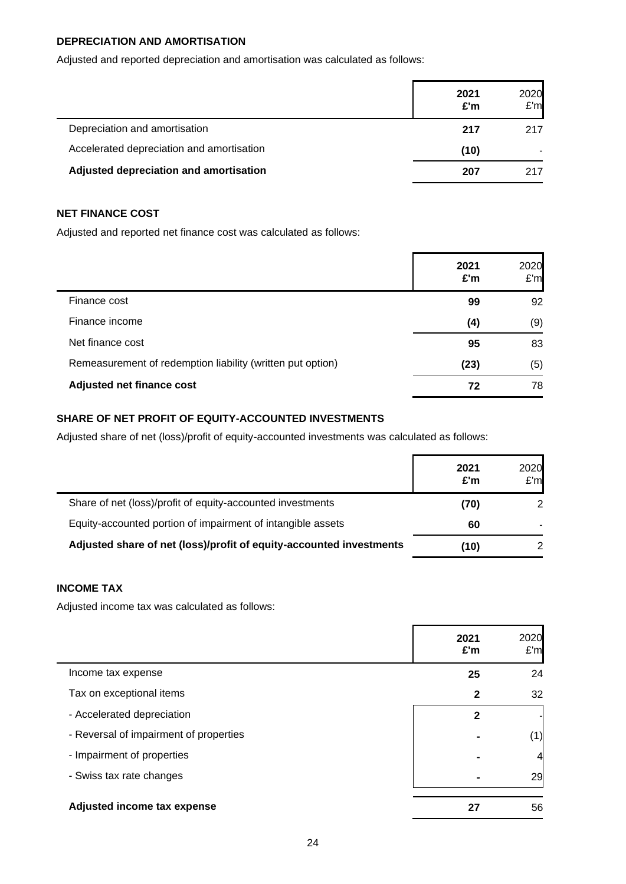## **DEPRECIATION AND AMORTISATION**

Adjusted and reported depreciation and amortisation was calculated as follows:

|                                           | 2021<br>£'m | 2020<br>E'm |
|-------------------------------------------|-------------|-------------|
| Depreciation and amortisation             | 217         | 217         |
| Accelerated depreciation and amortisation | (10)        |             |
| Adjusted depreciation and amortisation    | 207         | 217         |

## **NET FINANCE COST**

Adjusted and reported net finance cost was calculated as follows:

|                                                            | 2021<br>£'m | 2020<br>E'm |
|------------------------------------------------------------|-------------|-------------|
| Finance cost                                               | 99          | 92          |
| Finance income                                             | (4)         | (9)         |
| Net finance cost                                           | 95          | 83          |
| Remeasurement of redemption liability (written put option) | (23)        | (5)         |
| Adjusted net finance cost                                  | 72          | 78          |

### **SHARE OF NET PROFIT OF EQUITY-ACCOUNTED INVESTMENTS**

Adjusted share of net (loss)/profit of equity-accounted investments was calculated as follows:

|                                                                     | 2021<br>£'m | 2020<br>E'm |
|---------------------------------------------------------------------|-------------|-------------|
| Share of net (loss)/profit of equity-accounted investments          | (70)        | 2           |
| Equity-accounted portion of impairment of intangible assets         | 60          |             |
| Adjusted share of net (loss)/profit of equity-accounted investments | (10)        |             |

## **INCOME TAX**

Adjusted income tax was calculated as follows:

|                                        | 2021<br>£'m    | 2020<br>E'm |
|----------------------------------------|----------------|-------------|
| Income tax expense                     | 25             | 24          |
| Tax on exceptional items               | $\mathbf{2}$   | 32          |
| - Accelerated depreciation             | $\mathbf 2$    |             |
| - Reversal of impairment of properties | $\blacksquare$ | (1)         |
| - Impairment of properties             | ۰              | 4           |
| - Swiss tax rate changes               | ٠              | 29          |
| Adjusted income tax expense            | 27             | 56          |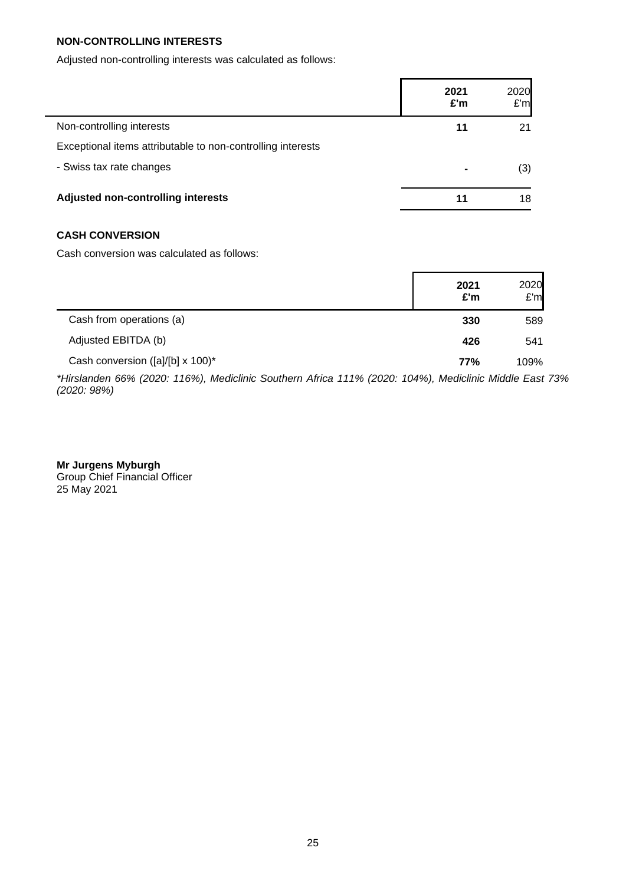### **NON-CONTROLLING INTERESTS**

Adjusted non-controlling interests was calculated as follows:

|                                                             | 2021<br>£'m | 2020<br>E'm |
|-------------------------------------------------------------|-------------|-------------|
| Non-controlling interests                                   | 11          | 21          |
| Exceptional items attributable to non-controlling interests |             |             |
| - Swiss tax rate changes                                    | ۰           | (3)         |
| Adjusted non-controlling interests                          | 11          | 18          |

ľ

### **CASH CONVERSION**

Cash conversion was calculated as follows:

|                                  | 2021<br>£'m | 2020<br>E'm |
|----------------------------------|-------------|-------------|
| Cash from operations (a)         | 330         | 589         |
| Adjusted EBITDA (b)              | 426         | 541         |
| Cash conversion ([a]/[b] x 100)* | 77%         | 109%        |

*\*Hirslanden 66% (2020: 116%), Mediclinic Southern Africa 111% (2020: 104%), Mediclinic Middle East 73% (2020: 98%)*

**Mr Jurgens Myburgh** Group Chief Financial Officer 25 May 2021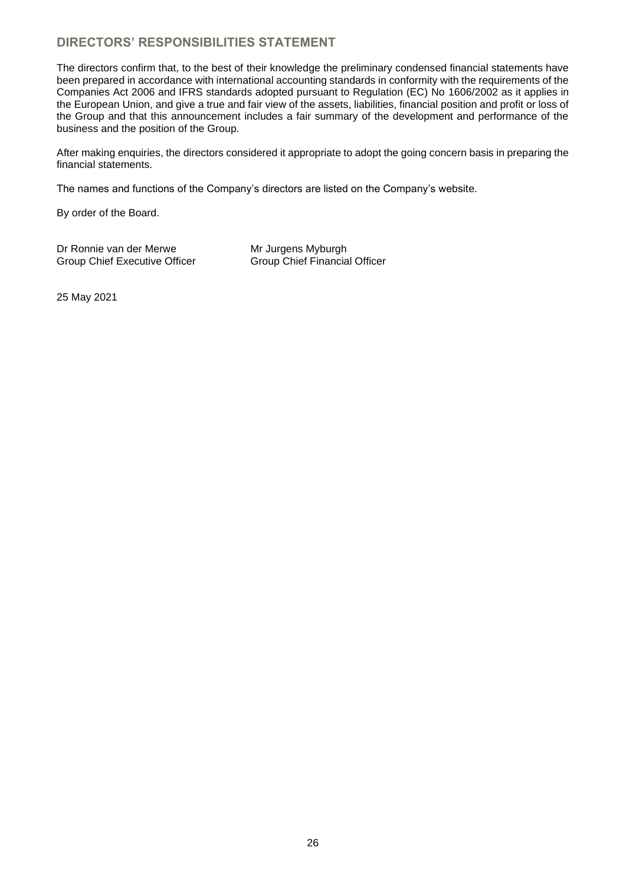# **DIRECTORS' RESPONSIBILITIES STATEMENT**

The directors confirm that, to the best of their knowledge the preliminary condensed financial statements have been prepared in accordance with international accounting standards in conformity with the requirements of the Companies Act 2006 and IFRS standards adopted pursuant to Regulation (EC) No 1606/2002 as it applies in the European Union, and give a true and fair view of the assets, liabilities, financial position and profit or loss of the Group and that this announcement includes a fair summary of the development and performance of the business and the position of the Group.

After making enquiries, the directors considered it appropriate to adopt the going concern basis in preparing the financial statements.

The names and functions of the Company's directors are listed on the Company's website.

By order of the Board.

Dr Ronnie van der Merwe Mr Jurgens Myburgh<br>Group Chief Executive Officer Group Chief Financial Officer Group Chief Executive Officer

25 May 2021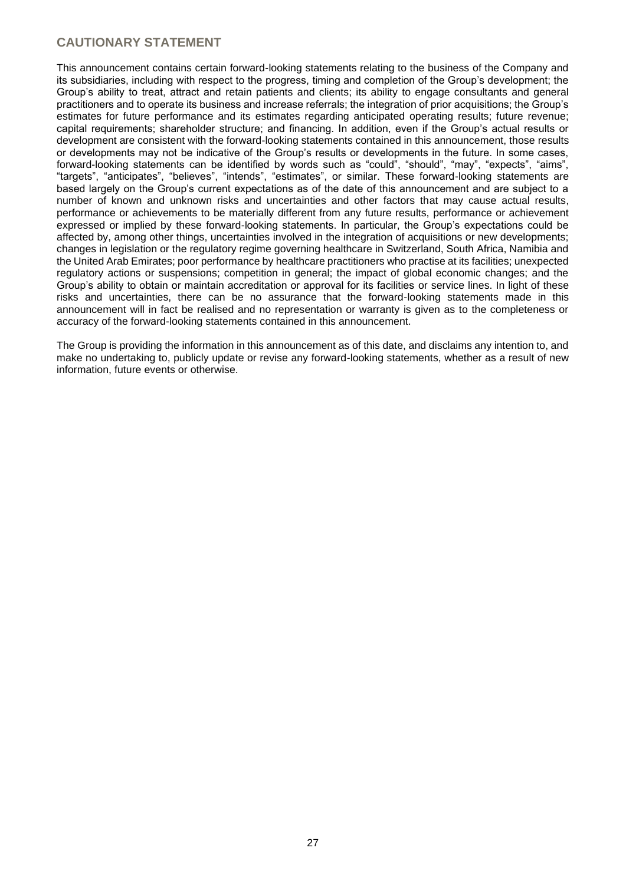## **CAUTIONARY STATEMENT**

This announcement contains certain forward-looking statements relating to the business of the Company and its subsidiaries, including with respect to the progress, timing and completion of the Group's development; the Group's ability to treat, attract and retain patients and clients; its ability to engage consultants and general practitioners and to operate its business and increase referrals; the integration of prior acquisitions; the Group's estimates for future performance and its estimates regarding anticipated operating results; future revenue; capital requirements; shareholder structure; and financing. In addition, even if the Group's actual results or development are consistent with the forward-looking statements contained in this announcement, those results or developments may not be indicative of the Group's results or developments in the future. In some cases, forward-looking statements can be identified by words such as "could", "should", "may", "expects", "aims", "targets", "anticipates", "believes", "intends", "estimates", or similar. These forward-looking statements are based largely on the Group's current expectations as of the date of this announcement and are subject to a number of known and unknown risks and uncertainties and other factors that may cause actual results, performance or achievements to be materially different from any future results, performance or achievement expressed or implied by these forward-looking statements. In particular, the Group's expectations could be affected by, among other things, uncertainties involved in the integration of acquisitions or new developments; changes in legislation or the regulatory regime governing healthcare in Switzerland, South Africa, Namibia and the United Arab Emirates; poor performance by healthcare practitioners who practise at its facilities; unexpected regulatory actions or suspensions; competition in general; the impact of global economic changes; and the Group's ability to obtain or maintain accreditation or approval for its facilities or service lines. In light of these risks and uncertainties, there can be no assurance that the forward-looking statements made in this announcement will in fact be realised and no representation or warranty is given as to the completeness or accuracy of the forward-looking statements contained in this announcement.

The Group is providing the information in this announcement as of this date, and disclaims any intention to, and make no undertaking to, publicly update or revise any forward-looking statements, whether as a result of new information, future events or otherwise.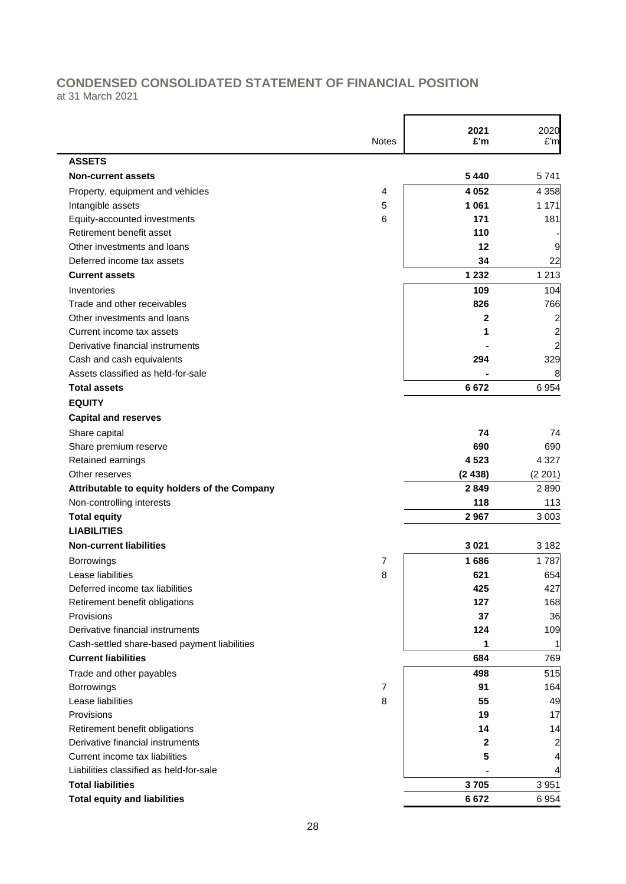# **CONDENSED CONSOLIDATED STATEMENT OF FINANCIAL POSITION**

at 31 March 2021

|                                               | Notes | 2021<br>£'m | 2020<br>£'m             |
|-----------------------------------------------|-------|-------------|-------------------------|
| <b>ASSETS</b>                                 |       |             |                         |
| Non-current assets                            |       | 5 4 4 0     | 5741                    |
| Property, equipment and vehicles              | 4     | 4 0 5 2     | 4 3 5 8                 |
| Intangible assets                             | 5     | 1 0 6 1     | 1 1 7 1                 |
| Equity-accounted investments                  | 6     | 171         | 181                     |
| Retirement benefit asset                      |       | 110         |                         |
| Other investments and loans                   |       | 12          | 9                       |
| Deferred income tax assets                    |       | 34          | 22                      |
| <b>Current assets</b>                         |       | 1 2 3 2     | 1 2 1 3                 |
| Inventories                                   |       | 109         | 104                     |
| Trade and other receivables                   |       | 826         | 766                     |
| Other investments and loans                   |       | 2           | 2                       |
| Current income tax assets                     |       | 1           | 2                       |
| Derivative financial instruments              |       |             | $\overline{\mathbf{c}}$ |
| Cash and cash equivalents                     |       | 294         | 329                     |
| Assets classified as held-for-sale            |       |             |                         |
| <b>Total assets</b>                           |       | 6672        | 6954                    |
| <b>EQUITY</b>                                 |       |             |                         |
| <b>Capital and reserves</b>                   |       |             |                         |
| Share capital                                 |       | 74          | 74                      |
| Share premium reserve                         |       | 690         | 690                     |
| Retained earnings                             |       | 4523        | 4 3 2 7                 |
| Other reserves                                |       | (2438)      | (2 201)                 |
| Attributable to equity holders of the Company |       | 2849        | 2890                    |
| Non-controlling interests                     |       | 118         | 113                     |
| <b>Total equity</b>                           |       | 2967        | 3 0 0 3                 |
| <b>LIABILITIES</b>                            |       |             |                         |
| <b>Non-current liabilities</b>                |       | 3 0 21      | 3 1 8 2                 |
| Borrowings                                    | 7     | 1686        | 1787                    |
| Lease liabilities                             | 8     | 621         | 654                     |
| Deferred income tax liabilities               |       | 425         | 427                     |
| Retirement benefit obligations                |       | 127         | 168                     |
| Provisions                                    |       | 37          | 36                      |
| Derivative financial instruments              |       | 124         | 109                     |
| Cash-settled share-based payment liabilities  |       | 1           |                         |
| <b>Current liabilities</b>                    |       | 684         | 769                     |
| Trade and other payables                      |       | 498         | 515                     |
| Borrowings                                    | 7     | 91          | 164                     |
| Lease liabilities                             | 8     | 55          | 49                      |
| Provisions                                    |       | 19          | 17                      |
| Retirement benefit obligations                |       | 14          | 14                      |
| Derivative financial instruments              |       | 2           | $\overline{a}$          |
| Current income tax liabilities                |       | 5           | 4                       |
| Liabilities classified as held-for-sale       |       |             | 4                       |
| <b>Total liabilities</b>                      |       | 3705        | 3 9 5 1                 |
| <b>Total equity and liabilities</b>           |       | 6672        | 6 9 5 4                 |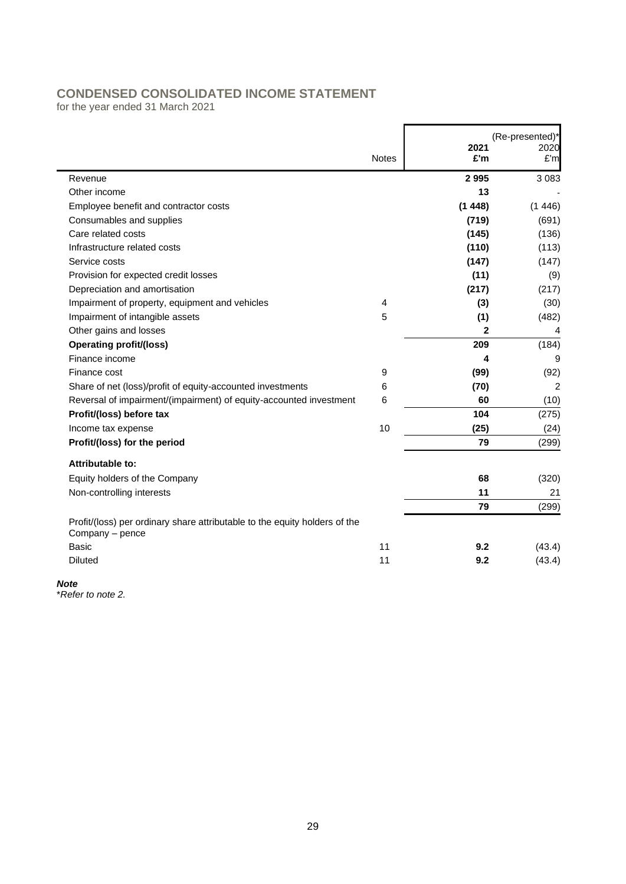# **CONDENSED CONSOLIDATED INCOME STATEMENT**

for the year ended 31 March 2021

|                                                                                               | <b>Notes</b> | 2021<br>£'m | (Re-presented)*<br>2020<br>£'m |
|-----------------------------------------------------------------------------------------------|--------------|-------------|--------------------------------|
| Revenue                                                                                       |              | 2995        | 3 0 8 3                        |
| Other income                                                                                  |              | 13          |                                |
| Employee benefit and contractor costs                                                         |              | (1448)      | (1446)                         |
| Consumables and supplies                                                                      |              | (719)       | (691)                          |
| Care related costs                                                                            |              | (145)       | (136)                          |
| Infrastructure related costs                                                                  |              |             |                                |
| Service costs                                                                                 |              | (110)       | (113)                          |
|                                                                                               |              | (147)       | (147)                          |
| Provision for expected credit losses                                                          |              | (11)        | (9)                            |
| Depreciation and amortisation                                                                 |              | (217)       | (217)                          |
| Impairment of property, equipment and vehicles                                                | 4            | (3)         | (30)                           |
| Impairment of intangible assets                                                               | 5            | (1)         | (482)                          |
| Other gains and losses                                                                        |              | 2           | 4                              |
| <b>Operating profit/(loss)</b>                                                                |              | 209         | (184)                          |
| Finance income                                                                                |              | 4           | 9                              |
| Finance cost                                                                                  | 9            | (99)        | (92)                           |
| Share of net (loss)/profit of equity-accounted investments                                    | 6            | (70)        | 2                              |
| Reversal of impairment/(impairment) of equity-accounted investment                            | 6            | 60          | (10)                           |
| Profit/(loss) before tax                                                                      |              | 104         | (275)                          |
| Income tax expense                                                                            | 10           | (25)        | (24)                           |
| Profit/(loss) for the period                                                                  |              | 79          | (299)                          |
| Attributable to:                                                                              |              |             |                                |
| Equity holders of the Company                                                                 |              | 68          | (320)                          |
| Non-controlling interests                                                                     |              | 11          | 21                             |
|                                                                                               |              | 79          | (299)                          |
| Profit/(loss) per ordinary share attributable to the equity holders of the<br>Company - pence |              |             |                                |
| <b>Basic</b>                                                                                  | 11           | 9.2         | (43.4)                         |
| <b>Diluted</b>                                                                                | 11           | 9.2         | (43.4)                         |

*Note*

\**Refer to note 2.*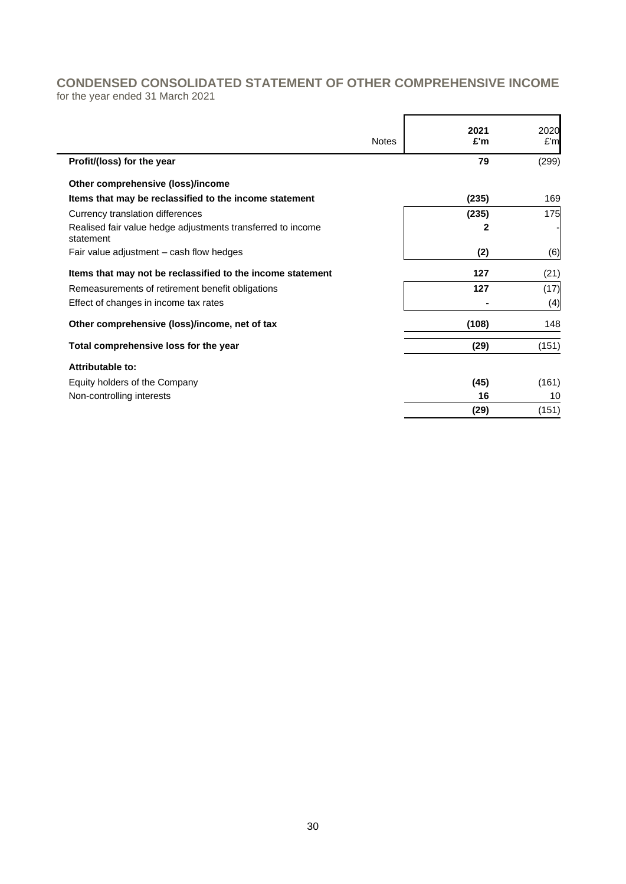# **CONDENSED CONSOLIDATED STATEMENT OF OTHER COMPREHENSIVE INCOME**

for the year ended 31 March 2021

| <b>Notes</b> | 2021<br>£'m | 2020<br>E'm |
|--------------|-------------|-------------|
|              | 79          | (299)       |
|              |             |             |
|              | (235)       | 169         |
|              | (235)       | 175         |
|              | 2           |             |
|              | (2)         | (6)         |
|              | 127         | (21)        |
|              | 127         | (17)        |
|              |             | (4)         |
|              | (108)       | 148         |
|              | (29)        | (151)       |
|              |             |             |
|              | (45)        | (161)       |
|              | 16          | 10          |
|              | (29)        | (151)       |
|              |             |             |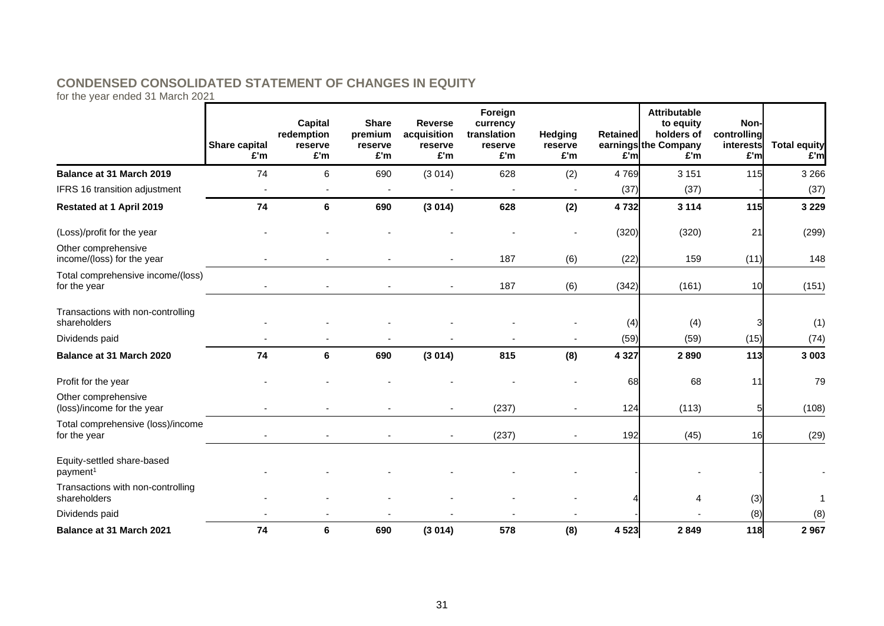# **CONDENSED CONSOLIDATED STATEMENT OF CHANGES IN EQUITY**

for the year ended 31 March 2021

|                                                    | Share capital<br>£'m | <b>Capital</b><br>redemption<br>reserve<br>£'m | <b>Share</b><br>premium<br>reserve<br>£'m | <b>Reverse</b><br>acquisition<br>reserve<br>£'m | Foreign<br>currency<br>translation<br>reserve<br>£'m | Hedging<br>reserve<br>£'m | <b>Retained</b><br>£'m | <b>Attributable</b><br>to equity<br>holders of<br>earnings the Company<br>£'m | Non-<br>controlling<br>interests<br>£'m | <b>Total equity</b><br>E'm |
|----------------------------------------------------|----------------------|------------------------------------------------|-------------------------------------------|-------------------------------------------------|------------------------------------------------------|---------------------------|------------------------|-------------------------------------------------------------------------------|-----------------------------------------|----------------------------|
| Balance at 31 March 2019                           | 74                   | 6                                              | 690                                       | (3014)                                          | 628                                                  | (2)                       | 4769                   | 3 1 5 1                                                                       | 115                                     | 3 2 6 6                    |
| IFRS 16 transition adjustment                      |                      |                                                |                                           |                                                 |                                                      |                           | (37)                   | (37)                                                                          |                                         | (37)                       |
| Restated at 1 April 2019                           | 74                   | 6                                              | 690                                       | (3014)                                          | 628                                                  | (2)                       | 4732                   | 3 1 1 4                                                                       | 115                                     | 3 2 2 9                    |
| (Loss)/profit for the year                         |                      |                                                |                                           |                                                 |                                                      |                           | (320)                  | (320)                                                                         | 21                                      | (299)                      |
| Other comprehensive<br>income/(loss) for the year  |                      |                                                |                                           |                                                 | 187                                                  | (6)                       | (22)                   | 159                                                                           | (11)                                    | 148                        |
| Total comprehensive income/(loss)<br>for the year  |                      |                                                |                                           |                                                 | 187                                                  | (6)                       | (342)                  | (161)                                                                         | 10                                      | (151)                      |
| Transactions with non-controlling<br>shareholders  |                      |                                                |                                           |                                                 |                                                      |                           | (4)                    | (4)                                                                           |                                         | (1)                        |
| Dividends paid                                     |                      |                                                |                                           |                                                 |                                                      |                           | (59)                   | (59)                                                                          | (15)                                    | (74)                       |
| Balance at 31 March 2020                           | 74                   | 6                                              | 690                                       | (3014)                                          | 815                                                  | (8)                       | 4 3 2 7                | 2890                                                                          | 113                                     | 3 0 0 3                    |
| Profit for the year                                |                      |                                                |                                           |                                                 |                                                      |                           | 68                     | 68                                                                            | 11                                      | 79                         |
| Other comprehensive<br>(loss)/income for the year  |                      |                                                |                                           |                                                 | (237)                                                | $\overline{\phantom{a}}$  | 124                    | (113)                                                                         | 5                                       | (108)                      |
| Total comprehensive (loss)/income<br>for the year  |                      |                                                |                                           |                                                 | (237)                                                |                           | 192                    | (45)                                                                          | 16                                      | (29)                       |
| Equity-settled share-based<br>payment <sup>1</sup> |                      |                                                |                                           |                                                 |                                                      |                           |                        |                                                                               |                                         |                            |
| Transactions with non-controlling<br>shareholders  |                      |                                                |                                           |                                                 |                                                      |                           |                        |                                                                               | (3)                                     | 1                          |
| Dividends paid                                     |                      |                                                |                                           |                                                 |                                                      |                           |                        |                                                                               | (8)                                     | (8)                        |
| <b>Balance at 31 March 2021</b>                    | 74                   | 6                                              | 690                                       | (3014)                                          | 578                                                  | (8)                       | 4 5 23                 | 2849                                                                          | 118                                     | 2967                       |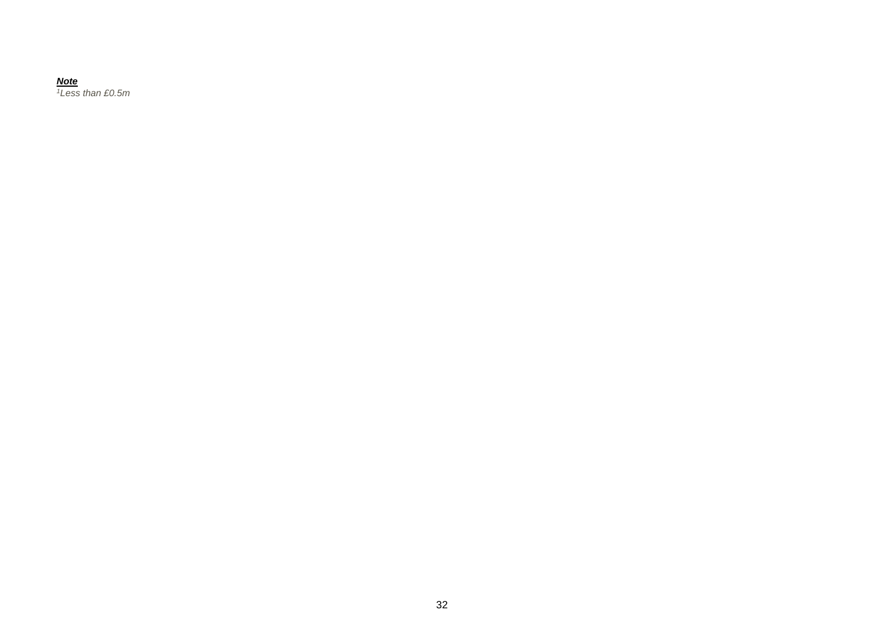#### *Note*

*Less than £0.5m*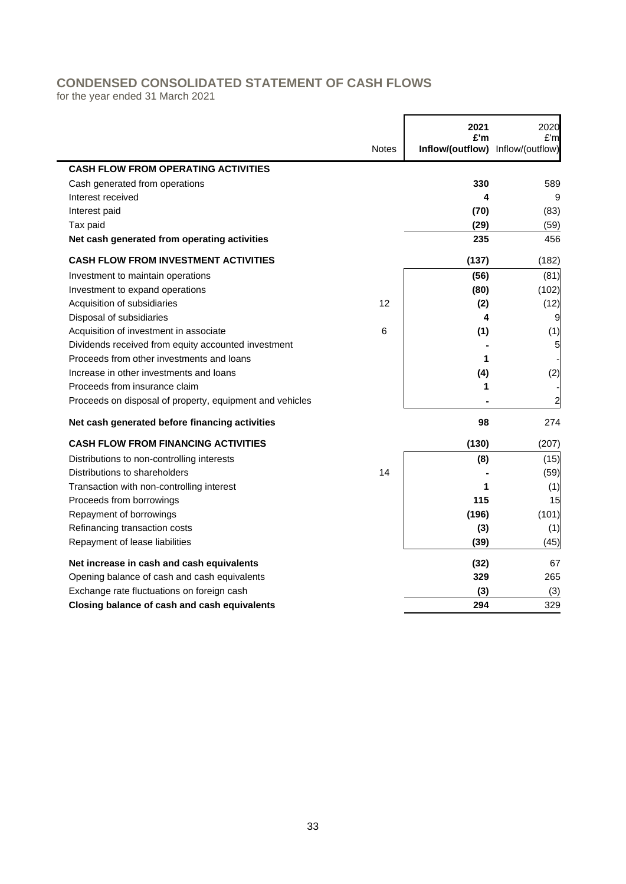# **CONDENSED CONSOLIDATED STATEMENT OF CASH FLOWS**

for the year ended 31 March 2021

|                                                          |              | 2021<br>£'m                       | 2020<br>£'m |
|----------------------------------------------------------|--------------|-----------------------------------|-------------|
|                                                          | <b>Notes</b> | Inflow/(outflow) Inflow/(outflow) |             |
| <b>CASH FLOW FROM OPERATING ACTIVITIES</b>               |              |                                   |             |
| Cash generated from operations                           |              | 330                               | 589         |
| Interest received                                        |              | 4                                 | 9           |
| Interest paid                                            |              | (70)                              | (83)        |
| Tax paid                                                 |              | (29)                              | (59)        |
| Net cash generated from operating activities             |              | 235                               | 456         |
| <b>CASH FLOW FROM INVESTMENT ACTIVITIES</b>              |              | (137)                             | (182)       |
| Investment to maintain operations                        |              | (56)                              | (81)        |
| Investment to expand operations                          |              | (80)                              | (102)       |
| Acquisition of subsidiaries                              | 12           | (2)                               | (12)        |
| Disposal of subsidiaries                                 |              | 4                                 | 9           |
| Acquisition of investment in associate                   | 6            | (1)                               | (1)         |
| Dividends received from equity accounted investment      |              |                                   | 5           |
| Proceeds from other investments and loans                |              | 1                                 |             |
| Increase in other investments and loans                  |              | (4)                               | (2)         |
| Proceeds from insurance claim                            |              | 1                                 |             |
| Proceeds on disposal of property, equipment and vehicles |              |                                   |             |
| Net cash generated before financing activities           |              | 98                                | 274         |
| <b>CASH FLOW FROM FINANCING ACTIVITIES</b>               |              | (130)                             | (207)       |
| Distributions to non-controlling interests               |              | (8)                               | (15)        |
| Distributions to shareholders                            | 14           |                                   | (59)        |
| Transaction with non-controlling interest                |              | 1                                 | (1)         |
| Proceeds from borrowings                                 |              | 115                               | 15          |
| Repayment of borrowings                                  |              | (196)                             | (101)       |
| Refinancing transaction costs                            |              | (3)                               | (1)         |
| Repayment of lease liabilities                           |              | (39)                              | (45)        |
| Net increase in cash and cash equivalents                |              | (32)                              | 67          |
| Opening balance of cash and cash equivalents             |              | 329                               | 265         |
| Exchange rate fluctuations on foreign cash               |              | (3)                               | (3)         |
| Closing balance of cash and cash equivalents             |              | 294                               | 329         |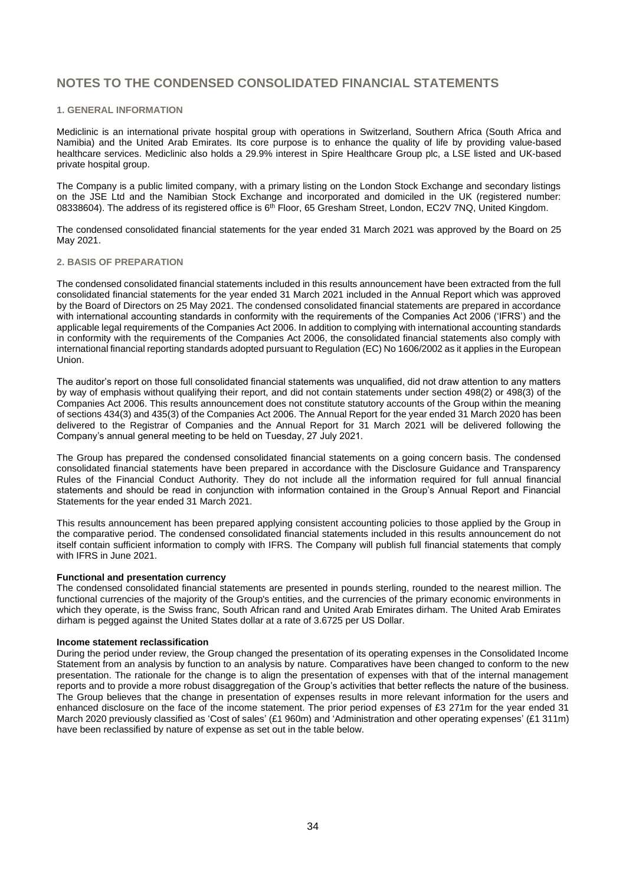#### **1. GENERAL INFORMATION**

Mediclinic is an international private hospital group with operations in Switzerland, Southern Africa (South Africa and Namibia) and the United Arab Emirates. Its core purpose is to enhance the quality of life by providing value-based healthcare services. Mediclinic also holds a 29.9% interest in Spire Healthcare Group plc, a LSE listed and UK-based private hospital group.

The Company is a public limited company, with a primary listing on the London Stock Exchange and secondary listings on the JSE Ltd and the Namibian Stock Exchange and incorporated and domiciled in the UK (registered number: 08338604). The address of its registered office is 6<sup>th</sup> Floor, 65 Gresham Street, London, EC2V 7NQ, United Kingdom.

The condensed consolidated financial statements for the year ended 31 March 2021 was approved by the Board on 25 May 2021.

#### **2. BASIS OF PREPARATION**

The condensed consolidated financial statements included in this results announcement have been extracted from the full consolidated financial statements for the year ended 31 March 2021 included in the Annual Report which was approved by the Board of Directors on 25 May 2021. The condensed consolidated financial statements are prepared in accordance with international accounting standards in conformity with the requirements of the Companies Act 2006 ('IFRS') and the applicable legal requirements of the Companies Act 2006. In addition to complying with international accounting standards in conformity with the requirements of the Companies Act 2006, the consolidated financial statements also comply with international financial reporting standards adopted pursuant to Regulation (EC) No 1606/2002 as it applies in the European Union.

The auditor's report on those full consolidated financial statements was unqualified, did not draw attention to any matters by way of emphasis without qualifying their report, and did not contain statements under section 498(2) or 498(3) of the Companies Act 2006. This results announcement does not constitute statutory accounts of the Group within the meaning of sections 434(3) and 435(3) of the Companies Act 2006. The Annual Report for the year ended 31 March 2020 has been delivered to the Registrar of Companies and the Annual Report for 31 March 2021 will be delivered following the Company's annual general meeting to be held on Tuesday, 27 July 2021.

The Group has prepared the condensed consolidated financial statements on a going concern basis. The condensed consolidated financial statements have been prepared in accordance with the Disclosure Guidance and Transparency Rules of the Financial Conduct Authority. They do not include all the information required for full annual financial statements and should be read in conjunction with information contained in the Group's Annual Report and Financial Statements for the year ended 31 March 2021.

This results announcement has been prepared applying consistent accounting policies to those applied by the Group in the comparative period. The condensed consolidated financial statements included in this results announcement do not itself contain sufficient information to comply with IFRS. The Company will publish full financial statements that comply with IFRS in June 2021.

#### **Functional and presentation currency**

The condensed consolidated financial statements are presented in pounds sterling, rounded to the nearest million. The functional currencies of the majority of the Group's entities, and the currencies of the primary economic environments in which they operate, is the Swiss franc, South African rand and United Arab Emirates dirham. The United Arab Emirates dirham is pegged against the United States dollar at a rate of 3.6725 per US Dollar.

#### **Income statement reclassification**

During the period under review, the Group changed the presentation of its operating expenses in the Consolidated Income Statement from an analysis by function to an analysis by nature. Comparatives have been changed to conform to the new presentation. The rationale for the change is to align the presentation of expenses with that of the internal management reports and to provide a more robust disaggregation of the Group's activities that better reflects the nature of the business. The Group believes that the change in presentation of expenses results in more relevant information for the users and enhanced disclosure on the face of the income statement. The prior period expenses of £3 271m for the year ended 31 March 2020 previously classified as 'Cost of sales' (£1 960m) and 'Administration and other operating expenses' (£1 311m) have been reclassified by nature of expense as set out in the table below.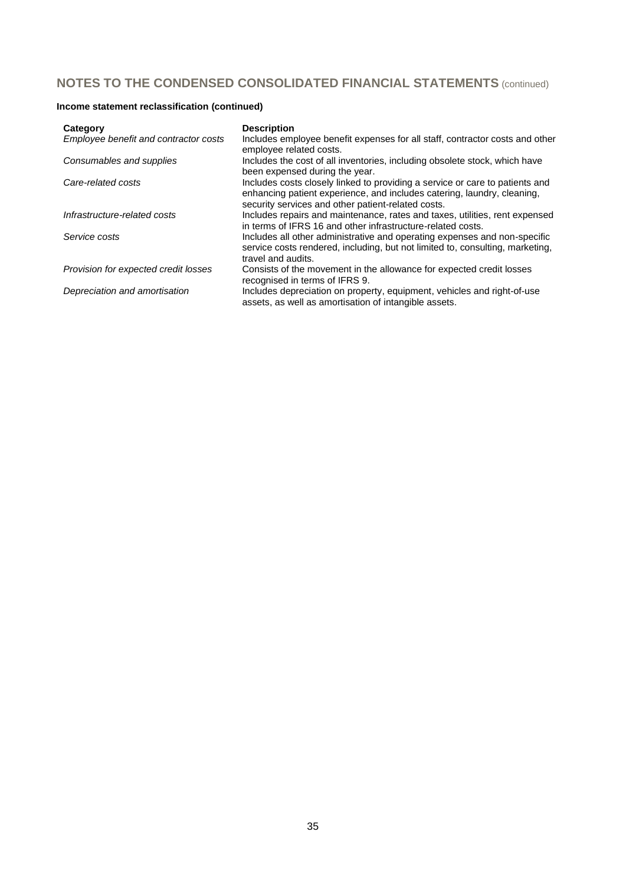# **Income statement reclassification (continued)**

| Category                              | <b>Description</b>                                                                                                                                                                                            |
|---------------------------------------|---------------------------------------------------------------------------------------------------------------------------------------------------------------------------------------------------------------|
| Employee benefit and contractor costs | Includes employee benefit expenses for all staff, contractor costs and other<br>employee related costs.                                                                                                       |
| Consumables and supplies              | Includes the cost of all inventories, including obsolete stock, which have<br>been expensed during the year.                                                                                                  |
| Care-related costs                    | Includes costs closely linked to providing a service or care to patients and<br>enhancing patient experience, and includes catering, laundry, cleaning,<br>security services and other patient-related costs. |
| Infrastructure-related costs          | Includes repairs and maintenance, rates and taxes, utilities, rent expensed<br>in terms of IFRS 16 and other infrastructure-related costs.                                                                    |
| Service costs                         | Includes all other administrative and operating expenses and non-specific<br>service costs rendered, including, but not limited to, consulting, marketing,<br>travel and audits.                              |
| Provision for expected credit losses  | Consists of the movement in the allowance for expected credit losses<br>recognised in terms of IFRS 9.                                                                                                        |
| Depreciation and amortisation         | Includes depreciation on property, equipment, vehicles and right-of-use<br>assets, as well as amortisation of intangible assets.                                                                              |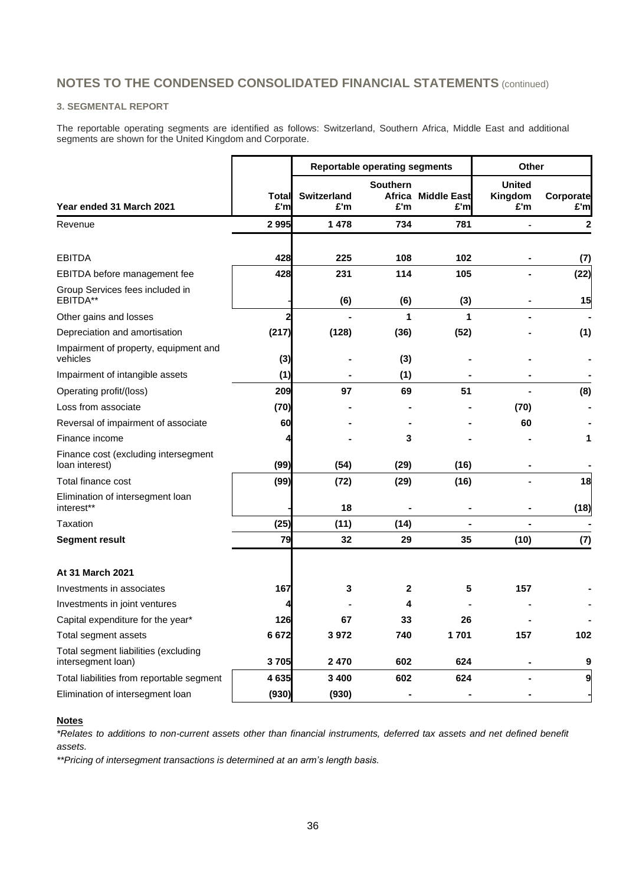#### **3. SEGMENTAL REPORT**

The reportable operating segments are identified as follows: Switzerland, Southern Africa, Middle East and additional segments are shown for the United Kingdom and Corporate.

|                                                            |              | <b>Reportable operating segments</b> |                        |                           | <b>Other</b>                    |                  |
|------------------------------------------------------------|--------------|--------------------------------------|------------------------|---------------------------|---------------------------------|------------------|
| Year ended 31 March 2021                                   | Total<br>£'m | Switzerland<br>£'m                   | <b>Southern</b><br>£'m | Africa Middle East<br>£'m | <b>United</b><br>Kingdom<br>£'m | Corporate<br>£'m |
| Revenue                                                    | 2995         | 1478                                 | 734                    | 781                       |                                 | 2                |
| <b>EBITDA</b>                                              | 428          | 225                                  | 108                    | 102                       |                                 | (7)              |
| EBITDA before management fee                               | 428          | 231                                  | 114                    | 105                       |                                 | (22)             |
| Group Services fees included in<br>EBITDA**                |              | (6)                                  | (6)                    | (3)                       |                                 | 15               |
| Other gains and losses                                     | $\mathbf{2}$ |                                      | 1                      | 1                         |                                 |                  |
| Depreciation and amortisation                              | (217)        | (128)                                | (36)                   | (52)                      |                                 | (1)              |
| Impairment of property, equipment and<br>vehicles          | (3)          |                                      | (3)                    |                           |                                 |                  |
| Impairment of intangible assets                            | (1)          |                                      | (1)                    |                           |                                 |                  |
| Operating profit/(loss)                                    | 209          | 97                                   | 69                     | 51                        |                                 | (8)              |
| Loss from associate                                        | (70)         |                                      |                        |                           | (70)                            |                  |
| Reversal of impairment of associate                        | 60           |                                      |                        |                           | 60                              |                  |
| Finance income                                             | 4            |                                      | 3                      |                           |                                 | 1                |
| Finance cost (excluding intersegment<br>loan interest)     | (99)         | (54)                                 | (29)                   | (16)                      |                                 |                  |
| Total finance cost                                         | (99)         | (72)                                 | (29)                   | (16)                      |                                 | 18               |
| Elimination of intersegment loan<br>interest**             |              | 18                                   |                        |                           |                                 | (18)             |
| Taxation                                                   | (25)         | (11)                                 | (14)                   |                           |                                 |                  |
| Segment result                                             | 79           | 32                                   | 29                     | 35                        | (10)                            | (7)              |
| <b>At 31 March 2021</b>                                    |              |                                      |                        |                           |                                 |                  |
| Investments in associates                                  | 167          | 3                                    | 2                      | 5                         | 157                             |                  |
| Investments in joint ventures                              | 4            |                                      | 4                      |                           |                                 |                  |
| Capital expenditure for the year*                          | 126          | 67                                   | 33                     | 26                        |                                 |                  |
| Total segment assets                                       | 6672         | 3972                                 | 740                    | 1701                      | 157                             | 102              |
| Total segment liabilities (excluding<br>intersegment loan) | 3705         | 2470                                 | 602                    | 624                       |                                 | 9                |
| Total liabilities from reportable segment                  | 4635         | 3 4 0 0                              | 602                    | 624                       |                                 | 9                |
| Elimination of intersegment loan                           | (930)        | (930)                                | $\blacksquare$         |                           |                                 |                  |

### **Notes**

*\*Relates to additions to non-current assets other than financial instruments, deferred tax assets and net defined benefit assets.*

*\*\*Pricing of intersegment transactions is determined at an arm's length basis.*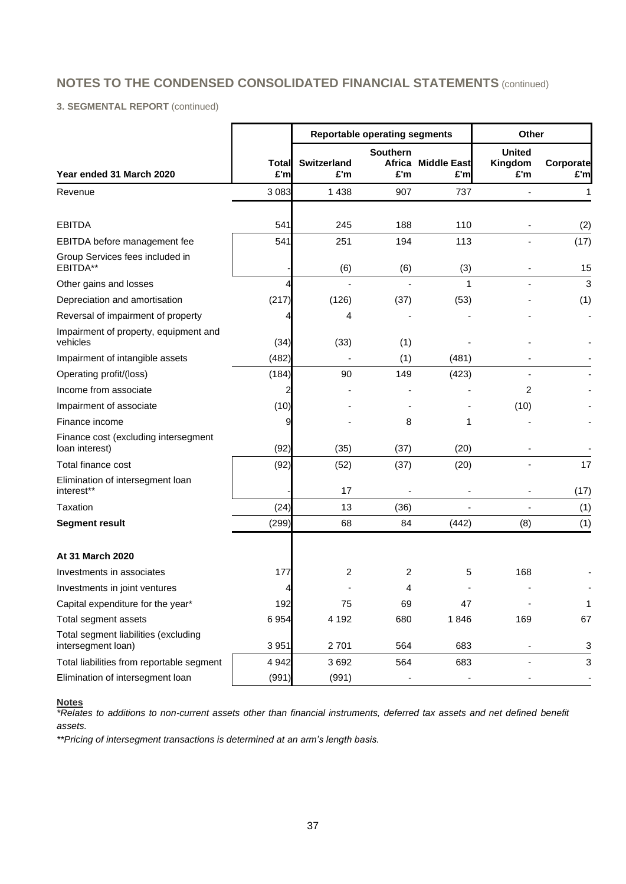**3. SEGMENTAL REPORT** (continued)

|                                                            |                     |                           | <b>Reportable operating segments</b> | Other                             |                                 |                           |
|------------------------------------------------------------|---------------------|---------------------------|--------------------------------------|-----------------------------------|---------------------------------|---------------------------|
| Year ended 31 March 2020                                   | <b>Total</b><br>£'m | <b>Switzerland</b><br>£'m | <b>Southern</b><br>£'m               | <b>Africa Middle East</b><br>£'ml | <b>United</b><br>Kingdom<br>£'m | Corporate<br>£'m          |
| Revenue                                                    | 3 0 8 3             | 1438                      | 907                                  | 737                               |                                 | 1                         |
| <b>EBITDA</b>                                              | 541                 | 245                       | 188                                  | 110                               |                                 | (2)                       |
| EBITDA before management fee                               | 541                 | 251                       | 194                                  | 113                               |                                 | (17)                      |
| Group Services fees included in<br>EBITDA**                |                     | (6)                       | (6)                                  | (3)                               |                                 | 15                        |
| Other gains and losses                                     | 4                   |                           |                                      | 1                                 |                                 | 3                         |
| Depreciation and amortisation                              | (217)               | (126)                     | (37)                                 | (53)                              |                                 | (1)                       |
| Reversal of impairment of property                         | 4                   | 4                         |                                      |                                   |                                 |                           |
| Impairment of property, equipment and<br>vehicles          | (34)                | (33)                      | (1)                                  |                                   |                                 |                           |
| Impairment of intangible assets                            | (482)               |                           | (1)                                  | (481)                             |                                 |                           |
| Operating profit/(loss)                                    | (184)               | 90                        | 149                                  | (423)                             |                                 |                           |
| Income from associate                                      | $\overline{c}$      |                           |                                      |                                   | 2                               |                           |
| Impairment of associate                                    | (10)                |                           |                                      |                                   | (10)                            |                           |
| Finance income                                             | 9                   |                           | 8                                    | 1                                 |                                 |                           |
| Finance cost (excluding intersegment<br>loan interest)     | (92)                | (35)                      | (37)                                 | (20)                              |                                 |                           |
| Total finance cost                                         | (92)                | (52)                      | (37)                                 | (20)                              |                                 | 17                        |
| Elimination of intersegment loan<br>interest**             |                     | 17                        |                                      |                                   |                                 | (17)                      |
| Taxation                                                   | (24)                | 13                        | (36)                                 |                                   |                                 | (1)                       |
| <b>Segment result</b>                                      | (299)               | 68                        | 84                                   | (442)                             | (8)                             | (1)                       |
| At 31 March 2020                                           |                     |                           |                                      |                                   |                                 |                           |
| Investments in associates                                  | 177                 | $\overline{2}$            | 2                                    | 5                                 | 168                             |                           |
| Investments in joint ventures                              | 4                   |                           | 4                                    |                                   |                                 |                           |
| Capital expenditure for the year*                          | 192                 | 75                        | 69                                   | 47                                |                                 | 1                         |
| Total segment assets                                       | 6954                | 4 1 9 2                   | 680                                  | 1846                              | 169                             | 67                        |
| Total segment liabilities (excluding<br>intersegment loan) | 3 9 5 1             | 2701                      | 564                                  | 683                               |                                 | 3                         |
| Total liabilities from reportable segment                  | 4 9 4 2             | 3692                      | 564                                  | 683                               | $\blacksquare$                  | $\ensuremath{\mathsf{3}}$ |
| Elimination of intersegment loan                           | (991)               | (991)                     |                                      |                                   |                                 |                           |

### **Notes**

*\*Relates to additions to non-current assets other than financial instruments, deferred tax assets and net defined benefit assets.*

*\*\*Pricing of intersegment transactions is determined at an arm's length basis.*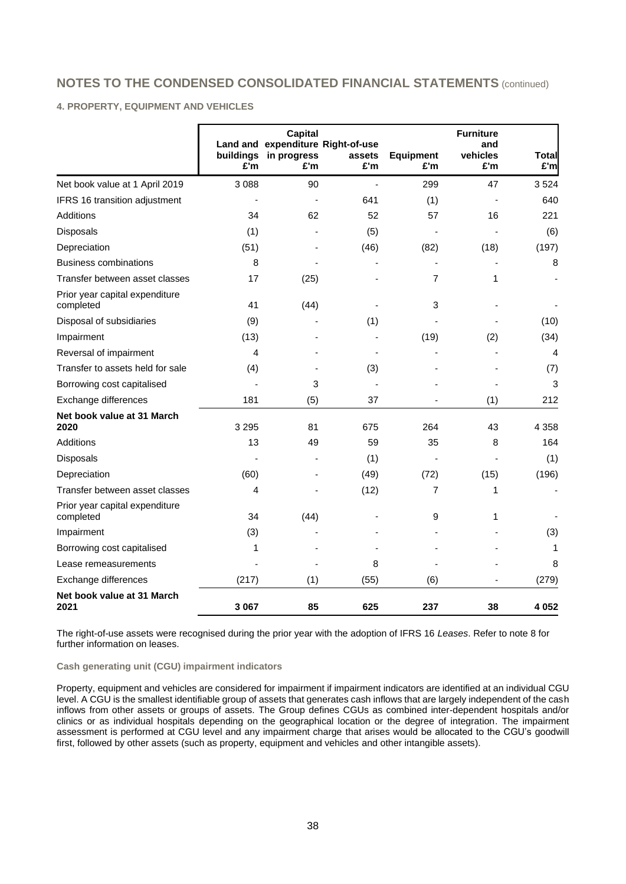### **4. PROPERTY, EQUIPMENT AND VEHICLES**

|                                             | buildings<br>£'m | Capital<br>Land and expenditure Right-of-use<br>in progress<br>£'m | assets<br>£'m | <b>Equipment</b><br>£'m | <b>Furniture</b><br>and<br>vehicles<br>£'m | <b>Total</b><br>£'m |
|---------------------------------------------|------------------|--------------------------------------------------------------------|---------------|-------------------------|--------------------------------------------|---------------------|
| Net book value at 1 April 2019              | 3 0 8 8          | 90                                                                 |               | 299                     | 47                                         | 3524                |
| IFRS 16 transition adjustment               |                  |                                                                    | 641           | (1)                     |                                            | 640                 |
| Additions                                   | 34               | 62                                                                 | 52            | 57                      | 16                                         | 221                 |
| Disposals                                   | (1)              |                                                                    | (5)           |                         |                                            | (6)                 |
| Depreciation                                | (51)             |                                                                    | (46)          | (82)                    | (18)                                       | (197)               |
| <b>Business combinations</b>                | 8                |                                                                    |               |                         |                                            | 8                   |
| Transfer between asset classes              | 17               | (25)                                                               |               | 7                       | 1                                          |                     |
| Prior year capital expenditure<br>completed | 41               | (44)                                                               |               | 3                       |                                            |                     |
| Disposal of subsidiaries                    | (9)              |                                                                    | (1)           |                         |                                            | (10)                |
| Impairment                                  | (13)             |                                                                    |               | (19)                    | (2)                                        | (34)                |
| Reversal of impairment                      | 4                |                                                                    |               |                         |                                            | 4                   |
| Transfer to assets held for sale            | (4)              |                                                                    | (3)           |                         |                                            | (7)                 |
| Borrowing cost capitalised                  |                  | 3                                                                  |               |                         |                                            | 3                   |
| Exchange differences                        | 181              | (5)                                                                | 37            |                         | (1)                                        | 212                 |
| Net book value at 31 March<br>2020          | 3 2 9 5          | 81                                                                 | 675           | 264                     | 43                                         | 4 3 5 8             |
| <b>Additions</b>                            | 13               | 49                                                                 | 59            | 35                      | 8                                          | 164                 |
| Disposals                                   |                  |                                                                    | (1)           |                         |                                            | (1)                 |
| Depreciation                                | (60)             |                                                                    | (49)          | (72)                    | (15)                                       | (196)               |
| Transfer between asset classes              | 4                |                                                                    | (12)          | 7                       | 1                                          | ÷,                  |
| Prior year capital expenditure<br>completed | 34               | (44)                                                               |               | 9                       | 1                                          |                     |
| Impairment                                  | (3)              |                                                                    |               |                         |                                            | (3)                 |
| Borrowing cost capitalised                  | 1                |                                                                    |               |                         |                                            | 1                   |
| Lease remeasurements                        |                  |                                                                    | 8             |                         |                                            | 8                   |
| Exchange differences                        | (217)            | (1)                                                                | (55)          | (6)                     |                                            | (279)               |
| Net book value at 31 March<br>2021          | 3 0 6 7          | 85                                                                 | 625           | 237                     | 38                                         | 4 0 5 2             |

The right-of-use assets were recognised during the prior year with the adoption of IFRS 16 *Leases*. Refer to note 8 for further information on leases.

#### **Cash generating unit (CGU) impairment indicators**

Property, equipment and vehicles are considered for impairment if impairment indicators are identified at an individual CGU level. A CGU is the smallest identifiable group of assets that generates cash inflows that are largely independent of the cash inflows from other assets or groups of assets. The Group defines CGUs as combined inter-dependent hospitals and/or clinics or as individual hospitals depending on the geographical location or the degree of integration. The impairment assessment is performed at CGU level and any impairment charge that arises would be allocated to the CGU's goodwill first, followed by other assets (such as property, equipment and vehicles and other intangible assets).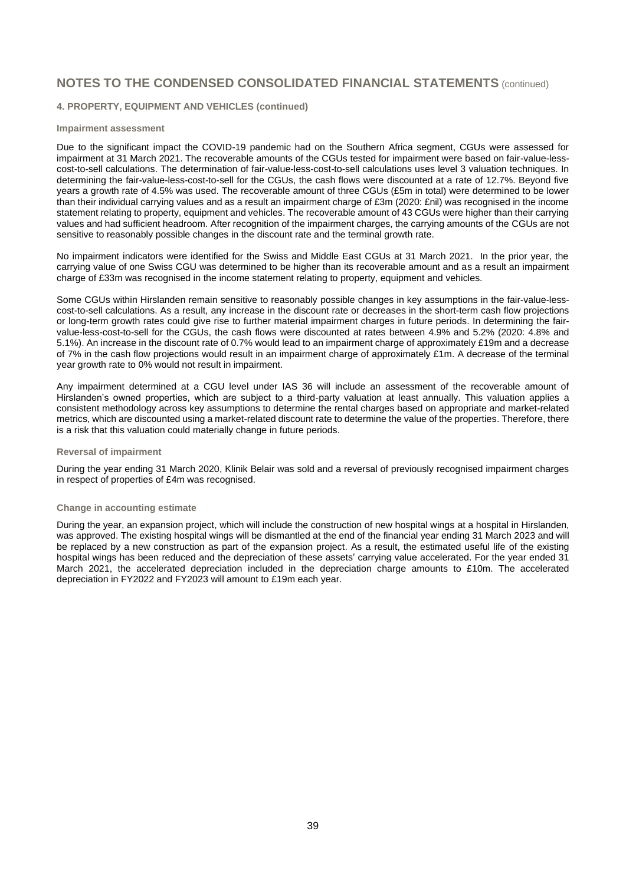#### **4. PROPERTY, EQUIPMENT AND VEHICLES (continued)**

#### **Impairment assessment**

Due to the significant impact the COVID-19 pandemic had on the Southern Africa segment, CGUs were assessed for impairment at 31 March 2021. The recoverable amounts of the CGUs tested for impairment were based on fair-value-lesscost-to-sell calculations. The determination of fair-value-less-cost-to-sell calculations uses level 3 valuation techniques. In determining the fair-value-less-cost-to-sell for the CGUs, the cash flows were discounted at a rate of 12.7%. Beyond five years a growth rate of 4.5% was used. The recoverable amount of three CGUs (£5m in total) were determined to be lower than their individual carrying values and as a result an impairment charge of £3m (2020: £nil) was recognised in the income statement relating to property, equipment and vehicles. The recoverable amount of 43 CGUs were higher than their carrying values and had sufficient headroom. After recognition of the impairment charges, the carrying amounts of the CGUs are not sensitive to reasonably possible changes in the discount rate and the terminal growth rate.

No impairment indicators were identified for the Swiss and Middle East CGUs at 31 March 2021. In the prior year, the carrying value of one Swiss CGU was determined to be higher than its recoverable amount and as a result an impairment charge of £33m was recognised in the income statement relating to property, equipment and vehicles.

Some CGUs within Hirslanden remain sensitive to reasonably possible changes in key assumptions in the fair-value-lesscost-to-sell calculations. As a result, any increase in the discount rate or decreases in the short-term cash flow projections or long-term growth rates could give rise to further material impairment charges in future periods. In determining the fairvalue-less-cost-to-sell for the CGUs, the cash flows were discounted at rates between 4.9% and 5.2% (2020: 4.8% and 5.1%). An increase in the discount rate of 0.7% would lead to an impairment charge of approximately £19m and a decrease of 7% in the cash flow projections would result in an impairment charge of approximately £1m. A decrease of the terminal year growth rate to 0% would not result in impairment.

Any impairment determined at a CGU level under IAS 36 will include an assessment of the recoverable amount of Hirslanden's owned properties, which are subject to a third-party valuation at least annually. This valuation applies a consistent methodology across key assumptions to determine the rental charges based on appropriate and market-related metrics, which are discounted using a market-related discount rate to determine the value of the properties. Therefore, there is a risk that this valuation could materially change in future periods.

#### **Reversal of impairment**

During the year ending 31 March 2020, Klinik Belair was sold and a reversal of previously recognised impairment charges in respect of properties of £4m was recognised.

#### **Change in accounting estimate**

During the year, an expansion project, which will include the construction of new hospital wings at a hospital in Hirslanden, was approved. The existing hospital wings will be dismantled at the end of the financial year ending 31 March 2023 and will be replaced by a new construction as part of the expansion project. As a result, the estimated useful life of the existing hospital wings has been reduced and the depreciation of these assets' carrying value accelerated. For the year ended 31 March 2021, the accelerated depreciation included in the depreciation charge amounts to £10m. The accelerated depreciation in FY2022 and FY2023 will amount to £19m each year.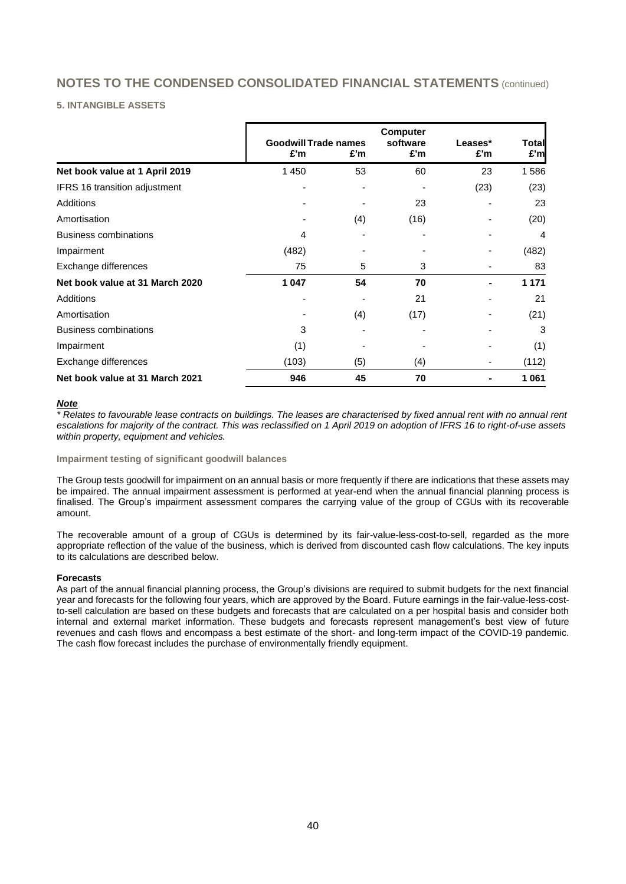### **5. INTANGIBLE ASSETS**

|                                 | <b>Goodwill Trade names</b><br>£'m | £'m | <b>Computer</b><br>software<br>£'m | Leases*<br>£'m | <b>Total</b><br>£'m |
|---------------------------------|------------------------------------|-----|------------------------------------|----------------|---------------------|
| Net book value at 1 April 2019  | 1 4 5 0                            | 53  | 60                                 | 23             | 1586                |
| IFRS 16 transition adjustment   |                                    |     |                                    | (23)           | (23)                |
| Additions                       |                                    |     | 23                                 |                | 23                  |
| Amortisation                    |                                    | (4) | (16)                               |                | (20)                |
| <b>Business combinations</b>    | 4                                  |     |                                    |                | 4                   |
| Impairment                      | (482)                              |     |                                    |                | (482)               |
| Exchange differences            | 75                                 | 5   | 3                                  |                | 83                  |
| Net book value at 31 March 2020 | 1 0 4 7                            | 54  | 70                                 |                | 1 1 7 1             |
| Additions                       |                                    |     | 21                                 |                | 21                  |
| Amortisation                    |                                    | (4) | (17)                               |                | (21)                |
| <b>Business combinations</b>    | 3                                  |     |                                    |                | 3                   |
| Impairment                      | (1)                                |     |                                    |                | (1)                 |
| Exchange differences            | (103)                              | (5) | (4)                                |                | (112)               |
| Net book value at 31 March 2021 | 946                                | 45  | 70                                 |                | 1 0 6 1             |

### *Note*

*\* Relates to favourable lease contracts on buildings. The leases are characterised by fixed annual rent with no annual rent escalations for majority of the contract. This was reclassified on 1 April 2019 on adoption of IFRS 16 to right-of-use assets within property, equipment and vehicles.*

#### **Impairment testing of significant goodwill balances**

The Group tests goodwill for impairment on an annual basis or more frequently if there are indications that these assets may be impaired. The annual impairment assessment is performed at year-end when the annual financial planning process is finalised. The Group's impairment assessment compares the carrying value of the group of CGUs with its recoverable amount.

The recoverable amount of a group of CGUs is determined by its fair-value-less-cost-to-sell, regarded as the more appropriate reflection of the value of the business, which is derived from discounted cash flow calculations. The key inputs to its calculations are described below.

### **Forecasts**

As part of the annual financial planning process, the Group's divisions are required to submit budgets for the next financial year and forecasts for the following four years, which are approved by the Board. Future earnings in the fair-value-less-costto-sell calculation are based on these budgets and forecasts that are calculated on a per hospital basis and consider both internal and external market information. These budgets and forecasts represent management's best view of future revenues and cash flows and encompass a best estimate of the short- and long-term impact of the COVID-19 pandemic. The cash flow forecast includes the purchase of environmentally friendly equipment.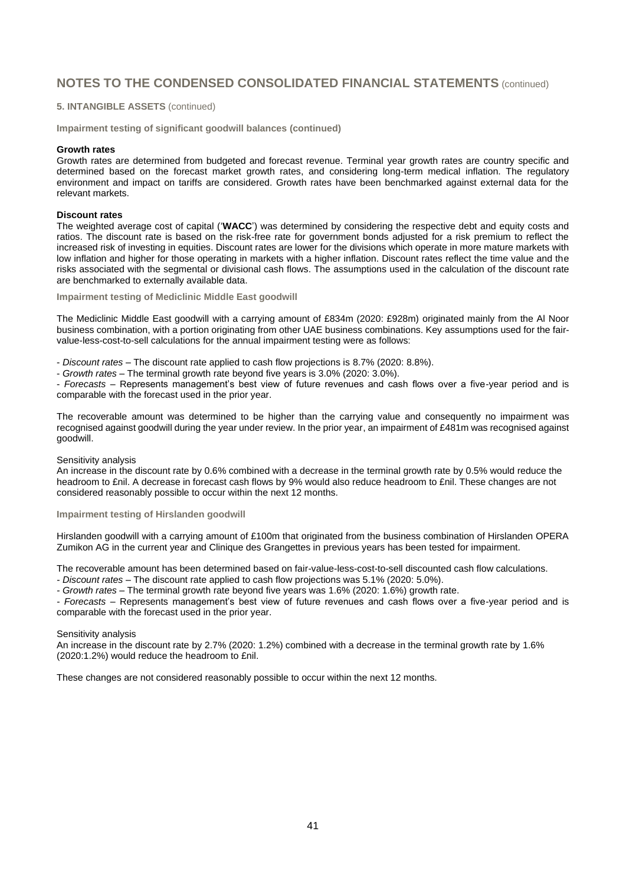#### **5. INTANGIBLE ASSETS** (continued)

**Impairment testing of significant goodwill balances (continued)**

#### **Growth rates**

Growth rates are determined from budgeted and forecast revenue. Terminal year growth rates are country specific and determined based on the forecast market growth rates, and considering long-term medical inflation. The regulatory environment and impact on tariffs are considered. Growth rates have been benchmarked against external data for the relevant markets.

#### **Discount rates**

The weighted average cost of capital ('**WACC**') was determined by considering the respective debt and equity costs and ratios. The discount rate is based on the risk-free rate for government bonds adjusted for a risk premium to reflect the increased risk of investing in equities. Discount rates are lower for the divisions which operate in more mature markets with low inflation and higher for those operating in markets with a higher inflation. Discount rates reflect the time value and the risks associated with the segmental or divisional cash flows. The assumptions used in the calculation of the discount rate are benchmarked to externally available data.

#### **Impairment testing of Mediclinic Middle East goodwill**

The Mediclinic Middle East goodwill with a carrying amount of £834m (2020: £928m) originated mainly from the Al Noor business combination, with a portion originating from other UAE business combinations. Key assumptions used for the fairvalue-less-cost-to-sell calculations for the annual impairment testing were as follows:

- *Discount rates* – The discount rate applied to cash flow projections is 8.7% (2020: 8.8%).

- *Growth rates* – The terminal growth rate beyond five years is 3.0% (2020: 3.0%).

- *Forecasts* – Represents management's best view of future revenues and cash flows over a five-year period and is comparable with the forecast used in the prior year.

The recoverable amount was determined to be higher than the carrying value and consequently no impairment was recognised against goodwill during the year under review. In the prior year, an impairment of £481m was recognised against goodwill.

#### Sensitivity analysis

An increase in the discount rate by 0.6% combined with a decrease in the terminal growth rate by 0.5% would reduce the headroom to £nil. A decrease in forecast cash flows by 9% would also reduce headroom to £nil. These changes are not considered reasonably possible to occur within the next 12 months.

#### **Impairment testing of Hirslanden goodwill**

Hirslanden goodwill with a carrying amount of £100m that originated from the business combination of Hirslanden OPERA Zumikon AG in the current year and Clinique des Grangettes in previous years has been tested for impairment.

The recoverable amount has been determined based on fair-value-less-cost-to-sell discounted cash flow calculations.

*- Discount rates* – The discount rate applied to cash flow projections was 5.1% (2020: 5.0%).

*- Growth rates* – The terminal growth rate beyond five years was 1.6% (2020: 1.6%) growth rate.

*- Forecasts* – Represents management's best view of future revenues and cash flows over a five-year period and is comparable with the forecast used in the prior year.

#### Sensitivity analysis

An increase in the discount rate by 2.7% (2020: 1.2%) combined with a decrease in the terminal growth rate by 1.6% (2020:1.2%) would reduce the headroom to £nil.

These changes are not considered reasonably possible to occur within the next 12 months.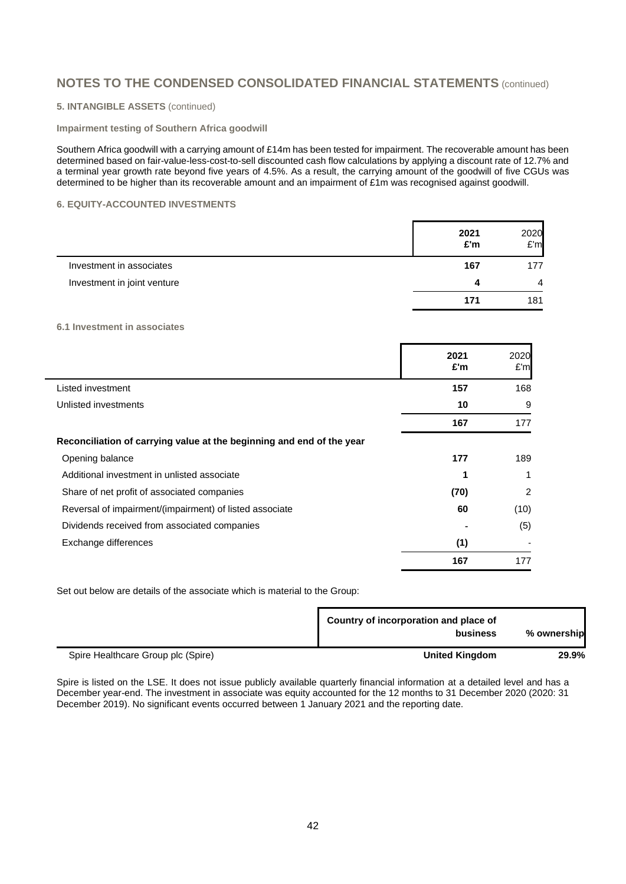### **5. INTANGIBLE ASSETS** (continued)

#### **Impairment testing of Southern Africa goodwill**

Southern Africa goodwill with a carrying amount of £14m has been tested for impairment. The recoverable amount has been determined based on fair-value-less-cost-to-sell discounted cash flow calculations by applying a discount rate of 12.7% and a terminal year growth rate beyond five years of 4.5%. As a result, the carrying amount of the goodwill of five CGUs was determined to be higher than its recoverable amount and an impairment of £1m was recognised against goodwill.

### **6. EQUITY-ACCOUNTED INVESTMENTS**

|                             | 2021<br>£'m | 2020<br>E'm |
|-----------------------------|-------------|-------------|
| Investment in associates    | 167         | 177         |
| Investment in joint venture | 4           | 4           |
|                             | 171         | 181         |

### **6.1 Investment in associates**

|                                                                       | 2021<br>£'m | 2020<br>E'm |
|-----------------------------------------------------------------------|-------------|-------------|
| Listed investment                                                     | 157         | 168         |
| Unlisted investments                                                  | 10          | 9           |
|                                                                       | 167         | 177         |
| Reconciliation of carrying value at the beginning and end of the year |             |             |
| Opening balance                                                       | 177         | 189         |
| Additional investment in unlisted associate                           | 1           | 1           |
| Share of net profit of associated companies                           | (70)        | 2           |
| Reversal of impairment/(impairment) of listed associate               | 60          | (10)        |
| Dividends received from associated companies                          |             | (5)         |
| Exchange differences                                                  | (1)         |             |
|                                                                       | 167         | 177         |

Set out below are details of the associate which is material to the Group:

|                                    | Country of incorporation and place of<br>business | % ownership |
|------------------------------------|---------------------------------------------------|-------------|
| Spire Healthcare Group plc (Spire) | <b>United Kingdom</b>                             | 29.9%       |

Spire is listed on the LSE. It does not issue publicly available quarterly financial information at a detailed level and has a December year-end. The investment in associate was equity accounted for the 12 months to 31 December 2020 (2020: 31 December 2019). No significant events occurred between 1 January 2021 and the reporting date.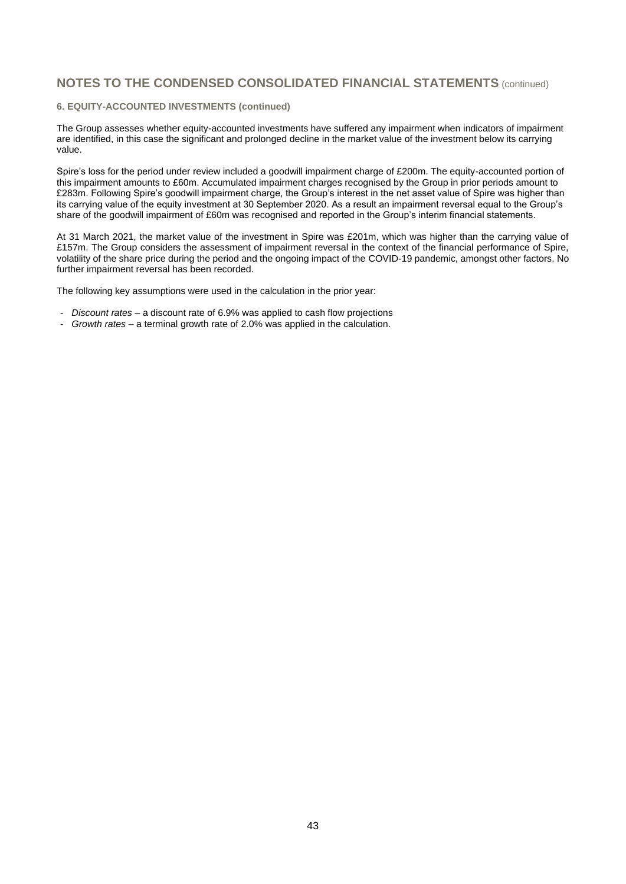#### **6. EQUITY-ACCOUNTED INVESTMENTS (continued)**

The Group assesses whether equity-accounted investments have suffered any impairment when indicators of impairment are identified, in this case the significant and prolonged decline in the market value of the investment below its carrying value.

Spire's loss for the period under review included a goodwill impairment charge of £200m. The equity-accounted portion of this impairment amounts to £60m. Accumulated impairment charges recognised by the Group in prior periods amount to £283m. Following Spire's goodwill impairment charge, the Group's interest in the net asset value of Spire was higher than its carrying value of the equity investment at 30 September 2020. As a result an impairment reversal equal to the Group's share of the goodwill impairment of £60m was recognised and reported in the Group's interim financial statements.

At 31 March 2021, the market value of the investment in Spire was £201m, which was higher than the carrying value of £157m. The Group considers the assessment of impairment reversal in the context of the financial performance of Spire, volatility of the share price during the period and the ongoing impact of the COVID-19 pandemic, amongst other factors. No further impairment reversal has been recorded.

The following key assumptions were used in the calculation in the prior year:

- *Discount rates* a discount rate of 6.9% was applied to cash flow projections
- *Growth rates* a terminal growth rate of 2.0% was applied in the calculation.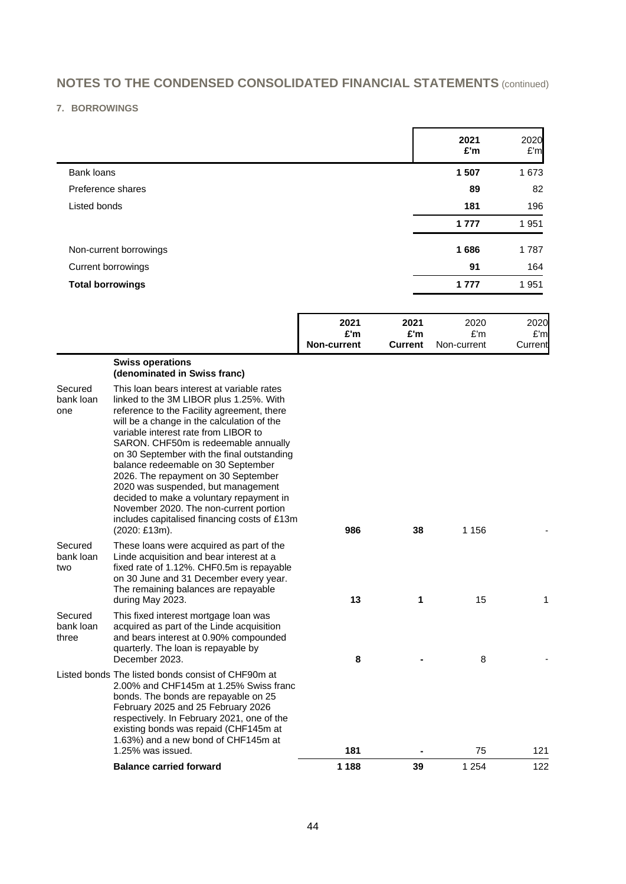### **7. BORROWINGS**

|                         | 2021<br>£'m | 2020<br>E'm |
|-------------------------|-------------|-------------|
| Bank loans              | 1 507       | 1673        |
| Preference shares       | 89          | 82          |
| Listed bonds            | 181         | 196         |
|                         | 1 7 7 7     | 1951        |
| Non-current borrowings  | 1686        | 1787        |
| Current borrowings      | 91          | 164         |
| <b>Total borrowings</b> | 1 7 7 7     | 1951        |

|                             |                                                                                                                                                                                                                                                                                                                                                                                                                                                                                                                                                                                           | 2021<br>£'m<br><b>Non-current</b> | 2021<br>£'m<br><b>Current</b> | 2020<br>E'm<br>Non-current | 2020<br>E'm<br>Current |
|-----------------------------|-------------------------------------------------------------------------------------------------------------------------------------------------------------------------------------------------------------------------------------------------------------------------------------------------------------------------------------------------------------------------------------------------------------------------------------------------------------------------------------------------------------------------------------------------------------------------------------------|-----------------------------------|-------------------------------|----------------------------|------------------------|
|                             | <b>Swiss operations</b><br>(denominated in Swiss franc)                                                                                                                                                                                                                                                                                                                                                                                                                                                                                                                                   |                                   |                               |                            |                        |
| Secured<br>bank loan<br>one | This loan bears interest at variable rates<br>linked to the 3M LIBOR plus 1.25%. With<br>reference to the Facility agreement, there<br>will be a change in the calculation of the<br>variable interest rate from LIBOR to<br>SARON. CHF50m is redeemable annually<br>on 30 September with the final outstanding<br>balance redeemable on 30 September<br>2026. The repayment on 30 September<br>2020 was suspended, but management<br>decided to make a voluntary repayment in<br>November 2020. The non-current portion<br>includes capitalised financing costs of £13m<br>(2020: £13m). | 986                               | 38                            | 1 156                      |                        |
| Secured<br>bank loan<br>two | These loans were acquired as part of the<br>Linde acquisition and bear interest at a<br>fixed rate of 1.12%. CHF0.5m is repayable                                                                                                                                                                                                                                                                                                                                                                                                                                                         |                                   |                               |                            |                        |

|                               | <b>Balance carried forward</b>                                                                                                                                                                                                                                                                                                | 1 1 8 8 | 39 | 1 2 5 4 | 122 |
|-------------------------------|-------------------------------------------------------------------------------------------------------------------------------------------------------------------------------------------------------------------------------------------------------------------------------------------------------------------------------|---------|----|---------|-----|
|                               | Listed bonds The listed bonds consist of CHF90m at<br>2.00% and CHF145m at 1.25% Swiss franc<br>bonds. The bonds are repayable on 25<br>February 2025 and 25 February 2026<br>respectively. In February 2021, one of the<br>existing bonds was repaid (CHF145m at<br>1.63%) and a new bond of CHF145m at<br>1.25% was issued. | 181     |    | 75      | 121 |
| Secured<br>bank loan<br>three | This fixed interest mortgage loan was<br>acquired as part of the Linde acquisition<br>and bears interest at 0.90% compounded<br>quarterly. The loan is repayable by<br>December 2023.                                                                                                                                         | 8       |    | 8       |     |
|                               | $11100$ . The $11111000$ is the state of $100000$ and $100000$<br>on 30 June and 31 December every year.<br>The remaining balances are repayable<br>during May 2023.                                                                                                                                                          | 13      |    | 15      |     |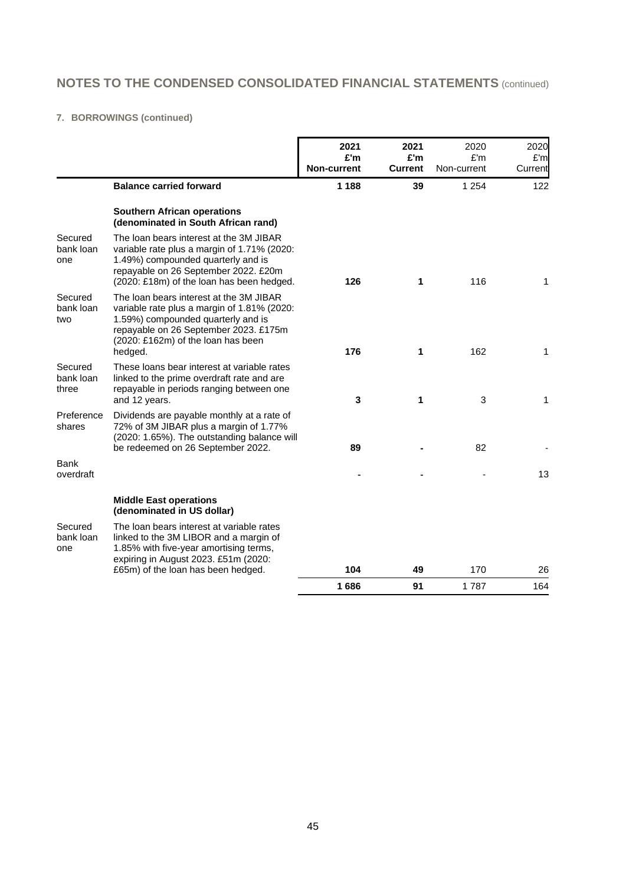### **7. BORROWINGS (continued)**

|                               |                                                                                                                                                                                                                        | 2021<br>£'m        | 2021<br>£'m    | 2020<br>E'm | 2020           |
|-------------------------------|------------------------------------------------------------------------------------------------------------------------------------------------------------------------------------------------------------------------|--------------------|----------------|-------------|----------------|
|                               |                                                                                                                                                                                                                        | <b>Non-current</b> | <b>Current</b> | Non-current | £'m<br>Current |
|                               | <b>Balance carried forward</b>                                                                                                                                                                                         | 1 1 8 8            | 39             | 1 2 5 4     | 122            |
|                               | <b>Southern African operations</b><br>(denominated in South African rand)                                                                                                                                              |                    |                |             |                |
| Secured<br>bank loan<br>one   | The loan bears interest at the 3M JIBAR<br>variable rate plus a margin of 1.71% (2020:<br>1.49%) compounded quarterly and is<br>repayable on 26 September 2022. £20m<br>(2020: £18m) of the loan has been hedged.      | 126                | 1              | 116         | 1              |
| Secured<br>bank loan<br>two   | The loan bears interest at the 3M JIBAR<br>variable rate plus a margin of 1.81% (2020:<br>1.59%) compounded quarterly and is<br>repayable on 26 September 2023. £175m<br>(2020: £162m) of the loan has been<br>hedged. | 176                | 1              | 162         | 1              |
| Secured<br>bank loan<br>three | These loans bear interest at variable rates<br>linked to the prime overdraft rate and are<br>repayable in periods ranging between one<br>and 12 years.                                                                 | 3                  | 1              | 3           | 1              |
| Preference<br>shares          | Dividends are payable monthly at a rate of<br>72% of 3M JIBAR plus a margin of 1.77%<br>(2020: 1.65%). The outstanding balance will<br>be redeemed on 26 September 2022.                                               | 89                 |                | 82          |                |
| Bank<br>overdraft             |                                                                                                                                                                                                                        |                    |                |             | 13             |
|                               | <b>Middle East operations</b><br>(denominated in US dollar)                                                                                                                                                            |                    |                |             |                |
| Secured<br>bank loan<br>one   | The loan bears interest at variable rates<br>linked to the 3M LIBOR and a margin of<br>1.85% with five-year amortising terms,<br>expiring in August 2023. £51m (2020:                                                  |                    |                |             |                |
|                               | £65m) of the loan has been hedged.                                                                                                                                                                                     | 104<br>1686        | 49<br>91       | 170<br>1787 | 26<br>164      |
|                               |                                                                                                                                                                                                                        |                    |                |             |                |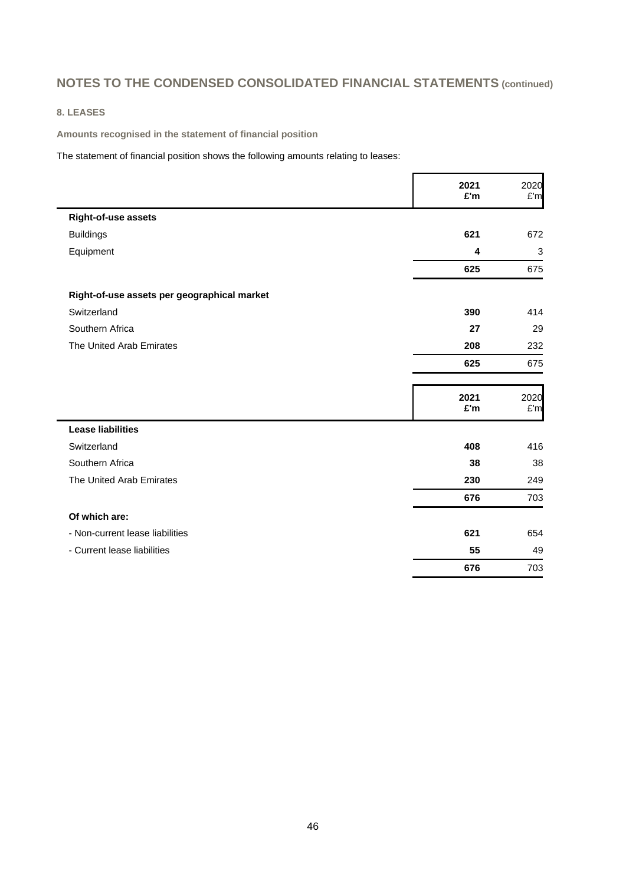### **8. LEASES**

**Amounts recognised in the statement of financial position**

The statement of financial position shows the following amounts relating to leases:

|                                             | 2021<br>£'m | 2020<br>£'m |
|---------------------------------------------|-------------|-------------|
| Right-of-use assets                         |             |             |
| <b>Buildings</b>                            | 621         | 672         |
| Equipment                                   | 4           | 3           |
|                                             | 625         | 675         |
| Right-of-use assets per geographical market |             |             |
| Switzerland                                 | 390         | 414         |
| Southern Africa                             | 27          | 29          |
| The United Arab Emirates                    | 208         | 232         |
|                                             | 625         | 675         |
|                                             | 2021<br>£'m | 2020<br>£'m |
| <b>Lease liabilities</b>                    |             |             |
| Switzerland                                 | 408         | 416         |
| Southern Africa                             | 38          | 38          |
| The United Arab Emirates                    | 230         | 249         |
|                                             | 676         | 703         |
| Of which are:                               |             |             |
| - Non-current lease liabilities             | 621         | 654         |
| - Current lease liabilities                 | 55          | 49          |
|                                             | 676         | 703         |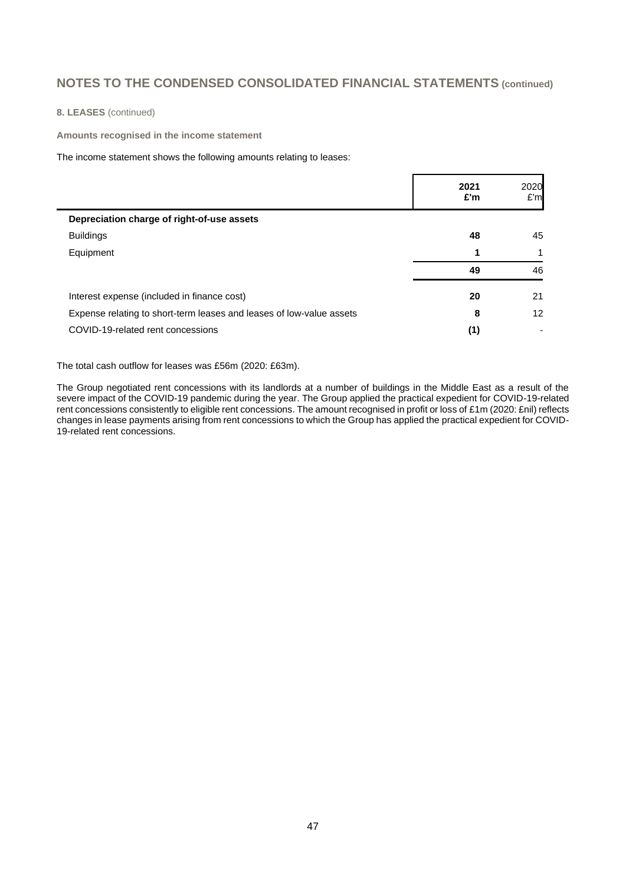**8. LEASES** (continued)

**Amounts recognised in the income statement**

The income statement shows the following amounts relating to leases:

|                                                                      | 2021<br>£'m | 2020<br>E'm |
|----------------------------------------------------------------------|-------------|-------------|
| Depreciation charge of right-of-use assets                           |             |             |
| <b>Buildings</b>                                                     | 48          | 45          |
| Equipment                                                            |             |             |
|                                                                      | 49          | 46          |
| Interest expense (included in finance cost)                          | 20          | 21          |
| Expense relating to short-term leases and leases of low-value assets | 8           | 12          |
| COVID-19-related rent concessions                                    | (1)         |             |

The total cash outflow for leases was £56m (2020: £63m).

The Group negotiated rent concessions with its landlords at a number of buildings in the Middle East as a result of the severe impact of the COVID-19 pandemic during the year. The Group applied the practical expedient for COVID-19-related rent concessions consistently to eligible rent concessions. The amount recognised in profit or loss of £1m (2020: £nil) reflects changes in lease payments arising from rent concessions to which the Group has applied the practical expedient for COVID-19-related rent concessions.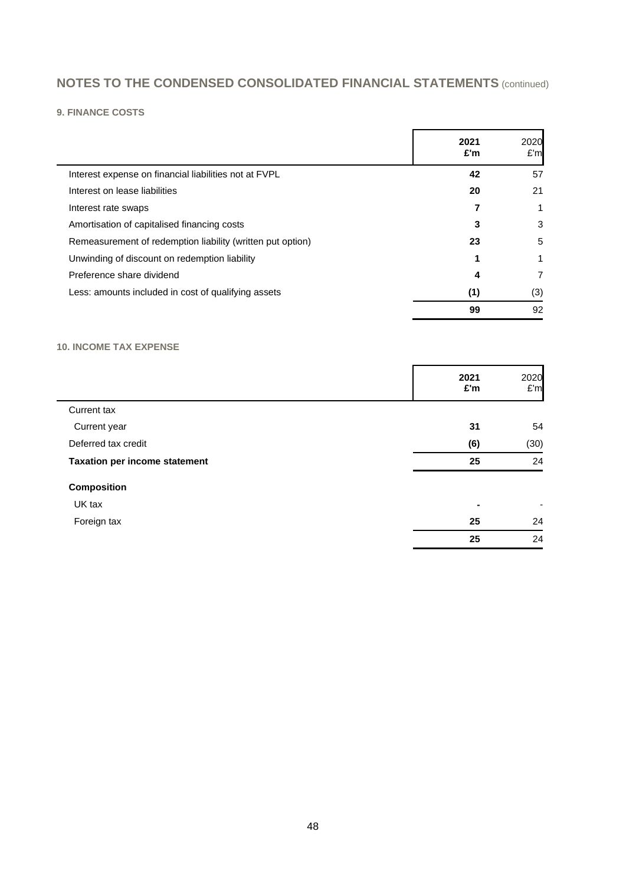## **9. FINANCE COSTS**

|                                                            | 2021<br>£'m | 2020<br>£'m |
|------------------------------------------------------------|-------------|-------------|
| Interest expense on financial liabilities not at FVPL      | 42          | 57          |
| Interest on lease liabilities                              | 20          | 21          |
| Interest rate swaps                                        |             |             |
| Amortisation of capitalised financing costs                | 3           | 3           |
| Remeasurement of redemption liability (written put option) | 23          | 5           |
| Unwinding of discount on redemption liability              |             | 1           |
| Preference share dividend                                  | 4           | 7           |
| Less: amounts included in cost of qualifying assets        | (1)         | (3)         |
|                                                            | 99          | 92          |

### **10. INCOME TAX EXPENSE**

|                                      | 2021<br>£'m | 2020<br>E'm |
|--------------------------------------|-------------|-------------|
| Current tax                          |             |             |
| Current year                         | 31          | 54          |
| Deferred tax credit                  | (6)         | (30)        |
| <b>Taxation per income statement</b> | 25          | 24          |
| <b>Composition</b>                   |             |             |
| UK tax                               | ۰           | ۰           |
| Foreign tax                          | 25          | 24          |
|                                      | 25          | 24          |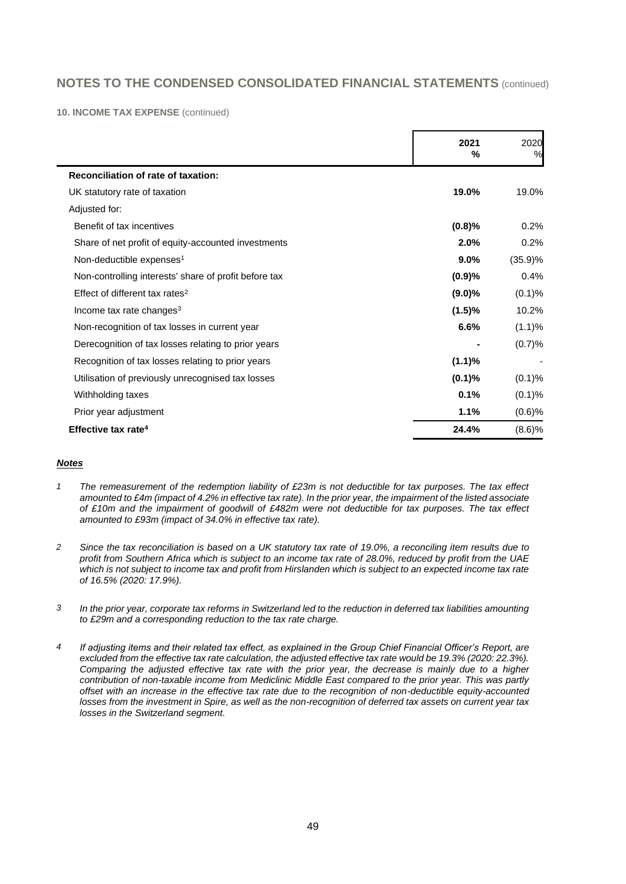**10. INCOME TAX EXPENSE** (continued)

|                                                       | 2021<br>% | 2020<br>% |
|-------------------------------------------------------|-----------|-----------|
| Reconciliation of rate of taxation:                   |           |           |
| UK statutory rate of taxation                         | 19.0%     | 19.0%     |
| Adjusted for:                                         |           |           |
| Benefit of tax incentives                             | (0.8)%    | 0.2%      |
| Share of net profit of equity-accounted investments   | 2.0%      | 0.2%      |
| Non-deductible expenses <sup>1</sup>                  | 9.0%      | (35.9)%   |
| Non-controlling interests' share of profit before tax | (0.9)%    | 0.4%      |
| Effect of different tax rates <sup>2</sup>            | $(9.0)\%$ | (0.1)%    |
| Income tax rate changes <sup>3</sup>                  | (1.5)%    | 10.2%     |
| Non-recognition of tax losses in current year         | 6.6%      | (1.1)%    |
| Derecognition of tax losses relating to prior years   |           | (0.7)%    |
| Recognition of tax losses relating to prior years     | (1.1)%    |           |
| Utilisation of previously unrecognised tax losses     | (0.1)%    | (0.1)%    |
| Withholding taxes                                     | 0.1%      | (0.1)%    |
| Prior year adjustment                                 | 1.1%      | (0.6)%    |
| Effective tax rate <sup>4</sup>                       | 24.4%     | $(8.6)$ % |

### *Notes*

- *1 The remeasurement of the redemption liability of £23m is not deductible for tax purposes. The tax effect amounted to £4m (impact of 4.2% in effective tax rate). In the prior year, the impairment of the listed associate of £10m and the impairment of goodwill of £482m were not deductible for tax purposes. The tax effect amounted to £93m (impact of 34.0% in effective tax rate).*
- *2 Since the tax reconciliation is based on a UK statutory tax rate of 19.0%, a reconciling item results due to profit from Southern Africa which is subject to an income tax rate of 28.0%, reduced by profit from the UAE which is not subject to income tax and profit from Hirslanden which is subject to an expected income tax rate of 16.5% (2020: 17.9%).*
- *3 In the prior year, corporate tax reforms in Switzerland led to the reduction in deferred tax liabilities amounting to £29m and a corresponding reduction to the tax rate charge.*
- *4 If adjusting items and their related tax effect, as explained in the Group Chief Financial Officer's Report, are excluded from the effective tax rate calculation, the adjusted effective tax rate would be 19.3% (2020: 22.3%). Comparing the adjusted effective tax rate with the prior year, the decrease is mainly due to a higher contribution of non-taxable income from Mediclinic Middle East compared to the prior year. This was partly offset with an increase in the effective tax rate due to the recognition of non-deductible equity-accounted losses from the investment in Spire, as well as the non-recognition of deferred tax assets on current year tax losses in the Switzerland segment.*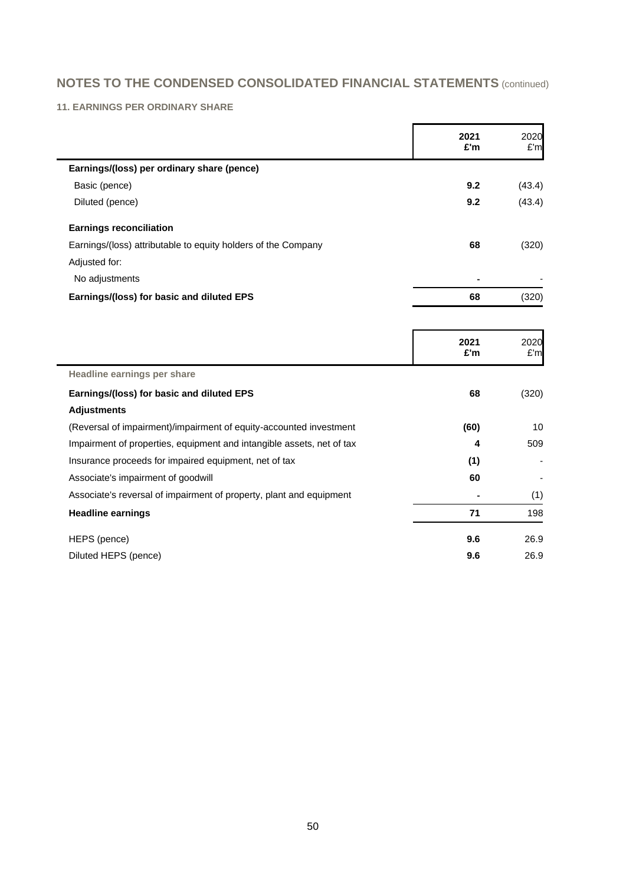### **11. EARNINGS PER ORDINARY SHARE**

|                                                                       | 2021<br>£'m | 2020<br>£'m |
|-----------------------------------------------------------------------|-------------|-------------|
| Earnings/(loss) per ordinary share (pence)                            |             |             |
| Basic (pence)                                                         | 9.2         | (43.4)      |
| Diluted (pence)                                                       | 9.2         | (43.4)      |
| <b>Earnings reconciliation</b>                                        |             |             |
| Earnings/(loss) attributable to equity holders of the Company         | 68          | (320)       |
| Adjusted for:                                                         |             |             |
| No adjustments                                                        |             |             |
| Earnings/(loss) for basic and diluted EPS                             | 68          | (320)       |
|                                                                       |             |             |
|                                                                       | 2021<br>£'m | 2020<br>£'m |
| Headline earnings per share                                           |             |             |
| Earnings/(loss) for basic and diluted EPS                             | 68          | (320)       |
| <b>Adjustments</b>                                                    |             |             |
| (Reversal of impairment)/impairment of equity-accounted investment    | (60)        | 10          |
| Impairment of properties, equipment and intangible assets, net of tax | 4           | 509         |
| Insurance proceeds for impaired equipment, net of tax                 | (1)         |             |
| Associate's impairment of goodwill                                    | 60          |             |
| Associate's reversal of impairment of property, plant and equipment   |             | (1)         |
| <b>Headline earnings</b>                                              | 71          | 198         |
| HEPS (pence)                                                          | 9.6         | 26.9        |
| Diluted HEPS (pence)                                                  | 9.6         | 26.9        |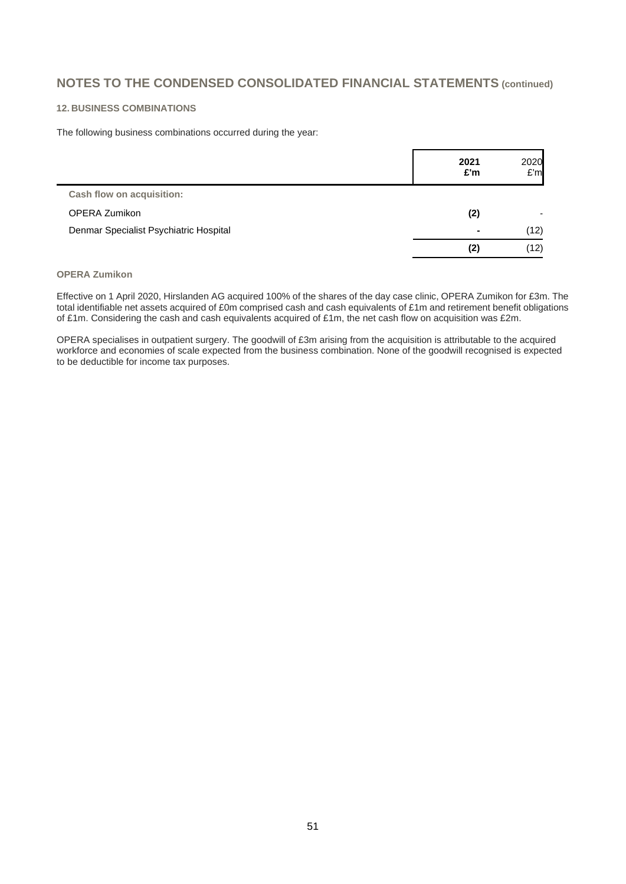### **12. BUSINESS COMBINATIONS**

The following business combinations occurred during the year:

|                                        | 2021<br>£'m    | 2020<br>E'm |
|----------------------------------------|----------------|-------------|
| Cash flow on acquisition:              |                |             |
| OPERA Zumikon                          | (2)            |             |
| Denmar Specialist Psychiatric Hospital | $\blacksquare$ | (12)        |
|                                        | (2)            | (12)        |

#### **OPERA Zumikon**

Effective on 1 April 2020, Hirslanden AG acquired 100% of the shares of the day case clinic, OPERA Zumikon for £3m. The total identifiable net assets acquired of £0m comprised cash and cash equivalents of £1m and retirement benefit obligations of £1m. Considering the cash and cash equivalents acquired of £1m, the net cash flow on acquisition was £2m.

OPERA specialises in outpatient surgery. The goodwill of £3m arising from the acquisition is attributable to the acquired workforce and economies of scale expected from the business combination. None of the goodwill recognised is expected to be deductible for income tax purposes.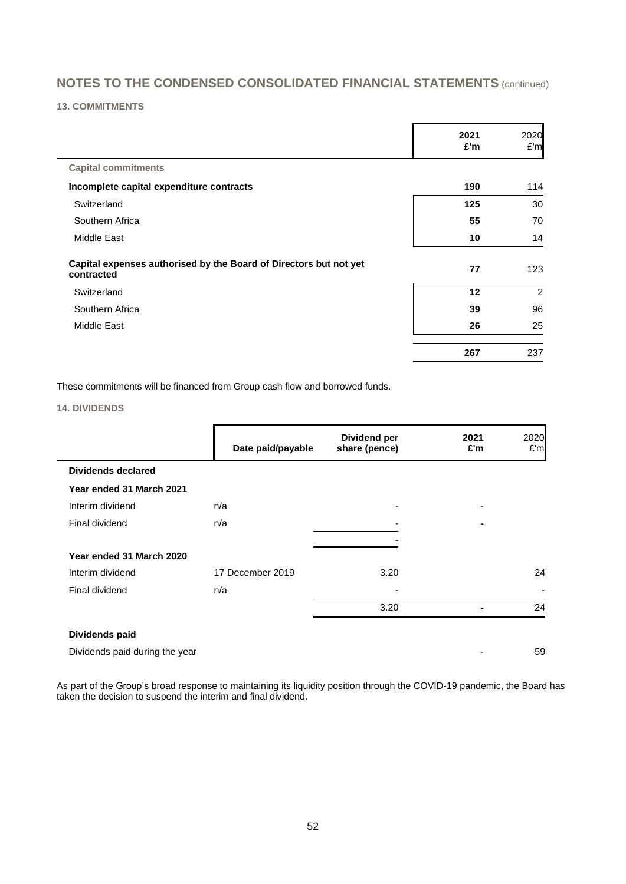### **13. COMMITMENTS**

 $\overline{\phantom{0}}$ 

|                                                                                 | 2021<br>£'m | 2020<br>£'m    |
|---------------------------------------------------------------------------------|-------------|----------------|
| <b>Capital commitments</b>                                                      |             |                |
| Incomplete capital expenditure contracts                                        | 190         | 114            |
| Switzerland                                                                     | 125         | 30             |
| Southern Africa                                                                 | 55          | 70             |
| Middle East                                                                     | 10          | 14             |
| Capital expenses authorised by the Board of Directors but not yet<br>contracted | 77          | 123            |
| Switzerland                                                                     | 12          | $\overline{a}$ |
| Southern Africa                                                                 | 39          | 96             |
| Middle East                                                                     | 26          | 25             |
|                                                                                 | 267         | 237            |

These commitments will be financed from Group cash flow and borrowed funds.

### **14. DIVIDENDS**

|                                | Date paid/payable | Dividend per<br>share (pence) | 2021<br>£'m              | 2020<br>E'm |
|--------------------------------|-------------------|-------------------------------|--------------------------|-------------|
| <b>Dividends declared</b>      |                   |                               |                          |             |
| Year ended 31 March 2021       |                   |                               |                          |             |
| Interim dividend               | n/a               |                               | $\overline{\phantom{0}}$ |             |
| Final dividend                 | n/a               |                               |                          |             |
| Year ended 31 March 2020       |                   |                               |                          |             |
| Interim dividend               | 17 December 2019  | 3.20                          |                          | 24          |
| Final dividend                 | n/a               |                               |                          |             |
|                                |                   | 3.20                          |                          | 24          |
| Dividends paid                 |                   |                               |                          |             |
| Dividends paid during the year |                   |                               |                          | 59          |

As part of the Group's broad response to maintaining its liquidity position through the COVID-19 pandemic, the Board has taken the decision to suspend the interim and final dividend.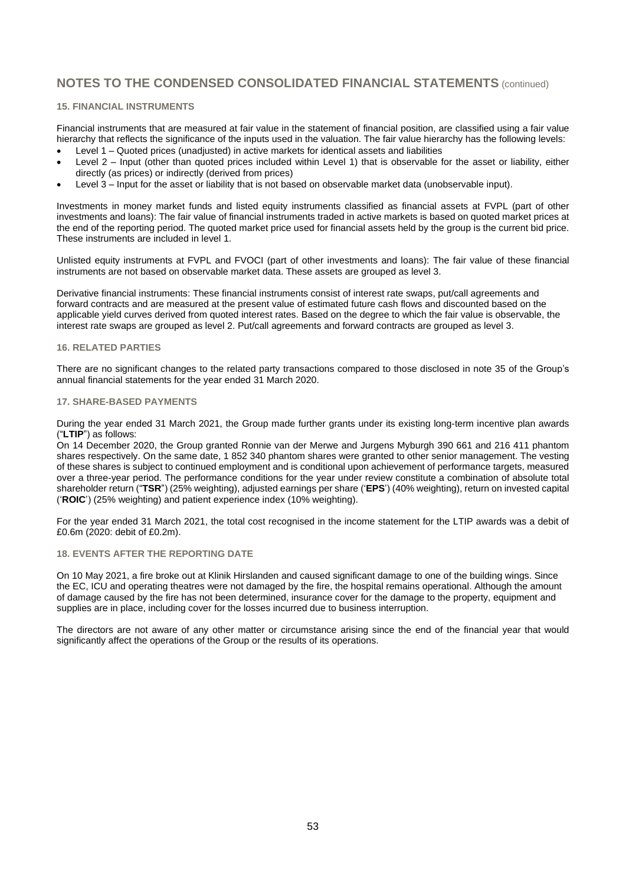#### **15. FINANCIAL INSTRUMENTS**

Financial instruments that are measured at fair value in the statement of financial position, are classified using a fair value hierarchy that reflects the significance of the inputs used in the valuation. The fair value hierarchy has the following levels:

- Level 1 Quoted prices (unadjusted) in active markets for identical assets and liabilities
- Level 2 Input (other than quoted prices included within Level 1) that is observable for the asset or liability, either directly (as prices) or indirectly (derived from prices)
- Level 3 Input for the asset or liability that is not based on observable market data (unobservable input).

Investments in money market funds and listed equity instruments classified as financial assets at FVPL (part of other investments and loans): The fair value of financial instruments traded in active markets is based on quoted market prices at the end of the reporting period. The quoted market price used for financial assets held by the group is the current bid price. These instruments are included in level 1.

Unlisted equity instruments at FVPL and FVOCI (part of other investments and loans): The fair value of these financial instruments are not based on observable market data. These assets are grouped as level 3.

Derivative financial instruments: These financial instruments consist of interest rate swaps, put/call agreements and forward contracts and are measured at the present value of estimated future cash flows and discounted based on the applicable yield curves derived from quoted interest rates. Based on the degree to which the fair value is observable, the interest rate swaps are grouped as level 2. Put/call agreements and forward contracts are grouped as level 3.

#### **16. RELATED PARTIES**

There are no significant changes to the related party transactions compared to those disclosed in note 35 of the Group's annual financial statements for the year ended 31 March 2020.

#### **17. SHARE-BASED PAYMENTS**

During the year ended 31 March 2021, the Group made further grants under its existing long-term incentive plan awards ("**LTIP**") as follows:

On 14 December 2020, the Group granted Ronnie van der Merwe and Jurgens Myburgh 390 661 and 216 411 phantom shares respectively. On the same date, 1 852 340 phantom shares were granted to other senior management. The vesting of these shares is subject to continued employment and is conditional upon achievement of performance targets, measured over a three-year period. The performance conditions for the year under review constitute a combination of absolute total shareholder return ("**TSR**") (25% weighting), adjusted earnings per share ('**EPS**') (40% weighting), return on invested capital ('**ROIC**') (25% weighting) and patient experience index (10% weighting).

For the year ended 31 March 2021, the total cost recognised in the income statement for the LTIP awards was a debit of £0.6m (2020: debit of £0.2m).

#### **18. EVENTS AFTER THE REPORTING DATE**

On 10 May 2021, a fire broke out at Klinik Hirslanden and caused significant damage to one of the building wings. Since the EC, ICU and operating theatres were not damaged by the fire, the hospital remains operational. Although the amount of damage caused by the fire has not been determined, insurance cover for the damage to the property, equipment and supplies are in place, including cover for the losses incurred due to business interruption.

The directors are not aware of any other matter or circumstance arising since the end of the financial year that would significantly affect the operations of the Group or the results of its operations.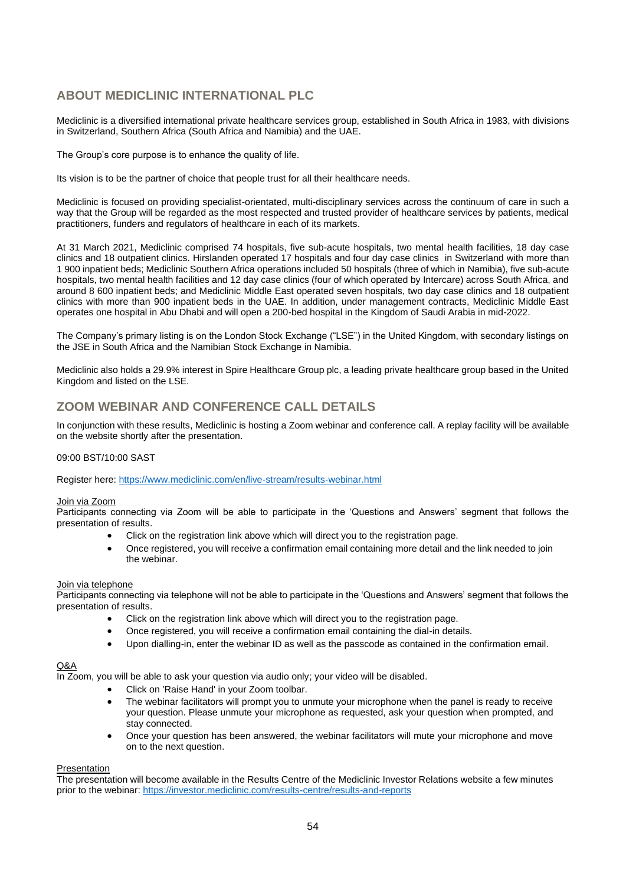# **ABOUT MEDICLINIC INTERNATIONAL PLC**

Mediclinic is a diversified international private healthcare services group, established in South Africa in 1983, with divisions in Switzerland, Southern Africa (South Africa and Namibia) and the UAE.

The Group's core purpose is to enhance the quality of life.

Its vision is to be the partner of choice that people trust for all their healthcare needs.

Mediclinic is focused on providing specialist-orientated, multi-disciplinary services across the continuum of care in such a way that the Group will be regarded as the most respected and trusted provider of healthcare services by patients, medical practitioners, funders and regulators of healthcare in each of its markets.

At 31 March 2021, Mediclinic comprised 74 hospitals, five sub-acute hospitals, two mental health facilities, 18 day case clinics and 18 outpatient clinics. Hirslanden operated 17 hospitals and four day case clinics in Switzerland with more than 1 900 inpatient beds; Mediclinic Southern Africa operations included 50 hospitals (three of which in Namibia), five sub-acute hospitals, two mental health facilities and 12 day case clinics (four of which operated by Intercare) across South Africa, and around 8 600 inpatient beds; and Mediclinic Middle East operated seven hospitals, two day case clinics and 18 outpatient clinics with more than 900 inpatient beds in the UAE. In addition, under management contracts, Mediclinic Middle East operates one hospital in Abu Dhabi and will open a 200-bed hospital in the Kingdom of Saudi Arabia in mid-2022.

The Company's primary listing is on the London Stock Exchange ("LSE") in the United Kingdom, with secondary listings on the JSE in South Africa and the Namibian Stock Exchange in Namibia.

Mediclinic also holds a 29.9% interest in Spire Healthcare Group plc, a leading private healthcare group based in the United Kingdom and listed on the LSE.

# **ZOOM WEBINAR AND CONFERENCE CALL DETAILS**

In conjunction with these results, Mediclinic is hosting a Zoom webinar and conference call. A replay facility will be available on the website shortly after the presentation.

### 09:00 BST/10:00 SAST

Register here: <https://www.mediclinic.com/en/live-stream/results-webinar.html>

#### Join via Zoom

Participants connecting via Zoom will be able to participate in the 'Questions and Answers' segment that follows the presentation of results.

- Click on the registration link above which will direct you to the registration page.
- Once registered, you will receive a confirmation email containing more detail and the link needed to join the webinar.

#### Join via telephone

Participants connecting via telephone will not be able to participate in the 'Questions and Answers' segment that follows the presentation of results.

- Click on the registration link above which will direct you to the registration page.
- Once registered, you will receive a confirmation email containing the dial-in details.
- Upon dialling-in, enter the webinar ID as well as the passcode as contained in the confirmation email.

#### Q&A

In Zoom, you will be able to ask your question via audio only; your video will be disabled.

- Click on 'Raise Hand' in your Zoom toolbar.
- The webinar facilitators will prompt you to unmute your microphone when the panel is ready to receive your question. Please unmute your microphone as requested, ask your question when prompted, and stay connected.
- Once your question has been answered, the webinar facilitators will mute your microphone and move on to the next question.

#### **Presentation**

The presentation will become available in the Results Centre of the Mediclinic Investor Relations website a few minutes prior to the webinar:<https://investor.mediclinic.com/results-centre/results-and-reports>